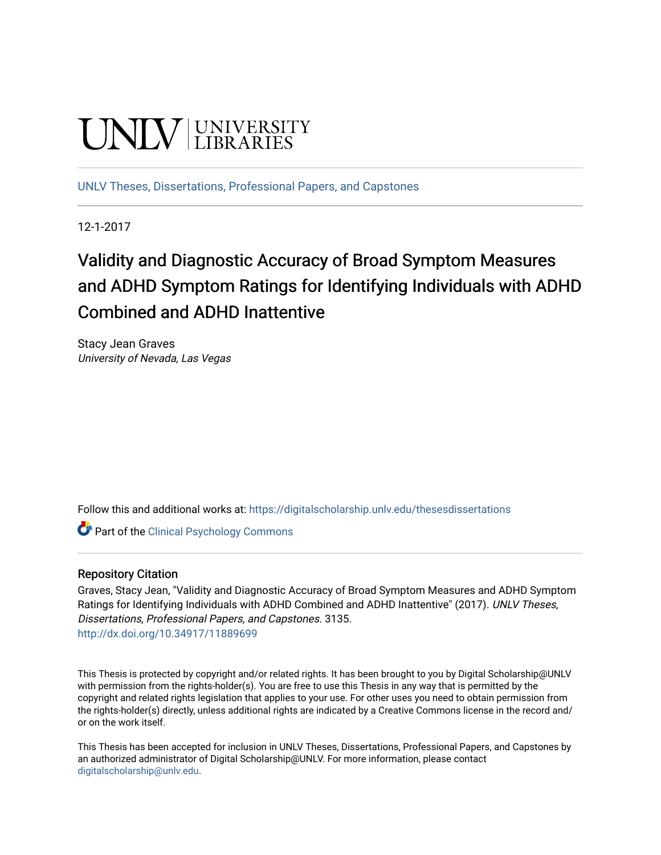# **UNIVERSITY**

[UNLV Theses, Dissertations, Professional Papers, and Capstones](https://digitalscholarship.unlv.edu/thesesdissertations)

12-1-2017

## Validity and Diagnostic Accuracy of Broad Symptom Measures and ADHD Symptom Ratings for Identifying Individuals with ADHD Combined and ADHD Inattentive

Stacy Jean Graves University of Nevada, Las Vegas

Follow this and additional works at: [https://digitalscholarship.unlv.edu/thesesdissertations](https://digitalscholarship.unlv.edu/thesesdissertations?utm_source=digitalscholarship.unlv.edu%2Fthesesdissertations%2F3135&utm_medium=PDF&utm_campaign=PDFCoverPages)

**Part of the Clinical Psychology Commons** 

#### Repository Citation

Graves, Stacy Jean, "Validity and Diagnostic Accuracy of Broad Symptom Measures and ADHD Symptom Ratings for Identifying Individuals with ADHD Combined and ADHD Inattentive" (2017). UNLV Theses, Dissertations, Professional Papers, and Capstones. 3135. <http://dx.doi.org/10.34917/11889699>

This Thesis is protected by copyright and/or related rights. It has been brought to you by Digital Scholarship@UNLV with permission from the rights-holder(s). You are free to use this Thesis in any way that is permitted by the copyright and related rights legislation that applies to your use. For other uses you need to obtain permission from the rights-holder(s) directly, unless additional rights are indicated by a Creative Commons license in the record and/ or on the work itself.

This Thesis has been accepted for inclusion in UNLV Theses, Dissertations, Professional Papers, and Capstones by an authorized administrator of Digital Scholarship@UNLV. For more information, please contact [digitalscholarship@unlv.edu](mailto:digitalscholarship@unlv.edu).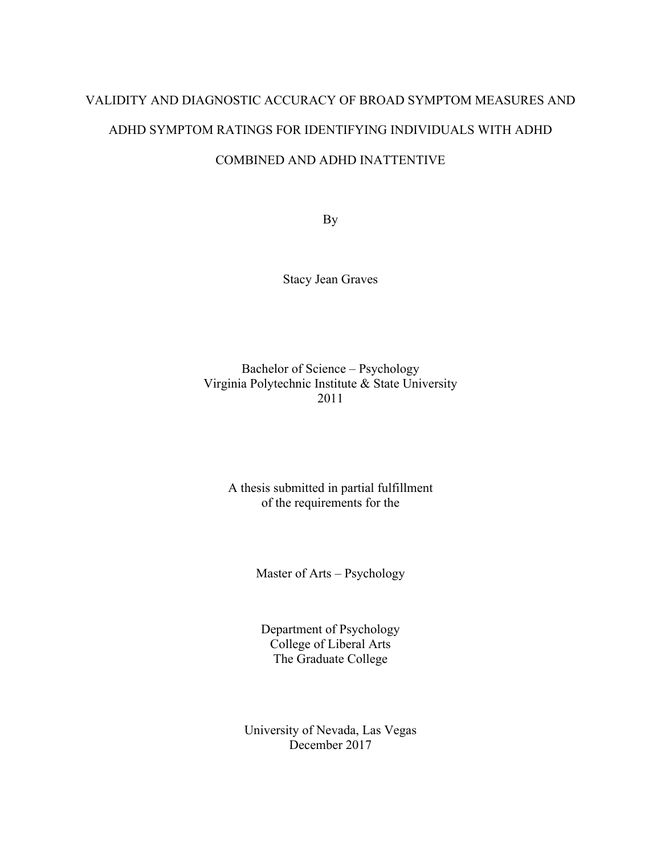## VALIDITY AND DIAGNOSTIC ACCURACY OF BROAD SYMPTOM MEASURES AND ADHD SYMPTOM RATINGS FOR IDENTIFYING INDIVIDUALS WITH ADHD COMBINED AND ADHD INATTENTIVE

By

Stacy Jean Graves

Bachelor of Science – Psychology Virginia Polytechnic Institute & State University 2011

A thesis submitted in partial fulfillment of the requirements for the

Master of Arts – Psychology

Department of Psychology College of Liberal Arts The Graduate College

University of Nevada, Las Vegas December 2017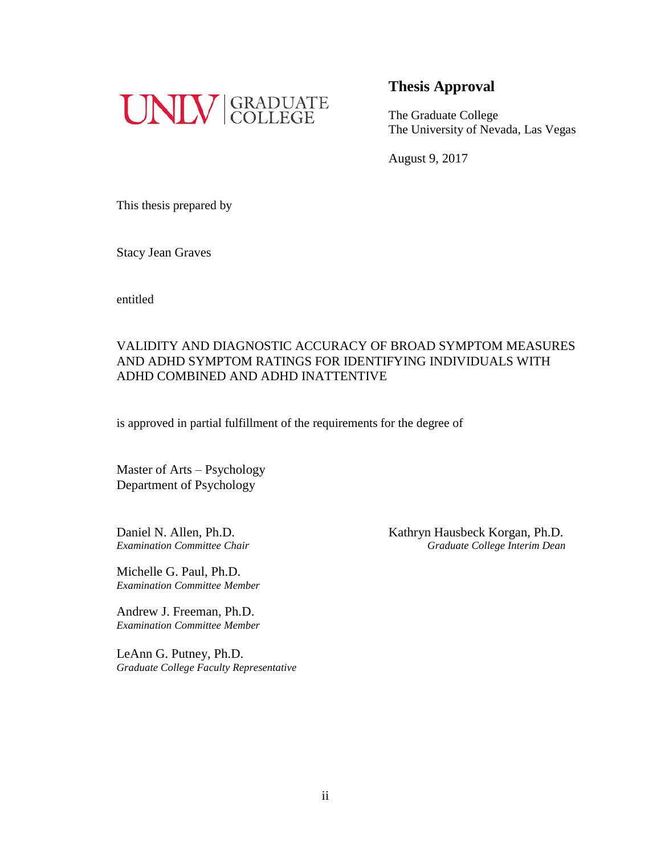

The Graduate College The University of Nevada, Las Vegas

August 9, 2017

This thesis prepared by

Stacy Jean Graves

entitled

#### VALIDITY AND DIAGNOSTIC ACCURACY OF BROAD SYMPTOM MEASURES AND ADHD SYMPTOM RATINGS FOR IDENTIFYING INDIVIDUALS WITH ADHD COMBINED AND ADHD INATTENTIVE

is approved in partial fulfillment of the requirements for the degree of

Master of Arts – Psychology Department of Psychology

Michelle G. Paul, Ph.D. *Examination Committee Member*

Andrew J. Freeman, Ph.D. *Examination Committee Member*

LeAnn G. Putney, Ph.D. *Graduate College Faculty Representative*

Daniel N. Allen, Ph.D. Kathryn Hausbeck Korgan, Ph.D. *Examination Committee Chair Graduate College Interim Dean*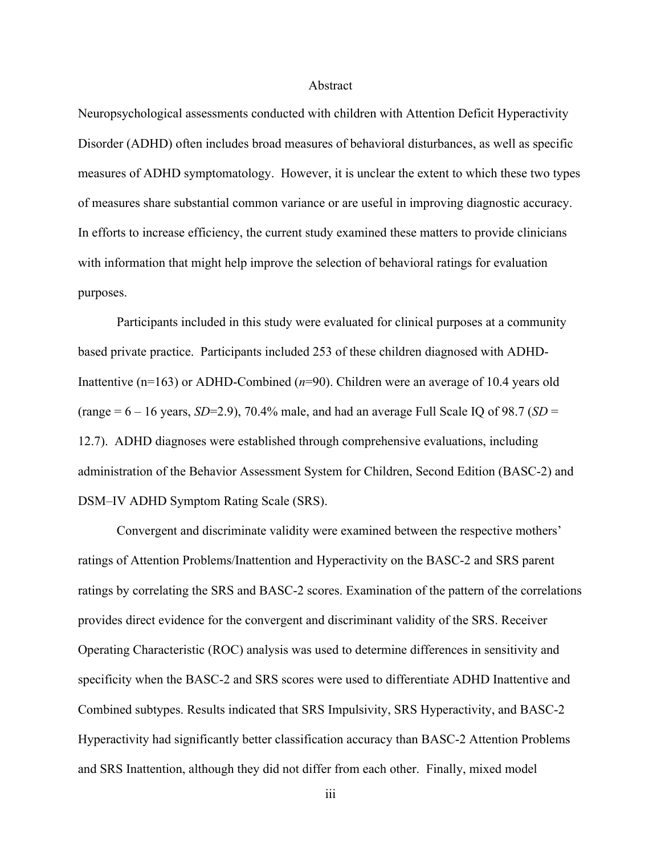#### Abstract

Neuropsychological assessments conducted with children with Attention Deficit Hyperactivity Disorder (ADHD) often includes broad measures of behavioral disturbances, as well as specific measures of ADHD symptomatology. However, it is unclear the extent to which these two types of measures share substantial common variance or are useful in improving diagnostic accuracy. In efforts to increase efficiency, the current study examined these matters to provide clinicians with information that might help improve the selection of behavioral ratings for evaluation purposes.

Participants included in this study were evaluated for clinical purposes at a community based private practice. Participants included 253 of these children diagnosed with ADHD-Inattentive (n=163) or ADHD-Combined (*n*=90). Children were an average of 10.4 years old (range  $= 6 - 16$  years, *SD*=2.9), 70.4% male, and had an average Full Scale IQ of 98.7 (*SD* = 12.7). ADHD diagnoses were established through comprehensive evaluations, including administration of the Behavior Assessment System for Children, Second Edition (BASC-2) and DSM–IV ADHD Symptom Rating Scale (SRS).

Convergent and discriminate validity were examined between the respective mothers' ratings of Attention Problems/Inattention and Hyperactivity on the BASC-2 and SRS parent ratings by correlating the SRS and BASC-2 scores. Examination of the pattern of the correlations provides direct evidence for the convergent and discriminant validity of the SRS. Receiver Operating Characteristic (ROC) analysis was used to determine differences in sensitivity and specificity when the BASC-2 and SRS scores were used to differentiate ADHD Inattentive and Combined subtypes. Results indicated that SRS Impulsivity, SRS Hyperactivity, and BASC-2 Hyperactivity had significantly better classification accuracy than BASC-2 Attention Problems and SRS Inattention, although they did not differ from each other. Finally, mixed model

iii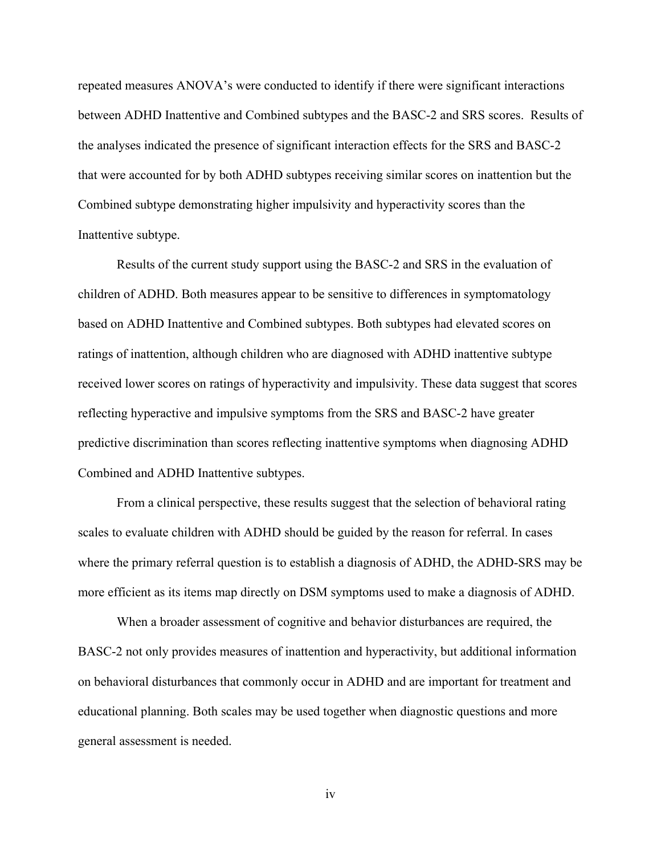repeated measures ANOVA's were conducted to identify if there were significant interactions between ADHD Inattentive and Combined subtypes and the BASC-2 and SRS scores. Results of the analyses indicated the presence of significant interaction effects for the SRS and BASC-2 that were accounted for by both ADHD subtypes receiving similar scores on inattention but the Combined subtype demonstrating higher impulsivity and hyperactivity scores than the Inattentive subtype.

Results of the current study support using the BASC-2 and SRS in the evaluation of children of ADHD. Both measures appear to be sensitive to differences in symptomatology based on ADHD Inattentive and Combined subtypes. Both subtypes had elevated scores on ratings of inattention, although children who are diagnosed with ADHD inattentive subtype received lower scores on ratings of hyperactivity and impulsivity. These data suggest that scores reflecting hyperactive and impulsive symptoms from the SRS and BASC-2 have greater predictive discrimination than scores reflecting inattentive symptoms when diagnosing ADHD Combined and ADHD Inattentive subtypes.

From a clinical perspective, these results suggest that the selection of behavioral rating scales to evaluate children with ADHD should be guided by the reason for referral. In cases where the primary referral question is to establish a diagnosis of ADHD, the ADHD-SRS may be more efficient as its items map directly on DSM symptoms used to make a diagnosis of ADHD.

When a broader assessment of cognitive and behavior disturbances are required, the BASC-2 not only provides measures of inattention and hyperactivity, but additional information on behavioral disturbances that commonly occur in ADHD and are important for treatment and educational planning. Both scales may be used together when diagnostic questions and more general assessment is needed.

iv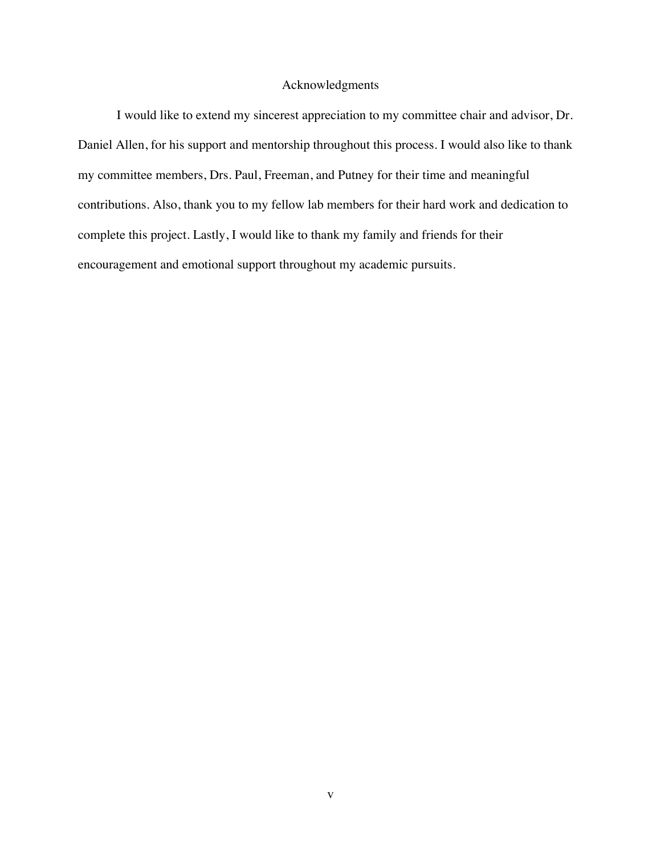#### Acknowledgments

I would like to extend my sincerest appreciation to my committee chair and advisor, Dr. Daniel Allen, for his support and mentorship throughout this process. I would also like to thank my committee members, Drs. Paul, Freeman, and Putney for their time and meaningful contributions. Also, thank you to my fellow lab members for their hard work and dedication to complete this project. Lastly, I would like to thank my family and friends for their encouragement and emotional support throughout my academic pursuits.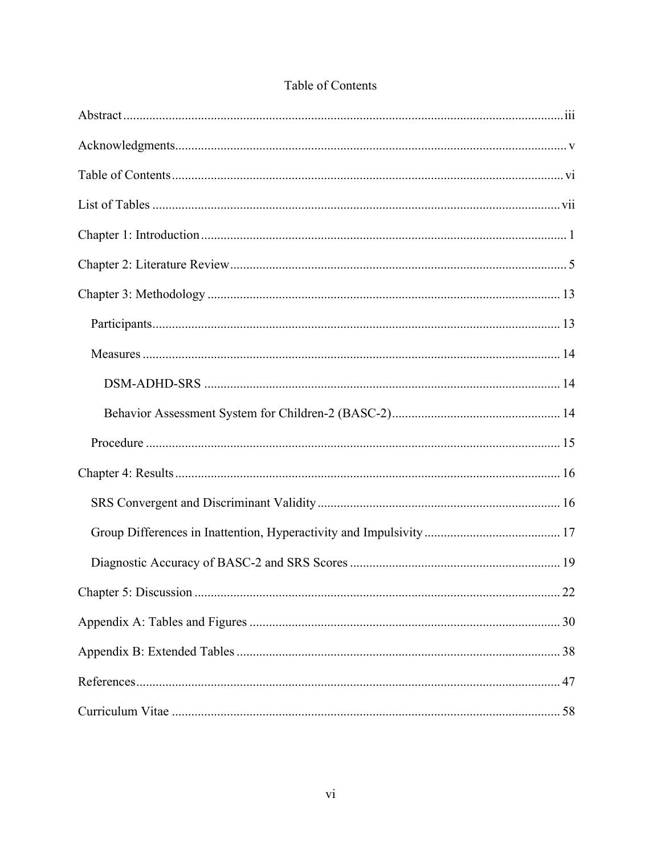#### Table of Contents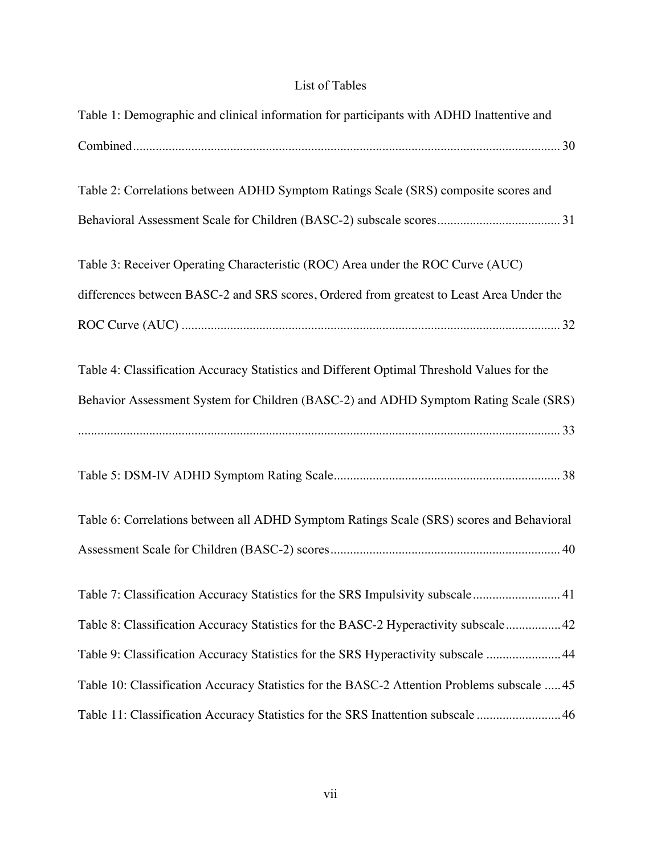### List of Tables

| Table 1: Demographic and clinical information for participants with ADHD Inattentive and    |
|---------------------------------------------------------------------------------------------|
|                                                                                             |
| Table 2: Correlations between ADHD Symptom Ratings Scale (SRS) composite scores and         |
|                                                                                             |
| Table 3: Receiver Operating Characteristic (ROC) Area under the ROC Curve (AUC)             |
| differences between BASC-2 and SRS scores, Ordered from greatest to Least Area Under the    |
|                                                                                             |
| Table 4: Classification Accuracy Statistics and Different Optimal Threshold Values for the  |
| Behavior Assessment System for Children (BASC-2) and ADHD Symptom Rating Scale (SRS)        |
|                                                                                             |
|                                                                                             |
| Table 6: Correlations between all ADHD Symptom Ratings Scale (SRS) scores and Behavioral    |
|                                                                                             |
| Table 7: Classification Accuracy Statistics for the SRS Impulsivity subscale 41             |
| Table 8: Classification Accuracy Statistics for the BASC-2 Hyperactivity subscale 42        |
| Table 9: Classification Accuracy Statistics for the SRS Hyperactivity subscale 44           |
| Table 10: Classification Accuracy Statistics for the BASC-2 Attention Problems subscale  45 |
| Table 11: Classification Accuracy Statistics for the SRS Inattention subscale  46           |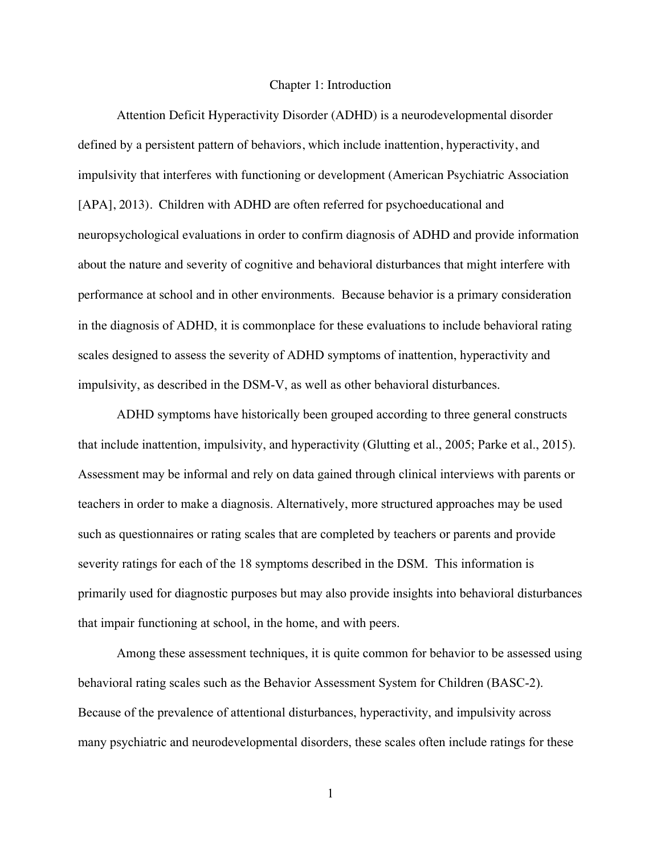#### Chapter 1: Introduction

Attention Deficit Hyperactivity Disorder (ADHD) is a neurodevelopmental disorder defined by a persistent pattern of behaviors, which include inattention, hyperactivity, and impulsivity that interferes with functioning or development (American Psychiatric Association [APA], 2013). Children with ADHD are often referred for psychoeducational and neuropsychological evaluations in order to confirm diagnosis of ADHD and provide information about the nature and severity of cognitive and behavioral disturbances that might interfere with performance at school and in other environments. Because behavior is a primary consideration in the diagnosis of ADHD, it is commonplace for these evaluations to include behavioral rating scales designed to assess the severity of ADHD symptoms of inattention, hyperactivity and impulsivity, as described in the DSM-V, as well as other behavioral disturbances.

ADHD symptoms have historically been grouped according to three general constructs that include inattention, impulsivity, and hyperactivity (Glutting et al., 2005; Parke et al., 2015). Assessment may be informal and rely on data gained through clinical interviews with parents or teachers in order to make a diagnosis. Alternatively, more structured approaches may be used such as questionnaires or rating scales that are completed by teachers or parents and provide severity ratings for each of the 18 symptoms described in the DSM. This information is primarily used for diagnostic purposes but may also provide insights into behavioral disturbances that impair functioning at school, in the home, and with peers.

Among these assessment techniques, it is quite common for behavior to be assessed using behavioral rating scales such as the Behavior Assessment System for Children (BASC-2). Because of the prevalence of attentional disturbances, hyperactivity, and impulsivity across many psychiatric and neurodevelopmental disorders, these scales often include ratings for these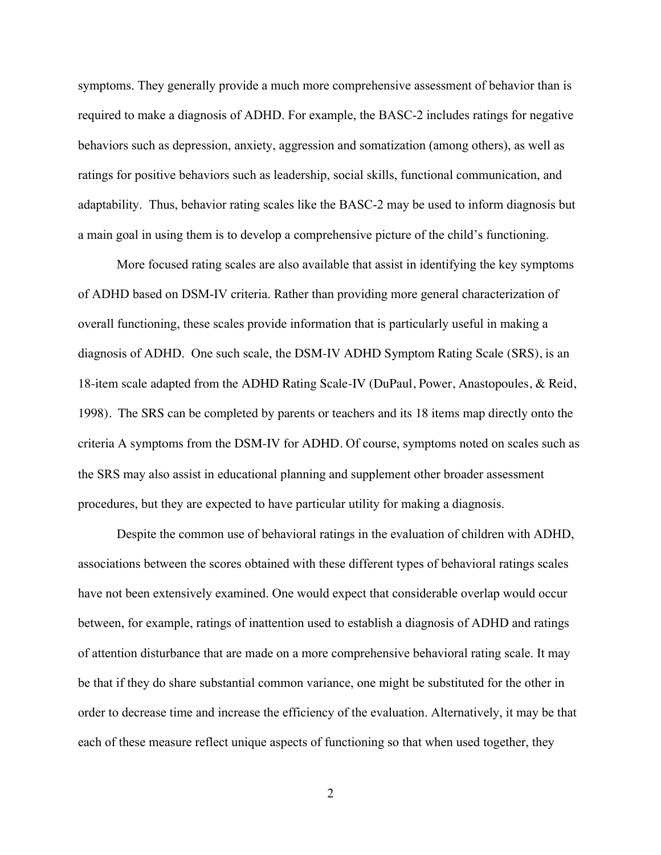symptoms. They generally provide a much more comprehensive assessment of behavior than is required to make a diagnosis of ADHD. For example, the BASC-2 includes ratings for negative behaviors such as depression, anxiety, aggression and somatization (among others), as well as ratings for positive behaviors such as leadership, social skills, functional communication, and adaptability. Thus, behavior rating scales like the BASC-2 may be used to inform diagnosis but a main goal in using them is to develop a comprehensive picture of the child's functioning.

More focused rating scales are also available that assist in identifying the key symptoms of ADHD based on DSM-IV criteria. Rather than providing more general characterization of overall functioning, these scales provide information that is particularly useful in making a diagnosis of ADHD. One such scale, the DSM-IV ADHD Symptom Rating Scale (SRS), is an 18-item scale adapted from the ADHD Rating Scale-IV (DuPaul, Power, Anastopoules, & Reid, 1998). The SRS can be completed by parents or teachers and its 18 items map directly onto the criteria A symptoms from the DSM-IV for ADHD. Of course, symptoms noted on scales such as the SRS may also assist in educational planning and supplement other broader assessment procedures, but they are expected to have particular utility for making a diagnosis.

Despite the common use of behavioral ratings in the evaluation of children with ADHD, associations between the scores obtained with these different types of behavioral ratings scales have not been extensively examined. One would expect that considerable overlap would occur between, for example, ratings of inattention used to establish a diagnosis of ADHD and ratings of attention disturbance that are made on a more comprehensive behavioral rating scale. It may be that if they do share substantial common variance, one might be substituted for the other in order to decrease time and increase the efficiency of the evaluation. Alternatively, it may be that each of these measure reflect unique aspects of functioning so that when used together, they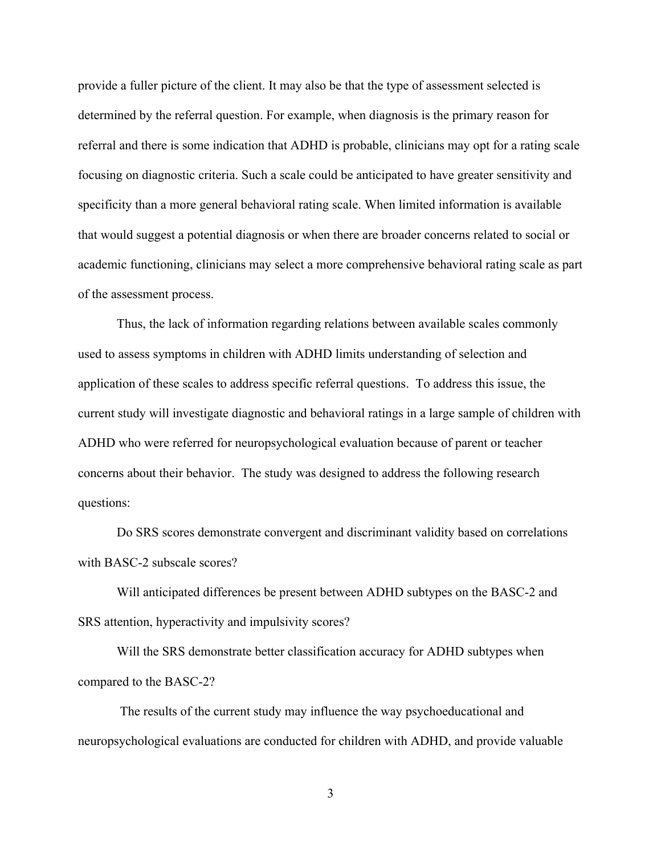provide a fuller picture of the client. It may also be that the type of assessment selected is determined by the referral question. For example, when diagnosis is the primary reason for referral and there is some indication that ADHD is probable, clinicians may opt for a rating scale focusing on diagnostic criteria. Such a scale could be anticipated to have greater sensitivity and specificity than a more general behavioral rating scale. When limited information is available that would suggest a potential diagnosis or when there are broader concerns related to social or academic functioning, clinicians may select a more comprehensive behavioral rating scale as part of the assessment process.

Thus, the lack of information regarding relations between available scales commonly used to assess symptoms in children with ADHD limits understanding of selection and application of these scales to address specific referral questions. To address this issue, the current study will investigate diagnostic and behavioral ratings in a large sample of children with ADHD who were referred for neuropsychological evaluation because of parent or teacher concerns about their behavior. The study was designed to address the following research questions:

Do SRS scores demonstrate convergent and discriminant validity based on correlations with BASC-2 subscale scores?

Will anticipated differences be present between ADHD subtypes on the BASC-2 and SRS attention, hyperactivity and impulsivity scores?

Will the SRS demonstrate better classification accuracy for ADHD subtypes when compared to the BASC-2?

The results of the current study may influence the way psychoeducational and neuropsychological evaluations are conducted for children with ADHD, and provide valuable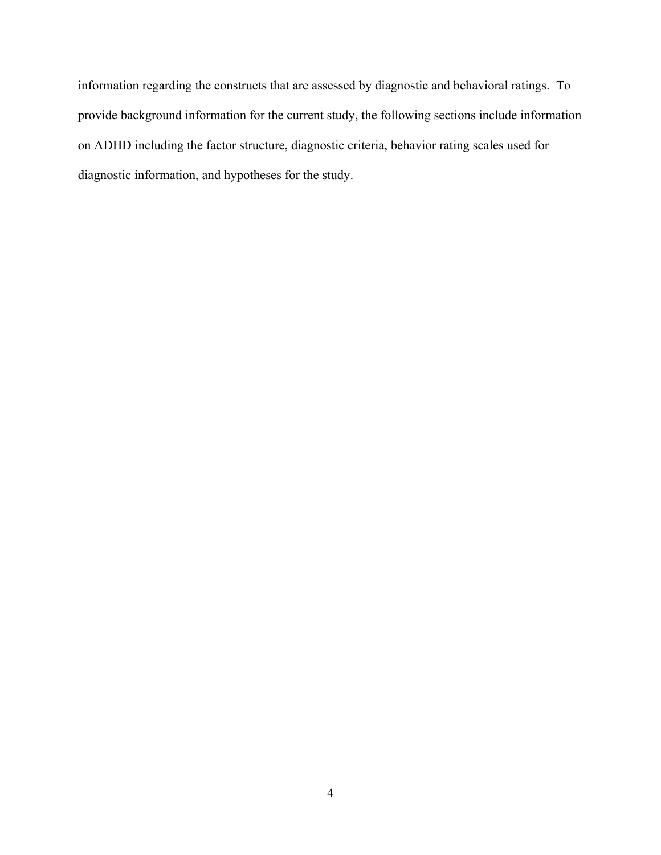information regarding the constructs that are assessed by diagnostic and behavioral ratings. To provide background information for the current study, the following sections include information on ADHD including the factor structure, diagnostic criteria, behavior rating scales used for diagnostic information, and hypotheses for the study.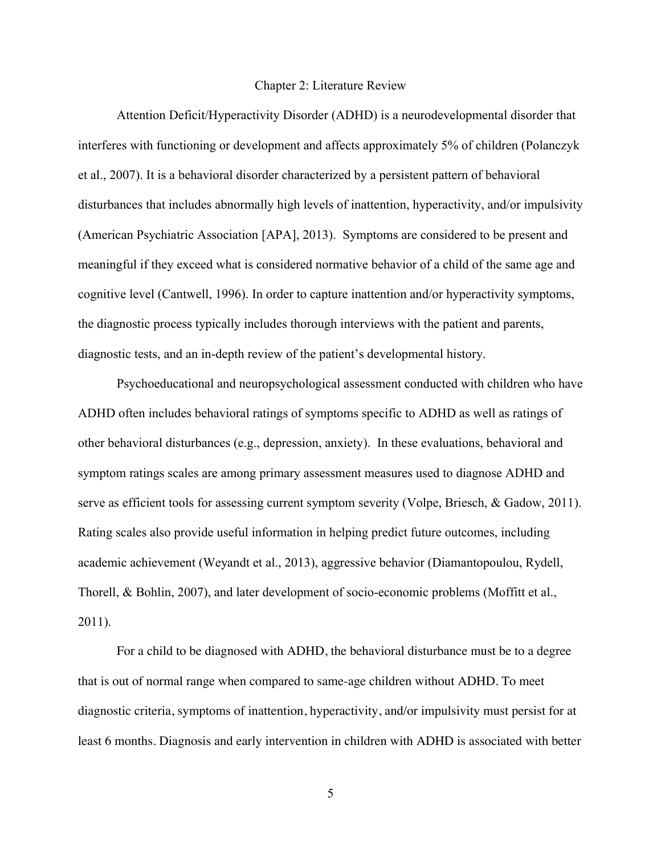#### Chapter 2: Literature Review

Attention Deficit/Hyperactivity Disorder (ADHD) is a neurodevelopmental disorder that interferes with functioning or development and affects approximately 5% of children (Polanczyk et al., 2007). It is a behavioral disorder characterized by a persistent pattern of behavioral disturbances that includes abnormally high levels of inattention, hyperactivity, and/or impulsivity (American Psychiatric Association [APA], 2013). Symptoms are considered to be present and meaningful if they exceed what is considered normative behavior of a child of the same age and cognitive level (Cantwell, 1996). In order to capture inattention and/or hyperactivity symptoms, the diagnostic process typically includes thorough interviews with the patient and parents, diagnostic tests, and an in-depth review of the patient's developmental history.

Psychoeducational and neuropsychological assessment conducted with children who have ADHD often includes behavioral ratings of symptoms specific to ADHD as well as ratings of other behavioral disturbances (e.g., depression, anxiety). In these evaluations, behavioral and symptom ratings scales are among primary assessment measures used to diagnose ADHD and serve as efficient tools for assessing current symptom severity (Volpe, Briesch, & Gadow, 2011). Rating scales also provide useful information in helping predict future outcomes, including academic achievement (Weyandt et al., 2013), aggressive behavior (Diamantopoulou, Rydell, Thorell, & Bohlin, 2007), and later development of socio-economic problems (Moffitt et al., 2011).

For a child to be diagnosed with ADHD, the behavioral disturbance must be to a degree that is out of normal range when compared to same-age children without ADHD. To meet diagnostic criteria, symptoms of inattention, hyperactivity, and/or impulsivity must persist for at least 6 months. Diagnosis and early intervention in children with ADHD is associated with better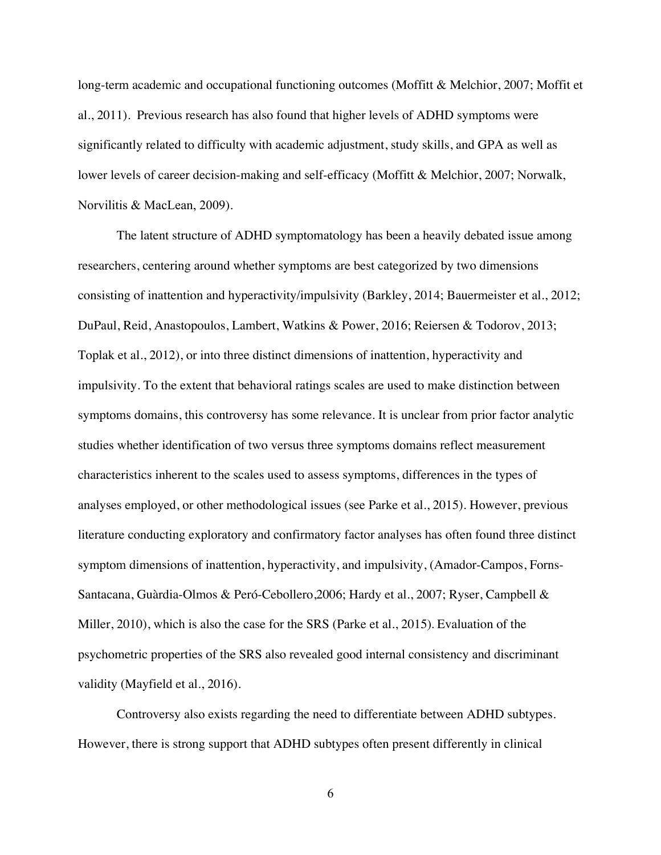long-term academic and occupational functioning outcomes (Moffitt & Melchior, 2007; Moffit et al., 2011). Previous research has also found that higher levels of ADHD symptoms were significantly related to difficulty with academic adjustment, study skills, and GPA as well as lower levels of career decision-making and self-efficacy (Moffitt & Melchior, 2007; Norwalk, Norvilitis & MacLean, 2009).

The latent structure of ADHD symptomatology has been a heavily debated issue among researchers, centering around whether symptoms are best categorized by two dimensions consisting of inattention and hyperactivity/impulsivity (Barkley, 2014; Bauermeister et al., 2012; DuPaul, Reid, Anastopoulos, Lambert, Watkins & Power, 2016; Reiersen & Todorov, 2013; Toplak et al., 2012), or into three distinct dimensions of inattention, hyperactivity and impulsivity. To the extent that behavioral ratings scales are used to make distinction between symptoms domains, this controversy has some relevance. It is unclear from prior factor analytic studies whether identification of two versus three symptoms domains reflect measurement characteristics inherent to the scales used to assess symptoms, differences in the types of analyses employed, or other methodological issues (see Parke et al., 2015). However, previous literature conducting exploratory and confirmatory factor analyses has often found three distinct symptom dimensions of inattention, hyperactivity, and impulsivity, (Amador-Campos, Forns-Santacana, Guàrdia-Olmos & Peró-Cebollero,2006; Hardy et al., 2007; Ryser, Campbell & Miller, 2010), which is also the case for the SRS (Parke et al., 2015). Evaluation of the psychometric properties of the SRS also revealed good internal consistency and discriminant validity (Mayfield et al., 2016).

Controversy also exists regarding the need to differentiate between ADHD subtypes. However, there is strong support that ADHD subtypes often present differently in clinical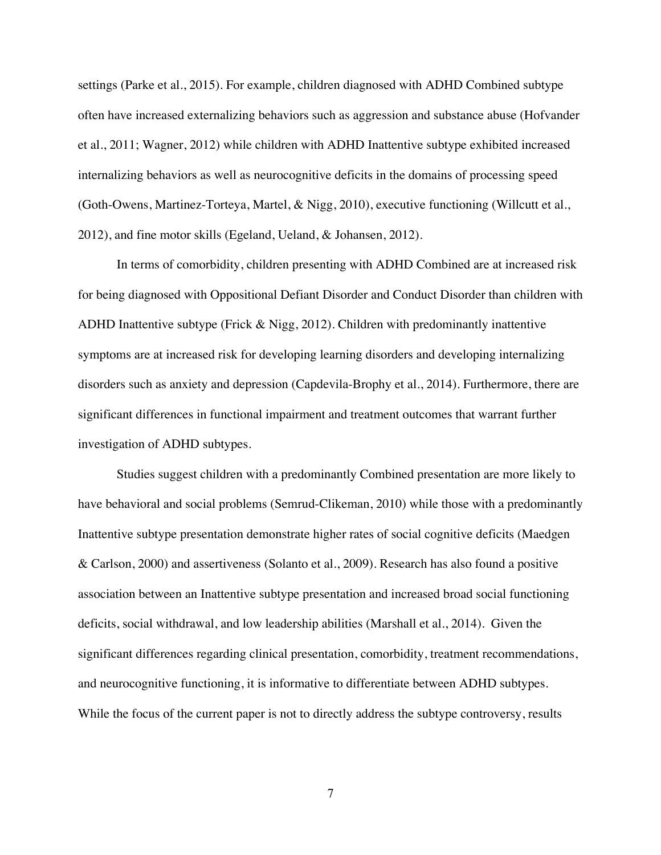settings (Parke et al., 2015). For example, children diagnosed with ADHD Combined subtype often have increased externalizing behaviors such as aggression and substance abuse (Hofvander et al., 2011; Wagner, 2012) while children with ADHD Inattentive subtype exhibited increased internalizing behaviors as well as neurocognitive deficits in the domains of processing speed (Goth-Owens, Martinez-Torteya, Martel, & Nigg, 2010), executive functioning (Willcutt et al., 2012), and fine motor skills (Egeland, Ueland, & Johansen, 2012).

In terms of comorbidity, children presenting with ADHD Combined are at increased risk for being diagnosed with Oppositional Defiant Disorder and Conduct Disorder than children with ADHD Inattentive subtype (Frick & Nigg, 2012). Children with predominantly inattentive symptoms are at increased risk for developing learning disorders and developing internalizing disorders such as anxiety and depression (Capdevila-Brophy et al., 2014). Furthermore, there are significant differences in functional impairment and treatment outcomes that warrant further investigation of ADHD subtypes.

Studies suggest children with a predominantly Combined presentation are more likely to have behavioral and social problems (Semrud-Clikeman, 2010) while those with a predominantly Inattentive subtype presentation demonstrate higher rates of social cognitive deficits (Maedgen & Carlson, 2000) and assertiveness (Solanto et al., 2009). Research has also found a positive association between an Inattentive subtype presentation and increased broad social functioning deficits, social withdrawal, and low leadership abilities (Marshall et al., 2014). Given the significant differences regarding clinical presentation, comorbidity, treatment recommendations, and neurocognitive functioning, it is informative to differentiate between ADHD subtypes. While the focus of the current paper is not to directly address the subtype controversy, results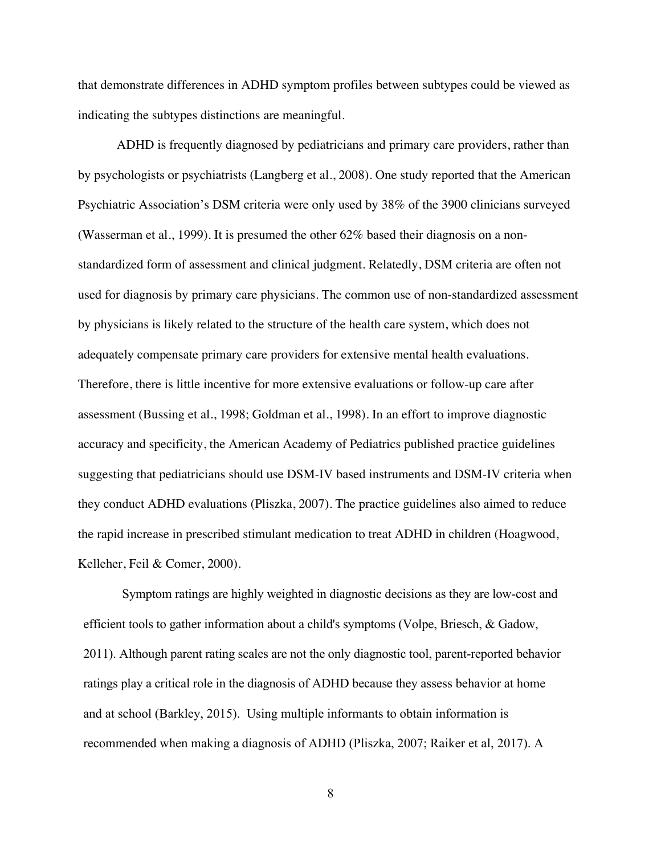that demonstrate differences in ADHD symptom profiles between subtypes could be viewed as indicating the subtypes distinctions are meaningful.

ADHD is frequently diagnosed by pediatricians and primary care providers, rather than by psychologists or psychiatrists (Langberg et al., 2008). One study reported that the American Psychiatric Association's DSM criteria were only used by 38% of the 3900 clinicians surveyed (Wasserman et al., 1999). It is presumed the other 62% based their diagnosis on a nonstandardized form of assessment and clinical judgment. Relatedly, DSM criteria are often not used for diagnosis by primary care physicians. The common use of non-standardized assessment by physicians is likely related to the structure of the health care system, which does not adequately compensate primary care providers for extensive mental health evaluations. Therefore, there is little incentive for more extensive evaluations or follow-up care after assessment (Bussing et al., 1998; Goldman et al., 1998). In an effort to improve diagnostic accuracy and specificity, the American Academy of Pediatrics published practice guidelines suggesting that pediatricians should use DSM-IV based instruments and DSM-IV criteria when they conduct ADHD evaluations (Pliszka, 2007). The practice guidelines also aimed to reduce the rapid increase in prescribed stimulant medication to treat ADHD in children (Hoagwood, Kelleher, Feil & Comer, 2000).

Symptom ratings are highly weighted in diagnostic decisions as they are low-cost and efficient tools to gather information about a child's symptoms (Volpe, Briesch, & Gadow, 2011). Although parent rating scales are not the only diagnostic tool, parent-reported behavior ratings play a critical role in the diagnosis of ADHD because they assess behavior at home and at school (Barkley, 2015). Using multiple informants to obtain information is recommended when making a diagnosis of ADHD (Pliszka, 2007; Raiker et al, 2017). A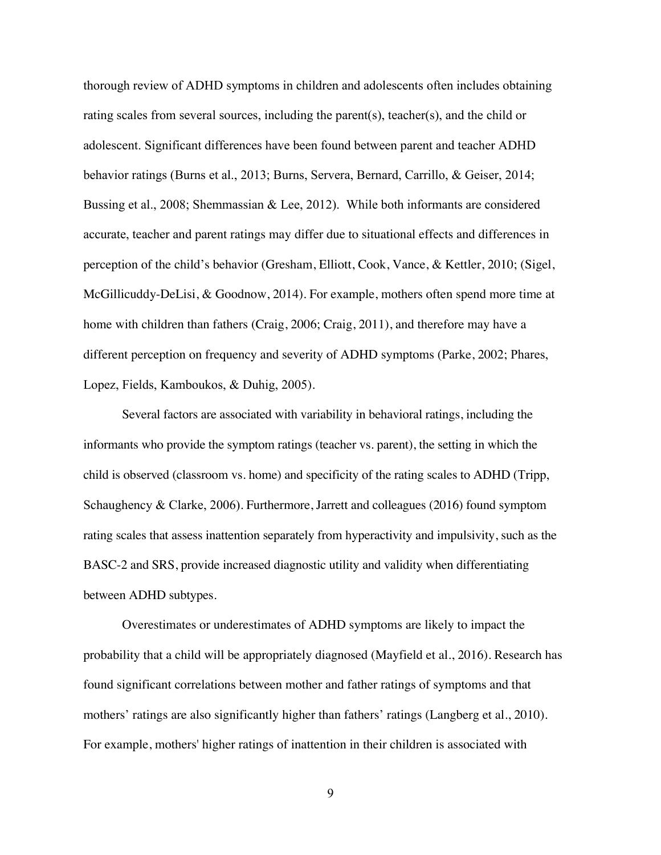thorough review of ADHD symptoms in children and adolescents often includes obtaining rating scales from several sources, including the parent(s), teacher(s), and the child or adolescent. Significant differences have been found between parent and teacher ADHD behavior ratings (Burns et al., 2013; Burns, Servera, Bernard, Carrillo, & Geiser, 2014; Bussing et al., 2008; Shemmassian & Lee, 2012). While both informants are considered accurate, teacher and parent ratings may differ due to situational effects and differences in perception of the child's behavior (Gresham, Elliott, Cook, Vance, & Kettler, 2010; (Sigel, McGillicuddy-DeLisi, & Goodnow, 2014). For example, mothers often spend more time at home with children than fathers (Craig, 2006; Craig, 2011), and therefore may have a different perception on frequency and severity of ADHD symptoms (Parke, 2002; Phares, Lopez, Fields, Kamboukos, & Duhig, 2005).

Several factors are associated with variability in behavioral ratings, including the informants who provide the symptom ratings (teacher vs. parent), the setting in which the child is observed (classroom vs. home) and specificity of the rating scales to ADHD (Tripp, Schaughency & Clarke, 2006). Furthermore, Jarrett and colleagues (2016) found symptom rating scales that assess inattention separately from hyperactivity and impulsivity, such as the BASC-2 and SRS, provide increased diagnostic utility and validity when differentiating between ADHD subtypes.

Overestimates or underestimates of ADHD symptoms are likely to impact the probability that a child will be appropriately diagnosed (Mayfield et al., 2016). Research has found significant correlations between mother and father ratings of symptoms and that mothers' ratings are also significantly higher than fathers' ratings (Langberg et al., 2010). For example, mothers' higher ratings of inattention in their children is associated with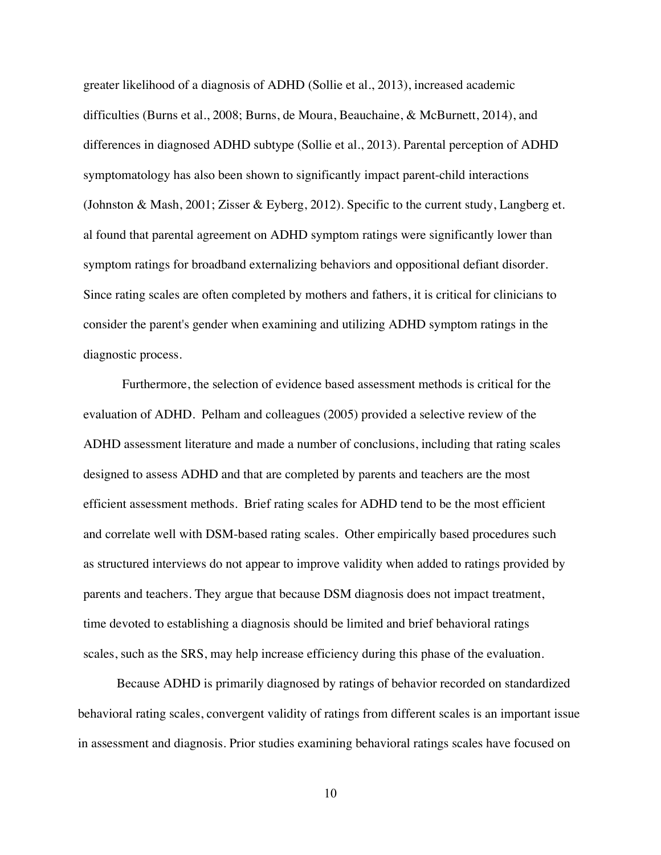greater likelihood of a diagnosis of ADHD (Sollie et al., 2013), increased academic difficulties (Burns et al., 2008; Burns, de Moura, Beauchaine, & McBurnett, 2014), and differences in diagnosed ADHD subtype (Sollie et al., 2013). Parental perception of ADHD symptomatology has also been shown to significantly impact parent-child interactions (Johnston & Mash, 2001; Zisser & Eyberg, 2012). Specific to the current study, Langberg et. al found that parental agreement on ADHD symptom ratings were significantly lower than symptom ratings for broadband externalizing behaviors and oppositional defiant disorder. Since rating scales are often completed by mothers and fathers, it is critical for clinicians to consider the parent's gender when examining and utilizing ADHD symptom ratings in the diagnostic process.

Furthermore, the selection of evidence based assessment methods is critical for the evaluation of ADHD. Pelham and colleagues (2005) provided a selective review of the ADHD assessment literature and made a number of conclusions, including that rating scales designed to assess ADHD and that are completed by parents and teachers are the most efficient assessment methods. Brief rating scales for ADHD tend to be the most efficient and correlate well with DSM-based rating scales. Other empirically based procedures such as structured interviews do not appear to improve validity when added to ratings provided by parents and teachers. They argue that because DSM diagnosis does not impact treatment, time devoted to establishing a diagnosis should be limited and brief behavioral ratings scales, such as the SRS, may help increase efficiency during this phase of the evaluation.

Because ADHD is primarily diagnosed by ratings of behavior recorded on standardized behavioral rating scales, convergent validity of ratings from different scales is an important issue in assessment and diagnosis. Prior studies examining behavioral ratings scales have focused on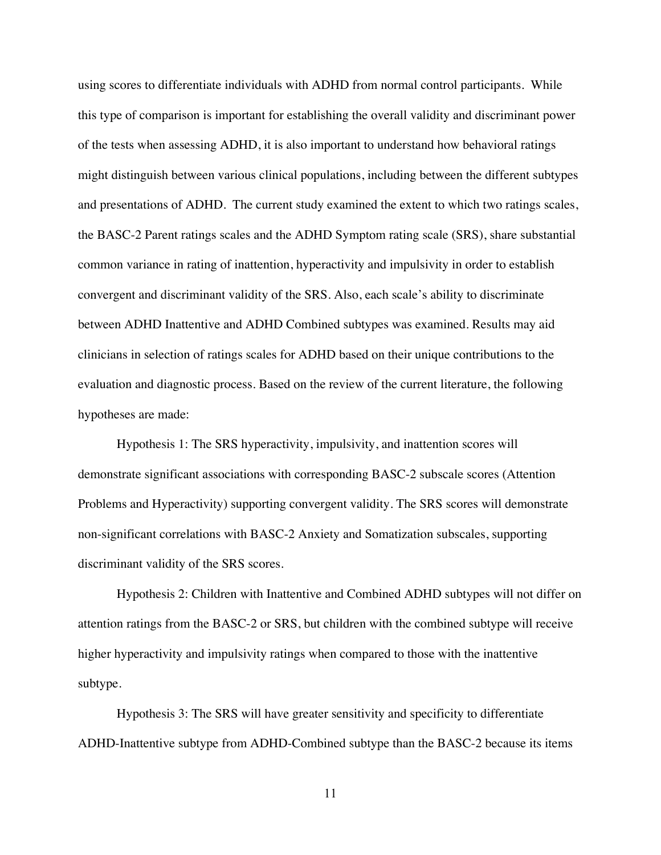using scores to differentiate individuals with ADHD from normal control participants. While this type of comparison is important for establishing the overall validity and discriminant power of the tests when assessing ADHD, it is also important to understand how behavioral ratings might distinguish between various clinical populations, including between the different subtypes and presentations of ADHD. The current study examined the extent to which two ratings scales, the BASC-2 Parent ratings scales and the ADHD Symptom rating scale (SRS), share substantial common variance in rating of inattention, hyperactivity and impulsivity in order to establish convergent and discriminant validity of the SRS. Also, each scale's ability to discriminate between ADHD Inattentive and ADHD Combined subtypes was examined. Results may aid clinicians in selection of ratings scales for ADHD based on their unique contributions to the evaluation and diagnostic process. Based on the review of the current literature, the following hypotheses are made:

Hypothesis 1: The SRS hyperactivity, impulsivity, and inattention scores will demonstrate significant associations with corresponding BASC-2 subscale scores (Attention Problems and Hyperactivity) supporting convergent validity. The SRS scores will demonstrate non-significant correlations with BASC-2 Anxiety and Somatization subscales, supporting discriminant validity of the SRS scores.

Hypothesis 2: Children with Inattentive and Combined ADHD subtypes will not differ on attention ratings from the BASC-2 or SRS, but children with the combined subtype will receive higher hyperactivity and impulsivity ratings when compared to those with the inattentive subtype.

Hypothesis 3: The SRS will have greater sensitivity and specificity to differentiate ADHD-Inattentive subtype from ADHD-Combined subtype than the BASC-2 because its items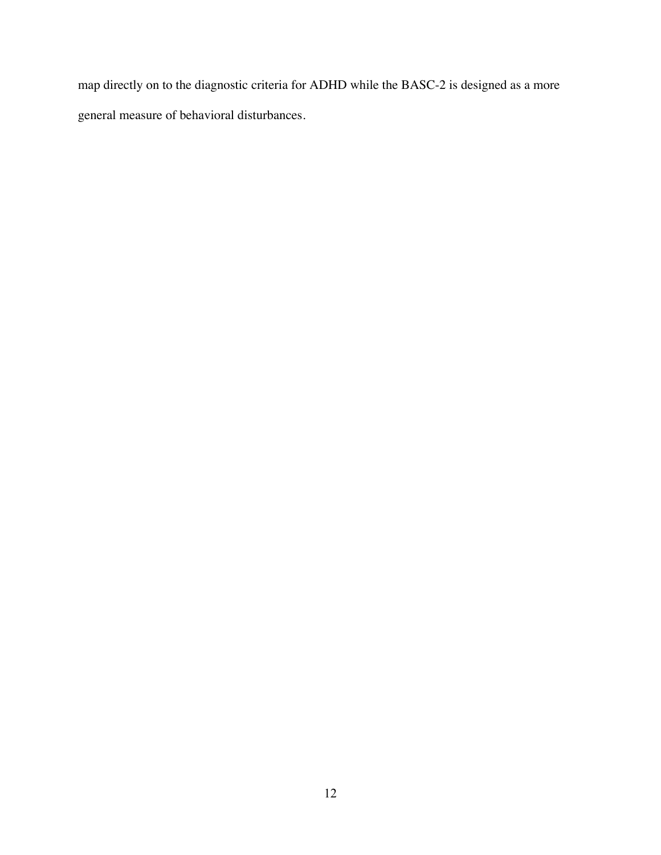map directly on to the diagnostic criteria for ADHD while the BASC-2 is designed as a more general measure of behavioral disturbances.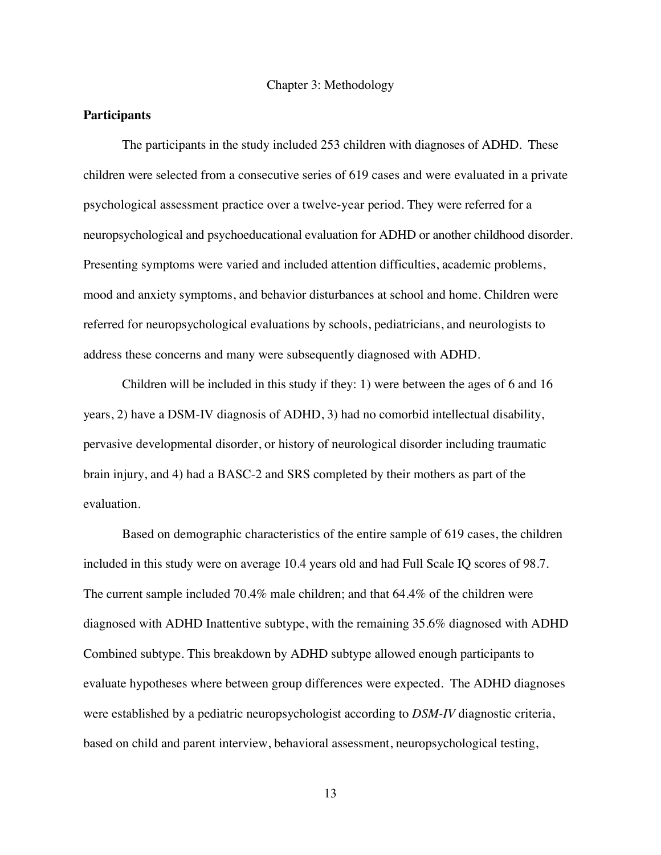Chapter 3: Methodology

#### **Participants**

The participants in the study included 253 children with diagnoses of ADHD. These children were selected from a consecutive series of 619 cases and were evaluated in a private psychological assessment practice over a twelve-year period. They were referred for a neuropsychological and psychoeducational evaluation for ADHD or another childhood disorder. Presenting symptoms were varied and included attention difficulties, academic problems, mood and anxiety symptoms, and behavior disturbances at school and home. Children were referred for neuropsychological evaluations by schools, pediatricians, and neurologists to address these concerns and many were subsequently diagnosed with ADHD.

Children will be included in this study if they: 1) were between the ages of 6 and 16 years, 2) have a DSM-IV diagnosis of ADHD, 3) had no comorbid intellectual disability, pervasive developmental disorder, or history of neurological disorder including traumatic brain injury, and 4) had a BASC-2 and SRS completed by their mothers as part of the evaluation.

Based on demographic characteristics of the entire sample of 619 cases, the children included in this study were on average 10.4 years old and had Full Scale IQ scores of 98.7. The current sample included 70.4% male children; and that 64.4% of the children were diagnosed with ADHD Inattentive subtype, with the remaining 35.6% diagnosed with ADHD Combined subtype. This breakdown by ADHD subtype allowed enough participants to evaluate hypotheses where between group differences were expected. The ADHD diagnoses were established by a pediatric neuropsychologist according to *DSM-IV* diagnostic criteria, based on child and parent interview, behavioral assessment, neuropsychological testing,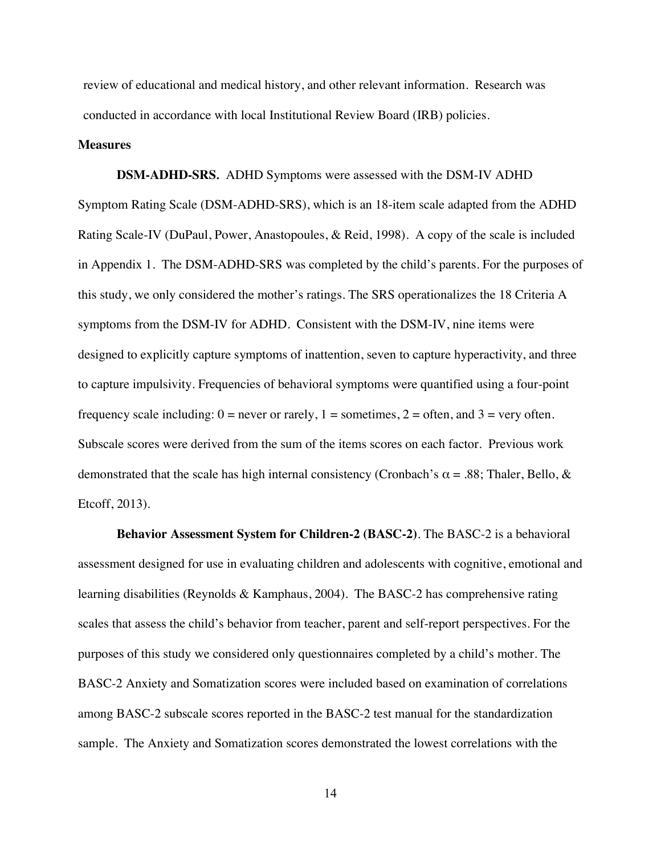review of educational and medical history, and other relevant information. Research was conducted in accordance with local Institutional Review Board (IRB) policies.

#### **Measures**

**DSM-ADHD-SRS***.* ADHD Symptoms were assessed with the DSM-IV ADHD Symptom Rating Scale (DSM-ADHD-SRS), which is an 18-item scale adapted from the ADHD Rating Scale-IV (DuPaul, Power, Anastopoules, & Reid, 1998). A copy of the scale is included in Appendix 1. The DSM-ADHD-SRS was completed by the child's parents. For the purposes of this study, we only considered the mother's ratings. The SRS operationalizes the 18 Criteria A symptoms from the DSM-IV for ADHD. Consistent with the DSM-IV, nine items were designed to explicitly capture symptoms of inattention, seven to capture hyperactivity, and three to capture impulsivity. Frequencies of behavioral symptoms were quantified using a four-point frequency scale including:  $0 =$  never or rarely,  $1 =$  sometimes,  $2 =$  often, and  $3 =$  very often. Subscale scores were derived from the sum of the items scores on each factor. Previous work demonstrated that the scale has high internal consistency (Cronbach's  $\alpha$  = .88; Thaler, Bello, & Etcoff, 2013).

**Behavior Assessment System for Children-2 (BASC-2)**. The BASC-2 is a behavioral assessment designed for use in evaluating children and adolescents with cognitive, emotional and learning disabilities (Reynolds & Kamphaus, 2004). The BASC-2 has comprehensive rating scales that assess the child's behavior from teacher, parent and self-report perspectives. For the purposes of this study we considered only questionnaires completed by a child's mother. The BASC-2 Anxiety and Somatization scores were included based on examination of correlations among BASC-2 subscale scores reported in the BASC-2 test manual for the standardization sample. The Anxiety and Somatization scores demonstrated the lowest correlations with the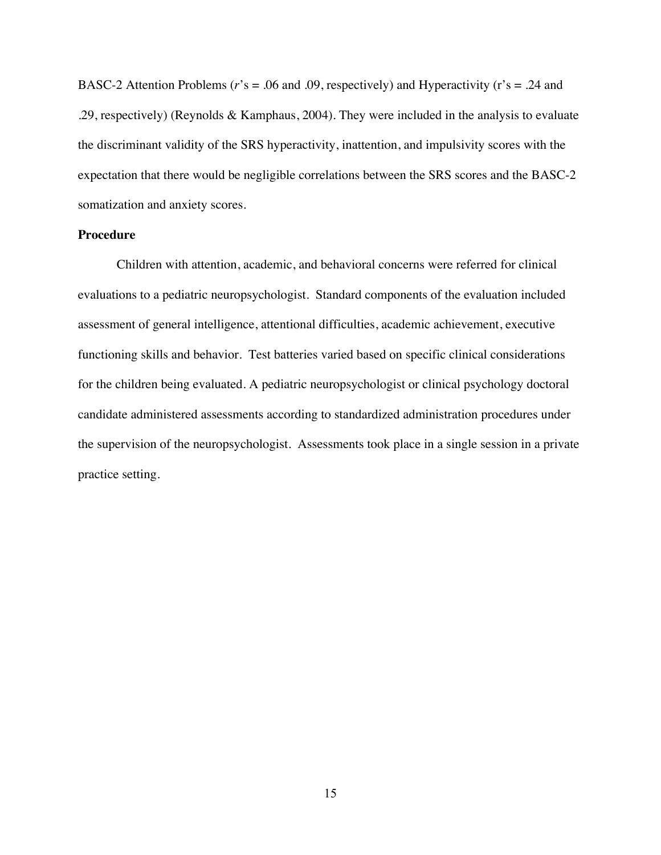BASC-2 Attention Problems (*r*'s = .06 and .09, respectively) and Hyperactivity (r's = .24 and .29, respectively) (Reynolds & Kamphaus, 2004). They were included in the analysis to evaluate the discriminant validity of the SRS hyperactivity, inattention, and impulsivity scores with the expectation that there would be negligible correlations between the SRS scores and the BASC-2 somatization and anxiety scores.

#### **Procedure**

Children with attention, academic, and behavioral concerns were referred for clinical evaluations to a pediatric neuropsychologist. Standard components of the evaluation included assessment of general intelligence, attentional difficulties, academic achievement, executive functioning skills and behavior. Test batteries varied based on specific clinical considerations for the children being evaluated. A pediatric neuropsychologist or clinical psychology doctoral candidate administered assessments according to standardized administration procedures under the supervision of the neuropsychologist. Assessments took place in a single session in a private practice setting.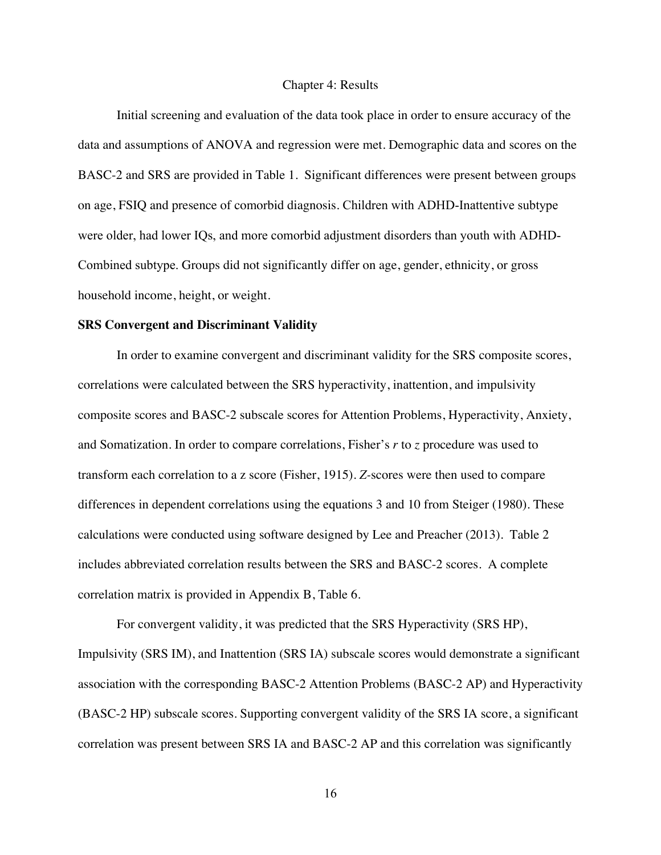#### Chapter 4: Results

Initial screening and evaluation of the data took place in order to ensure accuracy of the data and assumptions of ANOVA and regression were met. Demographic data and scores on the BASC-2 and SRS are provided in Table 1. Significant differences were present between groups on age, FSIQ and presence of comorbid diagnosis. Children with ADHD-Inattentive subtype were older, had lower IQs, and more comorbid adjustment disorders than youth with ADHD-Combined subtype. Groups did not significantly differ on age, gender, ethnicity, or gross household income, height, or weight.

#### **SRS Convergent and Discriminant Validity**

In order to examine convergent and discriminant validity for the SRS composite scores, correlations were calculated between the SRS hyperactivity, inattention, and impulsivity composite scores and BASC-2 subscale scores for Attention Problems, Hyperactivity, Anxiety, and Somatization. In order to compare correlations, Fisher's *r* to *z* procedure was used to transform each correlation to a z score (Fisher, 1915). *Z-*scores were then used to compare differences in dependent correlations using the equations 3 and 10 from Steiger (1980). These calculations were conducted using software designed by Lee and Preacher (2013). Table 2 includes abbreviated correlation results between the SRS and BASC-2 scores. A complete correlation matrix is provided in Appendix B, Table 6.

For convergent validity, it was predicted that the SRS Hyperactivity (SRS HP), Impulsivity (SRS IM), and Inattention (SRS IA) subscale scores would demonstrate a significant association with the corresponding BASC-2 Attention Problems (BASC-2 AP) and Hyperactivity (BASC-2 HP) subscale scores. Supporting convergent validity of the SRS IA score, a significant correlation was present between SRS IA and BASC-2 AP and this correlation was significantly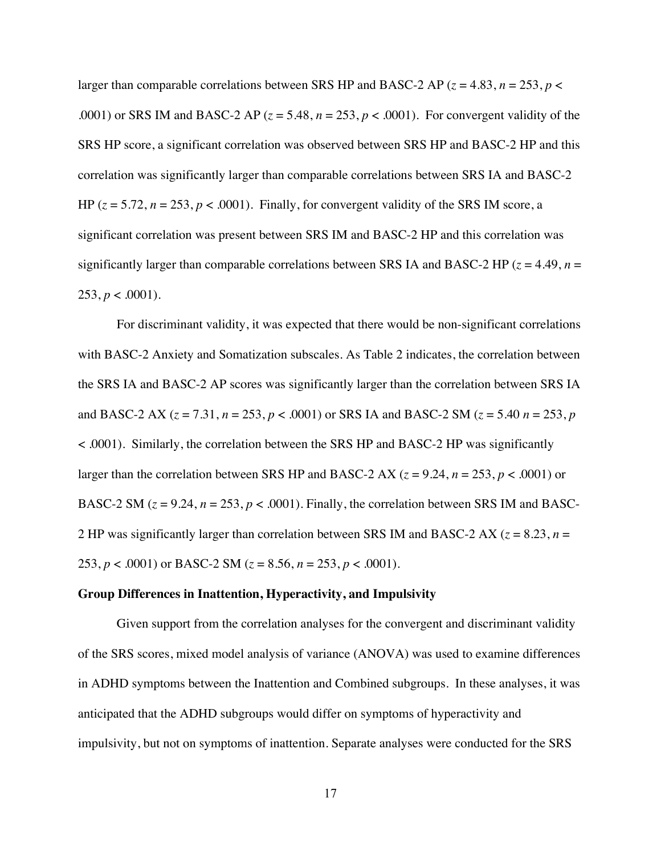larger than comparable correlations between SRS HP and BASC-2 AP ( $z = 4.83$ ,  $n = 253$ ,  $p <$ .0001) or SRS IM and BASC-2 AP  $(z = 5.48, n = 253, p < .0001)$ . For convergent validity of the SRS HP score, a significant correlation was observed between SRS HP and BASC-2 HP and this correlation was significantly larger than comparable correlations between SRS IA and BASC-2 HP  $(z = 5.72, n = 253, p < .0001)$ . Finally, for convergent validity of the SRS IM score, a significant correlation was present between SRS IM and BASC-2 HP and this correlation was significantly larger than comparable correlations between SRS IA and BASC-2 HP ( $z = 4.49$ ,  $n =$  $253, p < .0001$ ).

For discriminant validity, it was expected that there would be non-significant correlations with BASC-2 Anxiety and Somatization subscales. As Table 2 indicates, the correlation between the SRS IA and BASC-2 AP scores was significantly larger than the correlation between SRS IA and BASC-2 AX (*z* = 7.31, *n* = 253, *p* < .0001) or SRS IA and BASC-2 SM (*z* = 5.40 *n* = 253, *p* < .0001). Similarly, the correlation between the SRS HP and BASC-2 HP was significantly larger than the correlation between SRS HP and BASC-2 AX ( $z = 9.24$ ,  $n = 253$ ,  $p < .0001$ ) or BASC-2 SM  $(z = 9.24, n = 253, p < .0001)$ . Finally, the correlation between SRS IM and BASC-2 HP was significantly larger than correlation between SRS IM and BASC-2 AX ( $z = 8.23$ ,  $n =$ 253,  $p < .0001$ ) or BASC-2 SM ( $z = 8.56$ ,  $n = 253$ ,  $p < .0001$ ).

#### **Group Differences in Inattention, Hyperactivity, and Impulsivity**

Given support from the correlation analyses for the convergent and discriminant validity of the SRS scores, mixed model analysis of variance (ANOVA) was used to examine differences in ADHD symptoms between the Inattention and Combined subgroups. In these analyses, it was anticipated that the ADHD subgroups would differ on symptoms of hyperactivity and impulsivity, but not on symptoms of inattention. Separate analyses were conducted for the SRS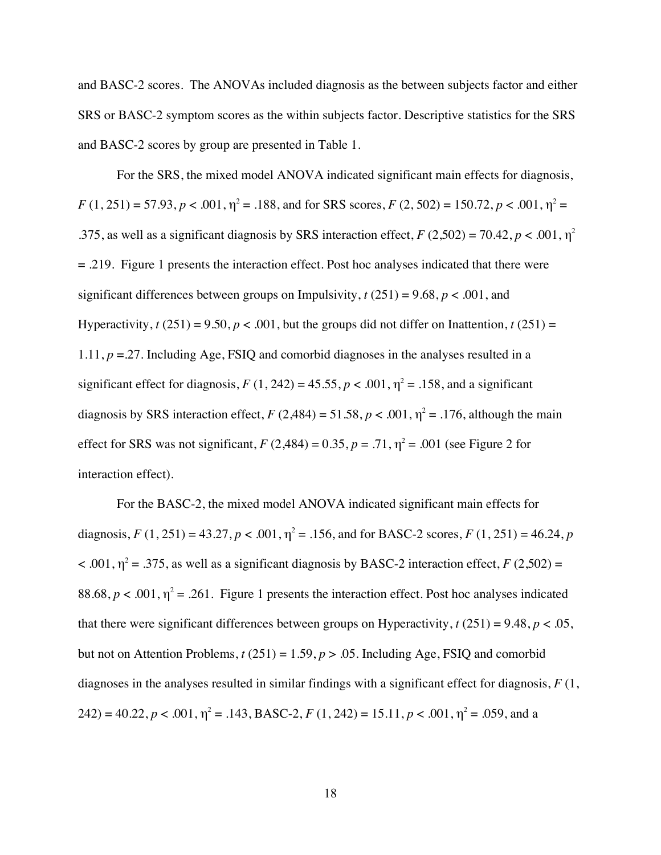and BASC-2 scores. The ANOVAs included diagnosis as the between subjects factor and either SRS or BASC-2 symptom scores as the within subjects factor. Descriptive statistics for the SRS and BASC-2 scores by group are presented in Table 1.

For the SRS, the mixed model ANOVA indicated significant main effects for diagnosis,  $F(1, 251) = 57.93, p < .001, \eta^2 = .188$ , and for SRS scores,  $F(2, 502) = 150.72, p < .001, \eta^2 =$ .375, as well as a significant diagnosis by SRS interaction effect,  $F(2,502) = 70.42$ ,  $p < .001$ ,  $\eta^2$ = .219. Figure 1 presents the interaction effect. Post hoc analyses indicated that there were significant differences between groups on Impulsivity,  $t(251) = 9.68$ ,  $p < .001$ , and Hyperactivity,  $t(251) = 9.50$ ,  $p < .001$ , but the groups did not differ on Inattention,  $t(251) =$ 1.11, *p* =.27. Including Age, FSIQ and comorbid diagnoses in the analyses resulted in a significant effect for diagnosis,  $F(1, 242) = 45.55$ ,  $p < .001$ ,  $\eta^2 = .158$ , and a significant diagnosis by SRS interaction effect,  $F(2,484) = 51.58, p < .001, \eta^2 = .176$ , although the main effect for SRS was not significant,  $F(2,484) = 0.35$ ,  $p = .71$ ,  $\eta^2 = .001$  (see Figure 2 for interaction effect).

For the BASC-2, the mixed model ANOVA indicated significant main effects for diagnosis,  $F(1, 251) = 43.27$ ,  $p < .001$ ,  $\eta^2 = .156$ , and for BASC-2 scores,  $F(1, 251) = 46.24$ ,  $p$  $\leq$  .001,  $\eta^2 = 0.375$ , as well as a significant diagnosis by BASC-2 interaction effect, *F* (2,502) = 88.68,  $p < .001$ ,  $\eta^2 = .261$ . Figure 1 presents the interaction effect. Post hoc analyses indicated that there were significant differences between groups on Hyperactivity,  $t(251) = 9.48$ ,  $p < .05$ , but not on Attention Problems,  $t(251) = 1.59$ ,  $p > .05$ . Including Age, FSIQ and comorbid diagnoses in the analyses resulted in similar findings with a significant effect for diagnosis, *F* (1, 242) = 40.22,  $p < .001$ ,  $\eta^2 = .143$ , BASC-2,  $F(1, 242) = 15.11$ ,  $p < .001$ ,  $\eta^2 = .059$ , and a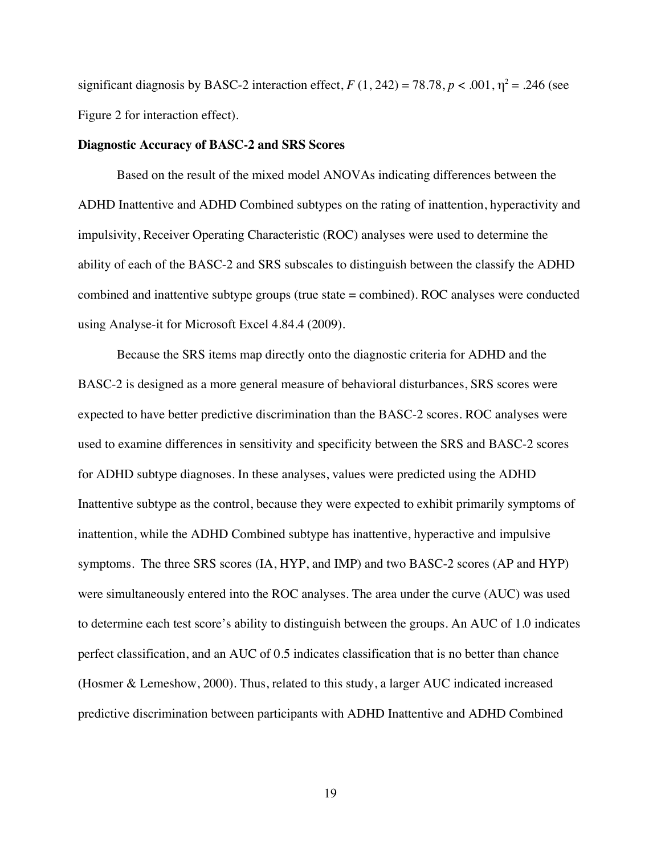significant diagnosis by BASC-2 interaction effect,  $F(1, 242) = 78.78$ ,  $p < .001$ ,  $\eta^2 = .246$  (see Figure 2 for interaction effect).

#### **Diagnostic Accuracy of BASC-2 and SRS Scores**

Based on the result of the mixed model ANOVAs indicating differences between the ADHD Inattentive and ADHD Combined subtypes on the rating of inattention, hyperactivity and impulsivity, Receiver Operating Characteristic (ROC) analyses were used to determine the ability of each of the BASC-2 and SRS subscales to distinguish between the classify the ADHD combined and inattentive subtype groups (true state = combined). ROC analyses were conducted using Analyse-it for Microsoft Excel 4.84.4 (2009).

Because the SRS items map directly onto the diagnostic criteria for ADHD and the BASC-2 is designed as a more general measure of behavioral disturbances, SRS scores were expected to have better predictive discrimination than the BASC-2 scores. ROC analyses were used to examine differences in sensitivity and specificity between the SRS and BASC-2 scores for ADHD subtype diagnoses. In these analyses, values were predicted using the ADHD Inattentive subtype as the control, because they were expected to exhibit primarily symptoms of inattention, while the ADHD Combined subtype has inattentive, hyperactive and impulsive symptoms. The three SRS scores (IA, HYP, and IMP) and two BASC-2 scores (AP and HYP) were simultaneously entered into the ROC analyses. The area under the curve (AUC) was used to determine each test score's ability to distinguish between the groups. An AUC of 1.0 indicates perfect classification, and an AUC of 0.5 indicates classification that is no better than chance (Hosmer & Lemeshow, 2000). Thus, related to this study, a larger AUC indicated increased predictive discrimination between participants with ADHD Inattentive and ADHD Combined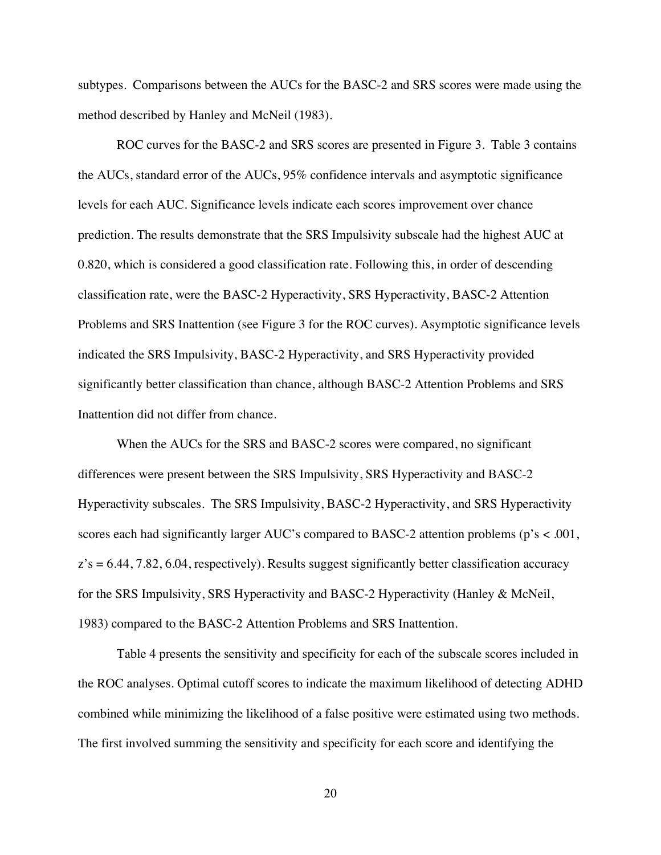subtypes. Comparisons between the AUCs for the BASC-2 and SRS scores were made using the method described by Hanley and McNeil (1983).

ROC curves for the BASC-2 and SRS scores are presented in Figure 3. Table 3 contains the AUCs, standard error of the AUCs, 95% confidence intervals and asymptotic significance levels for each AUC. Significance levels indicate each scores improvement over chance prediction. The results demonstrate that the SRS Impulsivity subscale had the highest AUC at 0.820, which is considered a good classification rate. Following this, in order of descending classification rate, were the BASC-2 Hyperactivity, SRS Hyperactivity, BASC-2 Attention Problems and SRS Inattention (see Figure 3 for the ROC curves). Asymptotic significance levels indicated the SRS Impulsivity, BASC-2 Hyperactivity, and SRS Hyperactivity provided significantly better classification than chance, although BASC-2 Attention Problems and SRS Inattention did not differ from chance.

When the AUCs for the SRS and BASC-2 scores were compared, no significant differences were present between the SRS Impulsivity, SRS Hyperactivity and BASC-2 Hyperactivity subscales. The SRS Impulsivity, BASC-2 Hyperactivity, and SRS Hyperactivity scores each had significantly larger AUC's compared to BASC-2 attention problems (p's < .001,  $z's = 6.44, 7.82, 6.04$ , respectively). Results suggest significantly better classification accuracy for the SRS Impulsivity, SRS Hyperactivity and BASC-2 Hyperactivity (Hanley & McNeil, 1983) compared to the BASC-2 Attention Problems and SRS Inattention.

Table 4 presents the sensitivity and specificity for each of the subscale scores included in the ROC analyses. Optimal cutoff scores to indicate the maximum likelihood of detecting ADHD combined while minimizing the likelihood of a false positive were estimated using two methods. The first involved summing the sensitivity and specificity for each score and identifying the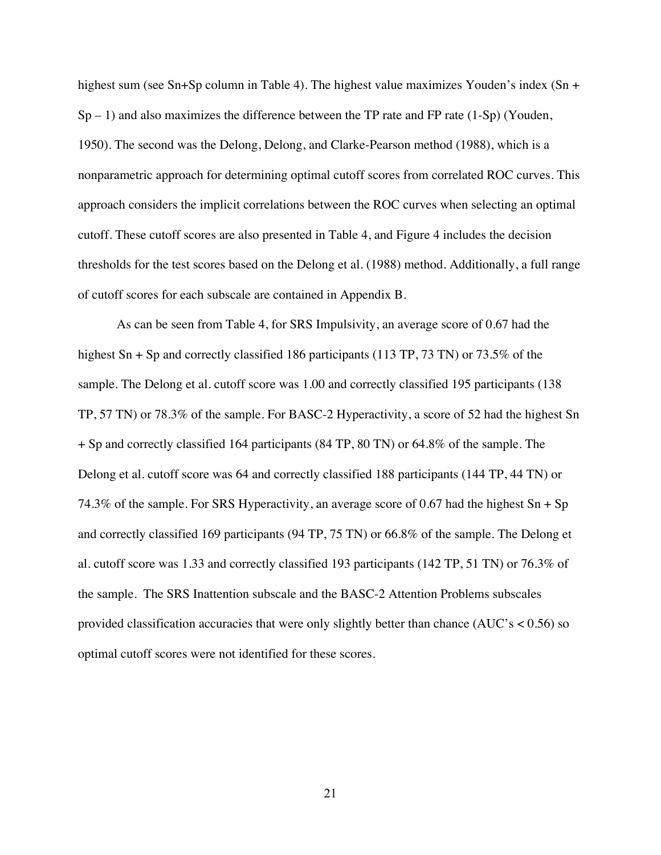highest sum (see Sn+Sp column in Table 4). The highest value maximizes Youden's index (Sn +  $Sp - 1$ ) and also maximizes the difference between the TP rate and FP rate (1-Sp) (Youden, 1950). The second was the Delong, Delong, and Clarke-Pearson method (1988), which is a nonparametric approach for determining optimal cutoff scores from correlated ROC curves. This approach considers the implicit correlations between the ROC curves when selecting an optimal cutoff. These cutoff scores are also presented in Table 4, and Figure 4 includes the decision thresholds for the test scores based on the Delong et al. (1988) method. Additionally, a full range of cutoff scores for each subscale are contained in Appendix B.

As can be seen from Table 4, for SRS Impulsivity, an average score of 0.67 had the highest Sn + Sp and correctly classified 186 participants (113 TP, 73 TN) or 73.5% of the sample. The Delong et al. cutoff score was 1.00 and correctly classified 195 participants (138 TP, 57 TN) or 78.3% of the sample. For BASC-2 Hyperactivity, a score of 52 had the highest Sn + Sp and correctly classified 164 participants (84 TP, 80 TN) or 64.8% of the sample. The Delong et al. cutoff score was 64 and correctly classified 188 participants (144 TP, 44 TN) or 74.3% of the sample. For SRS Hyperactivity, an average score of 0.67 had the highest  $Sn + Sp$ and correctly classified 169 participants (94 TP, 75 TN) or 66.8% of the sample. The Delong et al. cutoff score was 1.33 and correctly classified 193 participants (142 TP, 51 TN) or 76.3% of the sample. The SRS Inattention subscale and the BASC-2 Attention Problems subscales provided classification accuracies that were only slightly better than chance  $(AUC's < 0.56)$  so optimal cutoff scores were not identified for these scores.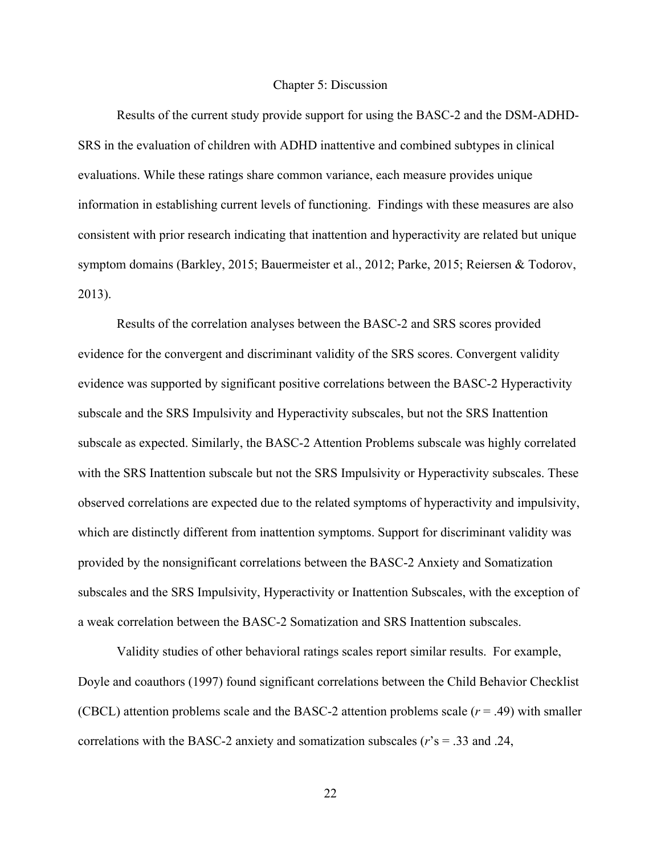#### Chapter 5: Discussion

Results of the current study provide support for using the BASC-2 and the DSM-ADHD-SRS in the evaluation of children with ADHD inattentive and combined subtypes in clinical evaluations. While these ratings share common variance, each measure provides unique information in establishing current levels of functioning. Findings with these measures are also consistent with prior research indicating that inattention and hyperactivity are related but unique symptom domains (Barkley, 2015; Bauermeister et al., 2012; Parke, 2015; Reiersen & Todorov, 2013).

Results of the correlation analyses between the BASC-2 and SRS scores provided evidence for the convergent and discriminant validity of the SRS scores. Convergent validity evidence was supported by significant positive correlations between the BASC-2 Hyperactivity subscale and the SRS Impulsivity and Hyperactivity subscales, but not the SRS Inattention subscale as expected. Similarly, the BASC-2 Attention Problems subscale was highly correlated with the SRS Inattention subscale but not the SRS Impulsivity or Hyperactivity subscales. These observed correlations are expected due to the related symptoms of hyperactivity and impulsivity, which are distinctly different from inattention symptoms. Support for discriminant validity was provided by the nonsignificant correlations between the BASC-2 Anxiety and Somatization subscales and the SRS Impulsivity, Hyperactivity or Inattention Subscales, with the exception of a weak correlation between the BASC-2 Somatization and SRS Inattention subscales.

Validity studies of other behavioral ratings scales report similar results. For example, Doyle and coauthors (1997) found significant correlations between the Child Behavior Checklist (CBCL) attention problems scale and the BASC-2 attention problems scale  $(r = .49)$  with smaller correlations with the BASC-2 anxiety and somatization subscales (*r*'s = .33 and .24,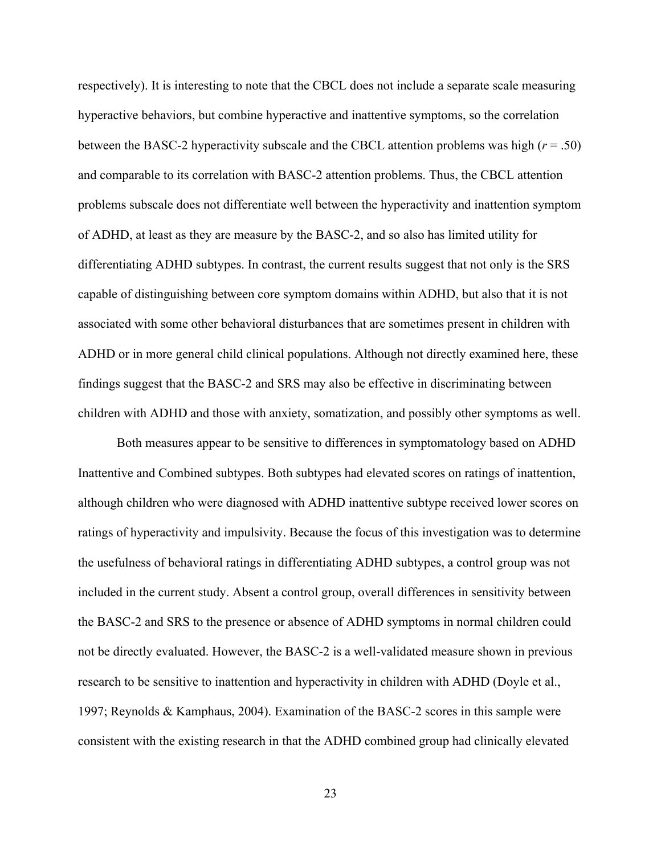respectively). It is interesting to note that the CBCL does not include a separate scale measuring hyperactive behaviors, but combine hyperactive and inattentive symptoms, so the correlation between the BASC-2 hyperactivity subscale and the CBCL attention problems was high ( $r = .50$ ) and comparable to its correlation with BASC-2 attention problems. Thus, the CBCL attention problems subscale does not differentiate well between the hyperactivity and inattention symptom of ADHD, at least as they are measure by the BASC-2, and so also has limited utility for differentiating ADHD subtypes. In contrast, the current results suggest that not only is the SRS capable of distinguishing between core symptom domains within ADHD, but also that it is not associated with some other behavioral disturbances that are sometimes present in children with ADHD or in more general child clinical populations. Although not directly examined here, these findings suggest that the BASC-2 and SRS may also be effective in discriminating between children with ADHD and those with anxiety, somatization, and possibly other symptoms as well.

Both measures appear to be sensitive to differences in symptomatology based on ADHD Inattentive and Combined subtypes. Both subtypes had elevated scores on ratings of inattention, although children who were diagnosed with ADHD inattentive subtype received lower scores on ratings of hyperactivity and impulsivity. Because the focus of this investigation was to determine the usefulness of behavioral ratings in differentiating ADHD subtypes, a control group was not included in the current study. Absent a control group, overall differences in sensitivity between the BASC-2 and SRS to the presence or absence of ADHD symptoms in normal children could not be directly evaluated. However, the BASC-2 is a well-validated measure shown in previous research to be sensitive to inattention and hyperactivity in children with ADHD (Doyle et al., 1997; Reynolds & Kamphaus, 2004). Examination of the BASC-2 scores in this sample were consistent with the existing research in that the ADHD combined group had clinically elevated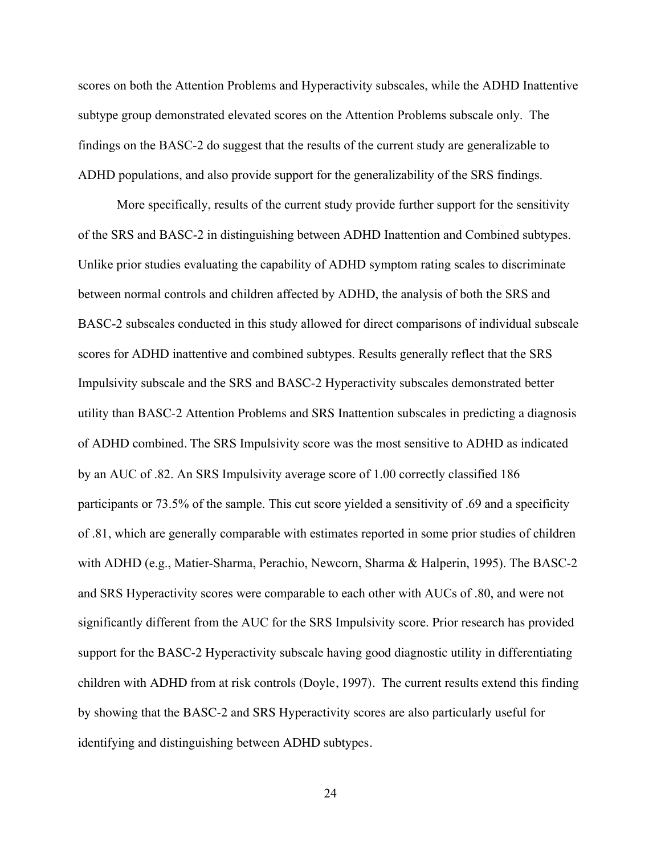scores on both the Attention Problems and Hyperactivity subscales, while the ADHD Inattentive subtype group demonstrated elevated scores on the Attention Problems subscale only. The findings on the BASC-2 do suggest that the results of the current study are generalizable to ADHD populations, and also provide support for the generalizability of the SRS findings.

More specifically, results of the current study provide further support for the sensitivity of the SRS and BASC-2 in distinguishing between ADHD Inattention and Combined subtypes. Unlike prior studies evaluating the capability of ADHD symptom rating scales to discriminate between normal controls and children affected by ADHD, the analysis of both the SRS and BASC-2 subscales conducted in this study allowed for direct comparisons of individual subscale scores for ADHD inattentive and combined subtypes. Results generally reflect that the SRS Impulsivity subscale and the SRS and BASC-2 Hyperactivity subscales demonstrated better utility than BASC-2 Attention Problems and SRS Inattention subscales in predicting a diagnosis of ADHD combined. The SRS Impulsivity score was the most sensitive to ADHD as indicated by an AUC of .82. An SRS Impulsivity average score of 1.00 correctly classified 186 participants or 73.5% of the sample. This cut score yielded a sensitivity of .69 and a specificity of .81, which are generally comparable with estimates reported in some prior studies of children with ADHD (e.g., Matier-Sharma, Perachio, Newcorn, Sharma & Halperin, 1995). The BASC-2 and SRS Hyperactivity scores were comparable to each other with AUCs of .80, and were not significantly different from the AUC for the SRS Impulsivity score. Prior research has provided support for the BASC-2 Hyperactivity subscale having good diagnostic utility in differentiating children with ADHD from at risk controls (Doyle, 1997). The current results extend this finding by showing that the BASC-2 and SRS Hyperactivity scores are also particularly useful for identifying and distinguishing between ADHD subtypes.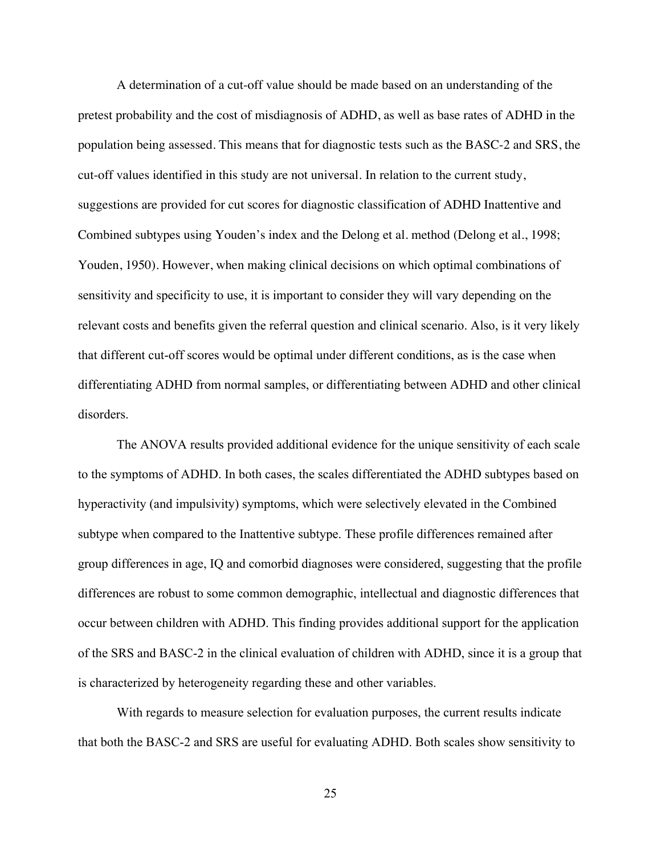A determination of a cut-off value should be made based on an understanding of the pretest probability and the cost of misdiagnosis of ADHD, as well as base rates of ADHD in the population being assessed. This means that for diagnostic tests such as the BASC-2 and SRS, the cut-off values identified in this study are not universal. In relation to the current study, suggestions are provided for cut scores for diagnostic classification of ADHD Inattentive and Combined subtypes using Youden's index and the Delong et al. method (Delong et al., 1998; Youden, 1950). However, when making clinical decisions on which optimal combinations of sensitivity and specificity to use, it is important to consider they will vary depending on the relevant costs and benefits given the referral question and clinical scenario. Also, is it very likely that different cut-off scores would be optimal under different conditions, as is the case when differentiating ADHD from normal samples, or differentiating between ADHD and other clinical disorders.

The ANOVA results provided additional evidence for the unique sensitivity of each scale to the symptoms of ADHD. In both cases, the scales differentiated the ADHD subtypes based on hyperactivity (and impulsivity) symptoms, which were selectively elevated in the Combined subtype when compared to the Inattentive subtype. These profile differences remained after group differences in age, IQ and comorbid diagnoses were considered, suggesting that the profile differences are robust to some common demographic, intellectual and diagnostic differences that occur between children with ADHD. This finding provides additional support for the application of the SRS and BASC-2 in the clinical evaluation of children with ADHD, since it is a group that is characterized by heterogeneity regarding these and other variables.

With regards to measure selection for evaluation purposes, the current results indicate that both the BASC-2 and SRS are useful for evaluating ADHD. Both scales show sensitivity to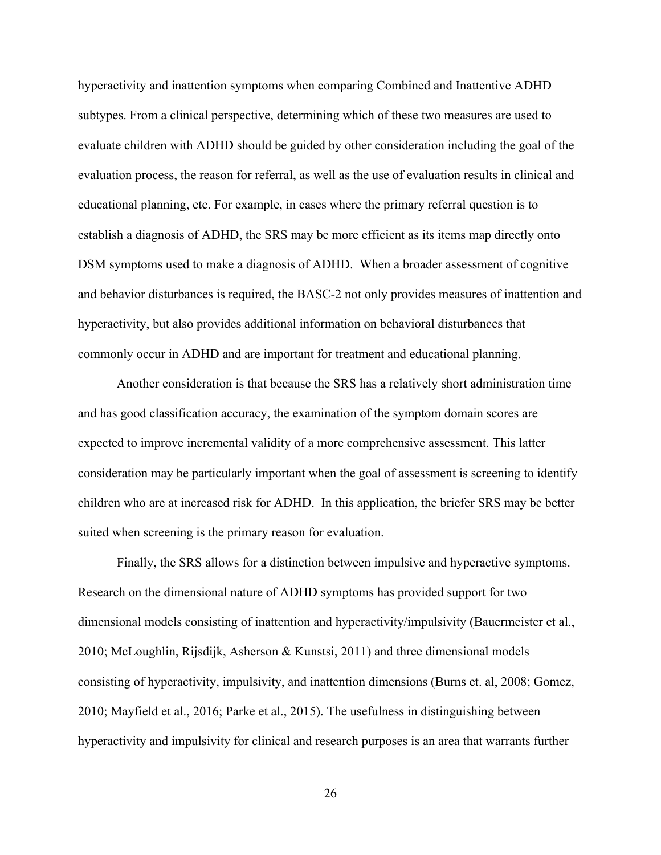hyperactivity and inattention symptoms when comparing Combined and Inattentive ADHD subtypes. From a clinical perspective, determining which of these two measures are used to evaluate children with ADHD should be guided by other consideration including the goal of the evaluation process, the reason for referral, as well as the use of evaluation results in clinical and educational planning, etc. For example, in cases where the primary referral question is to establish a diagnosis of ADHD, the SRS may be more efficient as its items map directly onto DSM symptoms used to make a diagnosis of ADHD. When a broader assessment of cognitive and behavior disturbances is required, the BASC-2 not only provides measures of inattention and hyperactivity, but also provides additional information on behavioral disturbances that commonly occur in ADHD and are important for treatment and educational planning.

Another consideration is that because the SRS has a relatively short administration time and has good classification accuracy, the examination of the symptom domain scores are expected to improve incremental validity of a more comprehensive assessment. This latter consideration may be particularly important when the goal of assessment is screening to identify children who are at increased risk for ADHD. In this application, the briefer SRS may be better suited when screening is the primary reason for evaluation.

Finally, the SRS allows for a distinction between impulsive and hyperactive symptoms. Research on the dimensional nature of ADHD symptoms has provided support for two dimensional models consisting of inattention and hyperactivity/impulsivity (Bauermeister et al., 2010; McLoughlin, Rijsdijk, Asherson & Kunstsi, 2011) and three dimensional models consisting of hyperactivity, impulsivity, and inattention dimensions (Burns et. al, 2008; Gomez, 2010; Mayfield et al., 2016; Parke et al., 2015). The usefulness in distinguishing between hyperactivity and impulsivity for clinical and research purposes is an area that warrants further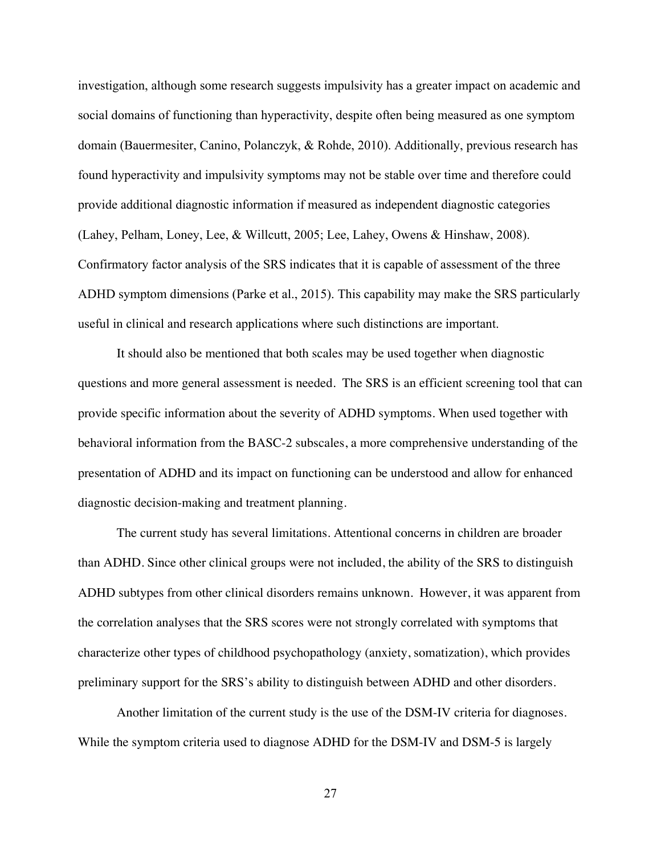investigation, although some research suggests impulsivity has a greater impact on academic and social domains of functioning than hyperactivity, despite often being measured as one symptom domain (Bauermesiter, Canino, Polanczyk, & Rohde, 2010). Additionally, previous research has found hyperactivity and impulsivity symptoms may not be stable over time and therefore could provide additional diagnostic information if measured as independent diagnostic categories (Lahey, Pelham, Loney, Lee, & Willcutt, 2005; Lee, Lahey, Owens & Hinshaw, 2008). Confirmatory factor analysis of the SRS indicates that it is capable of assessment of the three ADHD symptom dimensions (Parke et al., 2015). This capability may make the SRS particularly useful in clinical and research applications where such distinctions are important.

It should also be mentioned that both scales may be used together when diagnostic questions and more general assessment is needed. The SRS is an efficient screening tool that can provide specific information about the severity of ADHD symptoms. When used together with behavioral information from the BASC-2 subscales, a more comprehensive understanding of the presentation of ADHD and its impact on functioning can be understood and allow for enhanced diagnostic decision-making and treatment planning.

The current study has several limitations. Attentional concerns in children are broader than ADHD. Since other clinical groups were not included, the ability of the SRS to distinguish ADHD subtypes from other clinical disorders remains unknown. However, it was apparent from the correlation analyses that the SRS scores were not strongly correlated with symptoms that characterize other types of childhood psychopathology (anxiety, somatization), which provides preliminary support for the SRS's ability to distinguish between ADHD and other disorders.

Another limitation of the current study is the use of the DSM-IV criteria for diagnoses. While the symptom criteria used to diagnose ADHD for the DSM-IV and DSM-5 is largely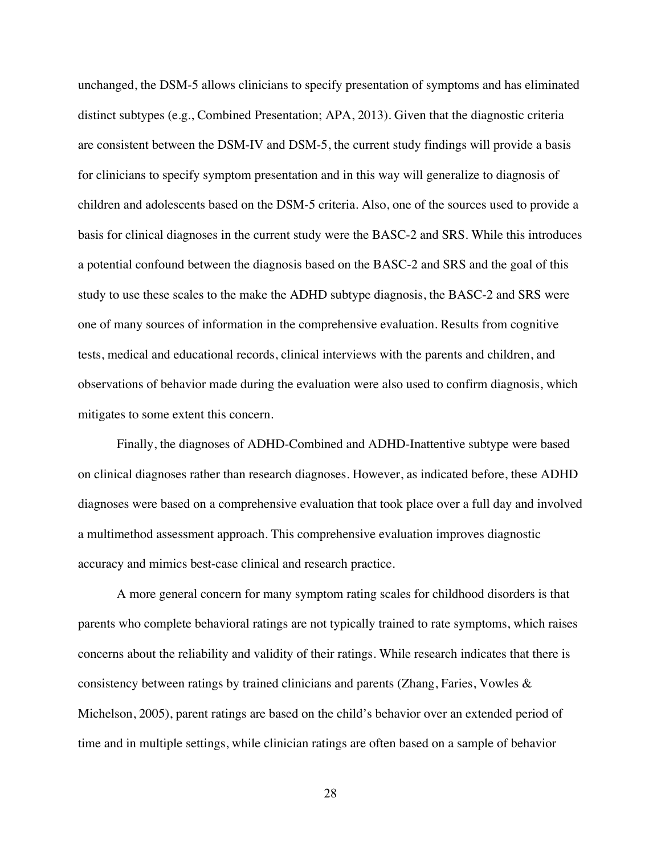unchanged, the DSM-5 allows clinicians to specify presentation of symptoms and has eliminated distinct subtypes (e.g., Combined Presentation; APA, 2013). Given that the diagnostic criteria are consistent between the DSM-IV and DSM-5, the current study findings will provide a basis for clinicians to specify symptom presentation and in this way will generalize to diagnosis of children and adolescents based on the DSM-5 criteria. Also, one of the sources used to provide a basis for clinical diagnoses in the current study were the BASC-2 and SRS. While this introduces a potential confound between the diagnosis based on the BASC-2 and SRS and the goal of this study to use these scales to the make the ADHD subtype diagnosis, the BASC-2 and SRS were one of many sources of information in the comprehensive evaluation. Results from cognitive tests, medical and educational records, clinical interviews with the parents and children, and observations of behavior made during the evaluation were also used to confirm diagnosis, which mitigates to some extent this concern.

Finally, the diagnoses of ADHD-Combined and ADHD-Inattentive subtype were based on clinical diagnoses rather than research diagnoses. However, as indicated before, these ADHD diagnoses were based on a comprehensive evaluation that took place over a full day and involved a multimethod assessment approach. This comprehensive evaluation improves diagnostic accuracy and mimics best-case clinical and research practice.

A more general concern for many symptom rating scales for childhood disorders is that parents who complete behavioral ratings are not typically trained to rate symptoms, which raises concerns about the reliability and validity of their ratings. While research indicates that there is consistency between ratings by trained clinicians and parents (Zhang, Faries, Vowles & Michelson, 2005), parent ratings are based on the child's behavior over an extended period of time and in multiple settings, while clinician ratings are often based on a sample of behavior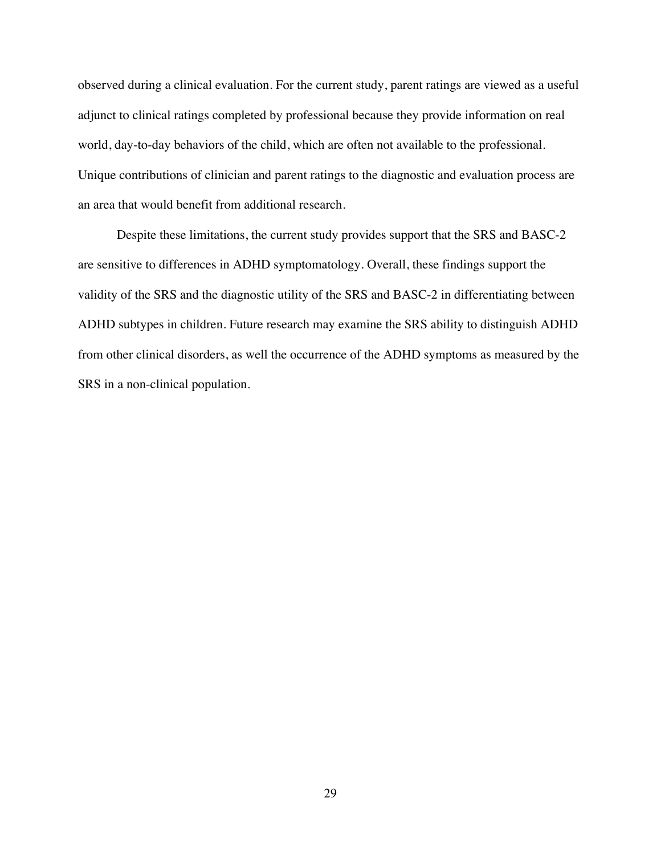observed during a clinical evaluation. For the current study, parent ratings are viewed as a useful adjunct to clinical ratings completed by professional because they provide information on real world, day-to-day behaviors of the child, which are often not available to the professional. Unique contributions of clinician and parent ratings to the diagnostic and evaluation process are an area that would benefit from additional research.

Despite these limitations, the current study provides support that the SRS and BASC-2 are sensitive to differences in ADHD symptomatology. Overall, these findings support the validity of the SRS and the diagnostic utility of the SRS and BASC-2 in differentiating between ADHD subtypes in children. Future research may examine the SRS ability to distinguish ADHD from other clinical disorders, as well the occurrence of the ADHD symptoms as measured by the SRS in a non-clinical population.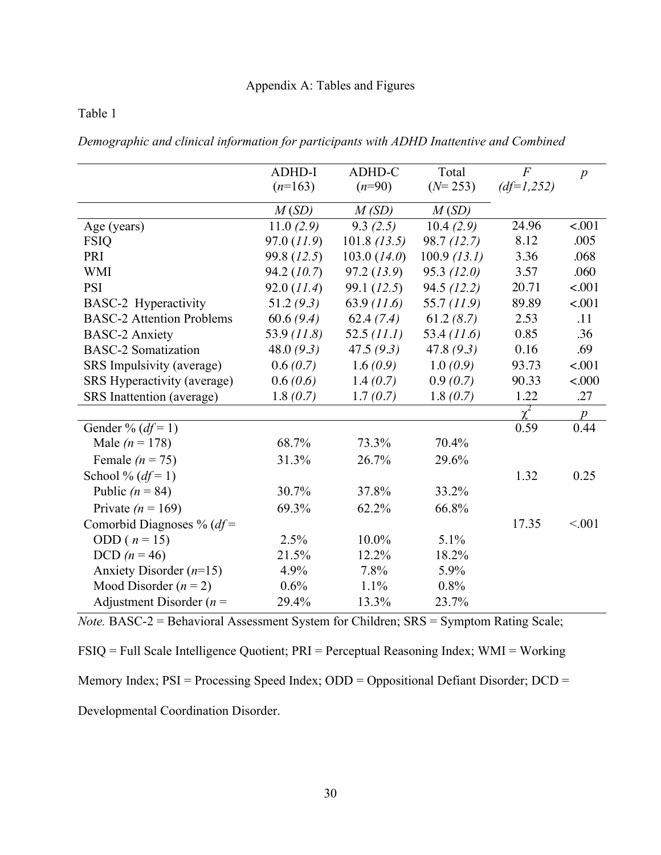| Demographic and clinical information for participants with ADHD Inattentive and Combined |  |
|------------------------------------------------------------------------------------------|--|
|------------------------------------------------------------------------------------------|--|

|                                  | <b>ADHD-I</b> | ADHD-C         | Total          | $\overline{F}$ |                  |
|----------------------------------|---------------|----------------|----------------|----------------|------------------|
|                                  |               | $(n=90)$       |                |                | $\boldsymbol{p}$ |
|                                  | $(n=163)$     |                | $(N=253)$      | $(df=1,252)$   |                  |
|                                  | M(SD)         | M(SD)          | M(SD)          |                |                  |
| Age (years)                      | 11.0(2.9)     | 9.3(2.5)       | 10.4(2.9)      | 24.96          | < .001           |
| <b>FSIQ</b>                      | 97.0 (11.9)   | $101.8$ (13.5) | 98.7(12.7)     | 8.12           | .005             |
| PRI                              | 99.8 (12.5)   | 103.0 (14.0)   | $100.9$ (13.1) | 3.36           | .068             |
| <b>WMI</b>                       | 94.2(10.7)    | 97.2(13.9)     | 95.3(12.0)     | 3.57           | .060             |
| <b>PSI</b>                       | 92.0 (11.4)   | 99.1 (12.5)    | 94.5(12.2)     | 20.71          | $-.001$          |
| BASC-2 Hyperactivity             | 51.2(9.3)     | 63.9(11.6)     | 55.7 (11.9)    | 89.89          | $-.001$          |
| <b>BASC-2 Attention Problems</b> | 60.6(9.4)     | 62.4(7.4)      | 61.2(8.7)      | 2.53           | .11              |
| <b>BASC-2 Anxiety</b>            | 53.9 (11.8)   | 52.5 (11.1)    | 53.4 (11.6)    | 0.85           | .36              |
| <b>BASC-2 Somatization</b>       | 48.0 $(9.3)$  | 47.5(9.3)      | 47.8 $(9.3)$   | 0.16           | .69              |
| SRS Impulsivity (average)        | 0.6(0.7)      | 1.6(0.9)       | 1.0(0.9)       | 93.73          | $-.001$          |
| SRS Hyperactivity (average)      | 0.6(0.6)      | 1.4(0.7)       | 0.9(0.7)       | 90.33          | < 000            |
| SRS Inattention (average)        | 1.8(0.7)      | 1.7(0.7)       | 1.8(0.7)       | 1.22           | .27              |
|                                  |               |                |                | $\chi^2$       | $\boldsymbol{p}$ |
| Gender % $(df=1)$                |               |                |                | 0.59           | 0.44             |
| Male ( $n = 178$ )               | 68.7%         | 73.3%          | 70.4%          |                |                  |
| Female $(n = 75)$                | 31.3%         | 26.7%          | 29.6%          |                |                  |
| School % $(df=1)$                |               |                |                | 1.32           | 0.25             |
| Public $(n = 84)$                | 30.7%         | 37.8%          | 33.2%          |                |                  |
| Private ( $n = 169$ )            | 69.3%         | 62.2%          | 66.8%          |                |                  |
| Comorbid Diagnoses % ( $df$ =    |               |                |                | 17.35          | < 0.01           |
| ODD ( $n = 15$ )                 | 2.5%          | 10.0%          | 5.1%           |                |                  |
| DCD $(n = 46)$                   | 21.5%         | 12.2%          | 18.2%          |                |                  |
| Anxiety Disorder $(n=15)$        | 4.9%          | 7.8%           | 5.9%           |                |                  |
| Mood Disorder $(n = 2)$          | 0.6%          | 1.1%           | 0.8%           |                |                  |
| Adjustment Disorder ( $n =$      | 29.4%         | 13.3%          | 23.7%          |                |                  |

*Note.* BASC-2 = Behavioral Assessment System for Children; SRS = Symptom Rating Scale;

FSIQ = Full Scale Intelligence Quotient; PRI = Perceptual Reasoning Index; WMI = Working

Memory Index; PSI = Processing Speed Index; ODD = Oppositional Defiant Disorder; DCD =

Developmental Coordination Disorder.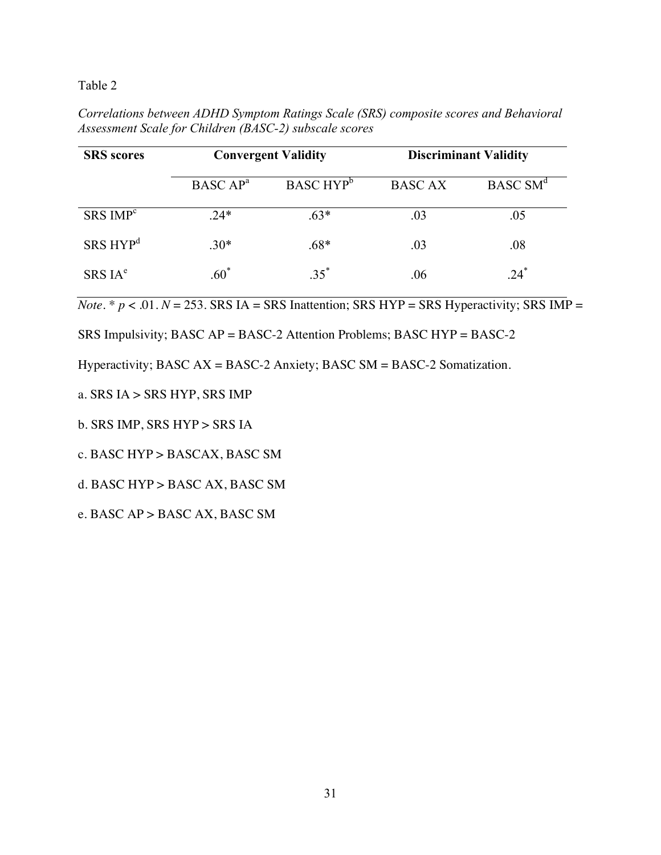*Correlations between ADHD Symptom Ratings Scale (SRS) composite scores and Behavioral Assessment Scale for Children (BASC-2) subscale scores*

| <b>SRS</b> scores    | <b>Convergent Validity</b> |                       | <b>Discriminant Validity</b> |                      |
|----------------------|----------------------------|-----------------------|------------------------------|----------------------|
|                      | BASC AP <sup>a</sup>       | BASC HYP <sup>b</sup> | <b>BASC AX</b>               | BASC SM <sup>d</sup> |
| SRS IMP <sup>c</sup> | $.24*$                     | $.63*$                | .03                          | .05                  |
| SRS HYP <sup>d</sup> | $.30*$                     | $.68*$                | .03                          | .08                  |
| SRSIA <sup>e</sup>   | $.60*$                     | $35^*$                | .06                          | $24*$                |

*Note*. \*  $p < .01$ .  $N = 253$ . SRS IA = SRS Inattention; SRS HYP = SRS Hyperactivity; SRS IMP =

SRS Impulsivity; BASC AP = BASC-2 Attention Problems; BASC HYP = BASC-2

Hyperactivity; BASC AX = BASC-2 Anxiety; BASC SM = BASC-2 Somatization.

- a. SRS IA > SRS HYP, SRS IMP
- b. SRS IMP, SRS HYP > SRS IA
- c. BASC HYP > BASCAX, BASC SM
- d. BASC HYP > BASC AX, BASC SM
- e. BASC AP > BASC AX, BASC SM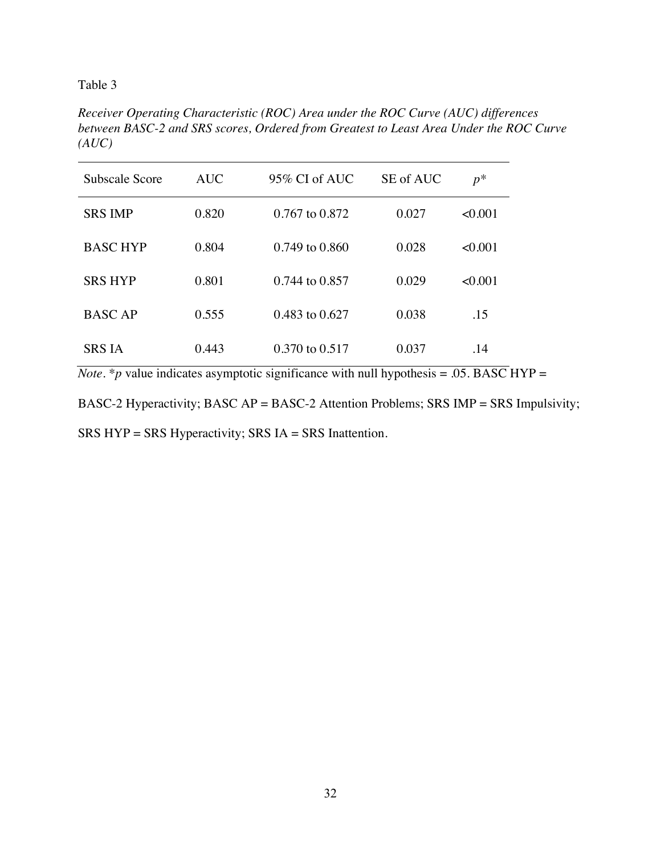*Receiver Operating Characteristic (ROC) Area under the ROC Curve (AUC) differences between BASC-2 and SRS scores, Ordered from Greatest to Least Area Under the ROC Curve (AUC)*

| Subscale Score  | <b>AUC</b> | $95\%$ CI of AUC   | SE of AUC | $p^*$   |
|-----------------|------------|--------------------|-----------|---------|
| <b>SRS IMP</b>  | 0.820      | 0.767 to 0.872     | 0.027     | < 0.001 |
| <b>BASC HYP</b> | 0.804      | $0.749$ to $0.860$ | 0.028     | < 0.001 |
| <b>SRS HYP</b>  | 0.801      | 0.744 to 0.857     | 0.029     | < 0.001 |
| <b>BASC AP</b>  | 0.555      | 0.483 to 0.627     | 0.038     | .15     |
| SRS IA          | 0.443      | 0.370 to 0.517     | 0.037     | .14     |

*Note*. \**p* value indicates asymptotic significance with null hypothesis = .05. BASC HYP =

BASC-2 Hyperactivity; BASC AP = BASC-2 Attention Problems; SRS IMP = SRS Impulsivity;

SRS HYP = SRS Hyperactivity; SRS IA = SRS Inattention.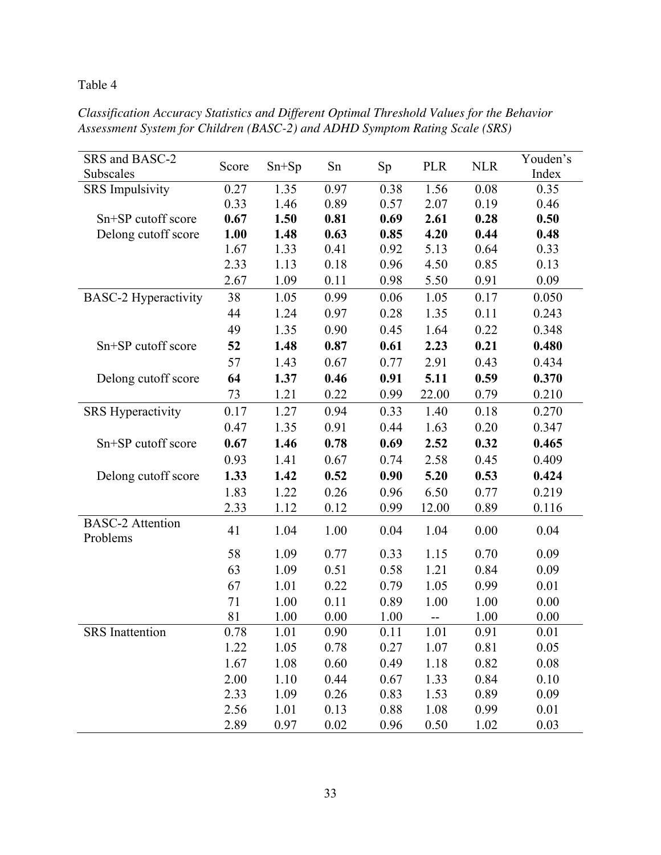| Classification Accuracy Statistics and Different Optimal Threshold Values for the Behavior |  |
|--------------------------------------------------------------------------------------------|--|
| Assessment System for Children (BASC-2) and ADHD Symptom Rating Scale (SRS)                |  |

| SRS and BASC-2<br>Subscales         | Score | $Sn+Sp$ | Sn   | Sp   | <b>PLR</b> | <b>NLR</b> | Youden's<br>Index |
|-------------------------------------|-------|---------|------|------|------------|------------|-------------------|
| <b>SRS</b> Impulsivity              | 0.27  | 1.35    | 0.97 | 0.38 | 1.56       | 0.08       | 0.35              |
|                                     | 0.33  | 1.46    | 0.89 | 0.57 | 2.07       | 0.19       | 0.46              |
| Sn+SP cutoff score                  | 0.67  | 1.50    | 0.81 | 0.69 | 2.61       | 0.28       | 0.50              |
| Delong cutoff score                 | 1.00  | 1.48    | 0.63 | 0.85 | 4.20       | 0.44       | 0.48              |
|                                     | 1.67  | 1.33    | 0.41 | 0.92 | 5.13       | 0.64       | 0.33              |
|                                     | 2.33  | 1.13    | 0.18 | 0.96 | 4.50       | 0.85       | 0.13              |
|                                     | 2.67  | 1.09    | 0.11 | 0.98 | 5.50       | 0.91       | 0.09              |
| <b>BASC-2 Hyperactivity</b>         | 38    | 1.05    | 0.99 | 0.06 | 1.05       | 0.17       | 0.050             |
|                                     | 44    | 1.24    | 0.97 | 0.28 | 1.35       | 0.11       | 0.243             |
|                                     | 49    | 1.35    | 0.90 | 0.45 | 1.64       | 0.22       | 0.348             |
| Sn+SP cutoff score                  | 52    | 1.48    | 0.87 | 0.61 | 2.23       | 0.21       | 0.480             |
|                                     | 57    | 1.43    | 0.67 | 0.77 | 2.91       | 0.43       | 0.434             |
| Delong cutoff score                 | 64    | 1.37    | 0.46 | 0.91 | 5.11       | 0.59       | 0.370             |
|                                     | 73    | 1.21    | 0.22 | 0.99 | 22.00      | 0.79       | 0.210             |
| <b>SRS Hyperactivity</b>            | 0.17  | 1.27    | 0.94 | 0.33 | 1.40       | 0.18       | 0.270             |
|                                     | 0.47  | 1.35    | 0.91 | 0.44 | 1.63       | 0.20       | 0.347             |
| Sn+SP cutoff score                  | 0.67  | 1.46    | 0.78 | 0.69 | 2.52       | 0.32       | 0.465             |
|                                     | 0.93  | 1.41    | 0.67 | 0.74 | 2.58       | 0.45       | 0.409             |
| Delong cutoff score                 | 1.33  | 1.42    | 0.52 | 0.90 | 5.20       | 0.53       | 0.424             |
|                                     | 1.83  | 1.22    | 0.26 | 0.96 | 6.50       | 0.77       | 0.219             |
|                                     | 2.33  | 1.12    | 0.12 | 0.99 | 12.00      | 0.89       | 0.116             |
| <b>BASC-2</b> Attention<br>Problems | 41    | 1.04    | 1.00 | 0.04 | 1.04       | 0.00       | 0.04              |
|                                     | 58    | 1.09    | 0.77 | 0.33 | 1.15       | 0.70       | 0.09              |
|                                     | 63    | 1.09    | 0.51 | 0.58 | 1.21       | 0.84       | 0.09              |
|                                     | 67    | 1.01    | 0.22 | 0.79 | 1.05       | 0.99       | 0.01              |
|                                     | 71    | 1.00    | 0.11 | 0.89 | 1.00       | 1.00       | 0.00              |
|                                     | 81    | 1.00    | 0.00 | 1.00 | --         | 1.00       | 0.00              |
| <b>SRS</b> Inattention              | 0.78  | 1.01    | 0.90 | 0.11 | 1.01       | 0.91       | 0.01              |
|                                     | 1.22  | 1.05    | 0.78 | 0.27 | 1.07       | 0.81       | 0.05              |
|                                     | 1.67  | 1.08    | 0.60 | 0.49 | 1.18       | 0.82       | 0.08              |
|                                     | 2.00  | 1.10    | 0.44 | 0.67 | 1.33       | 0.84       | 0.10              |
|                                     | 2.33  | 1.09    | 0.26 | 0.83 | 1.53       | 0.89       | 0.09              |
|                                     | 2.56  | 1.01    | 0.13 | 0.88 | 1.08       | 0.99       | 0.01              |
|                                     | 2.89  | 0.97    | 0.02 | 0.96 | 0.50       | 1.02       | 0.03              |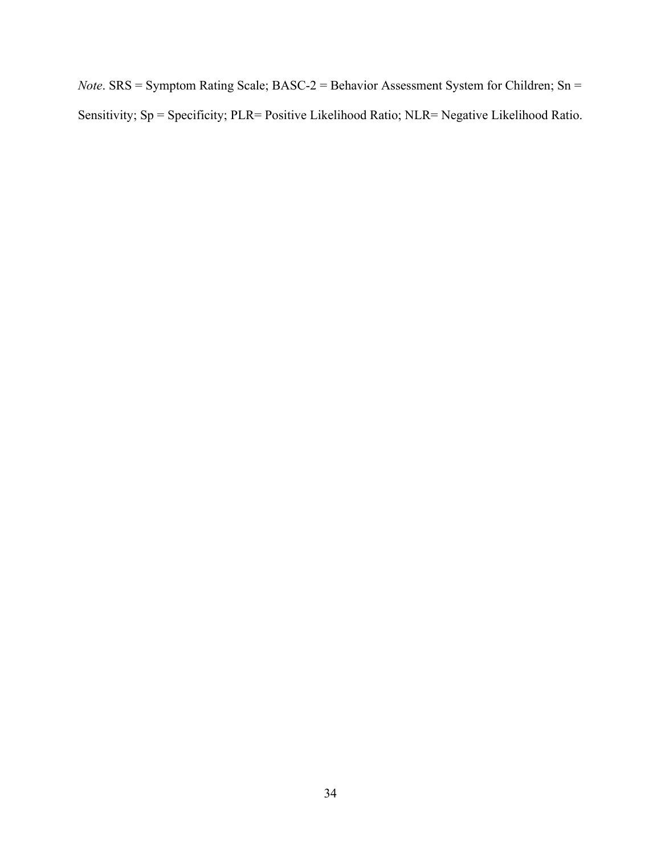*Note*. SRS = Symptom Rating Scale; BASC-2 = Behavior Assessment System for Children; Sn = Sensitivity; Sp = Specificity; PLR= Positive Likelihood Ratio; NLR= Negative Likelihood Ratio.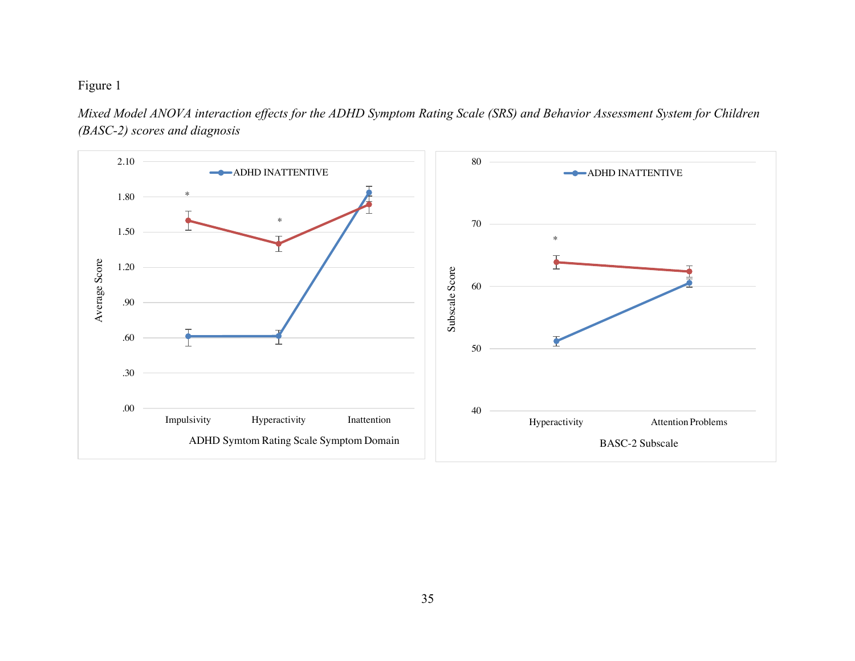

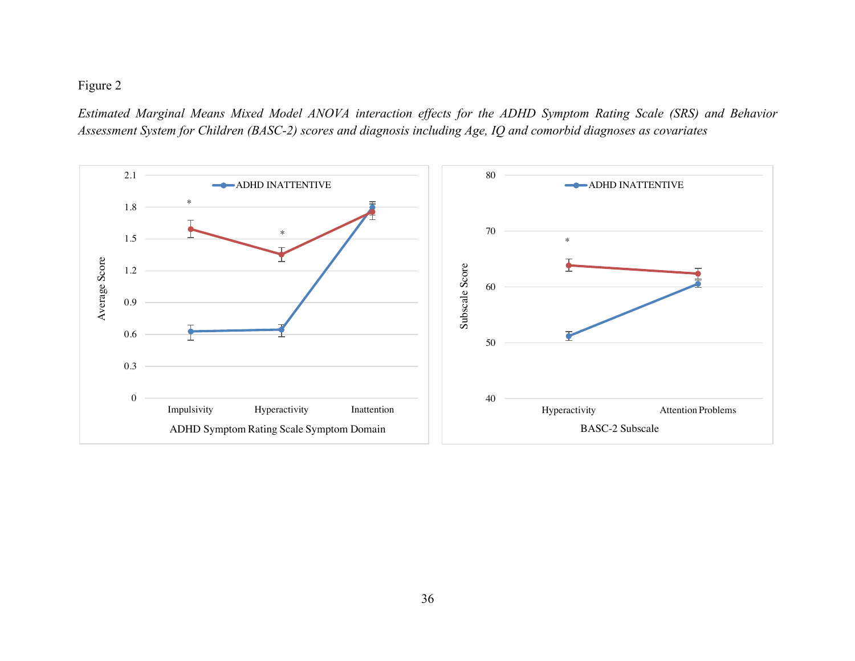*Estimated Marginal Means Mixed Model ANOVA interaction effects for the ADHD Symptom Rating Scale (SRS) and Behavior Assessment System for Children (BASC-2) scores and diagnosis including Age, IQ and comorbid diagnoses as covariates*

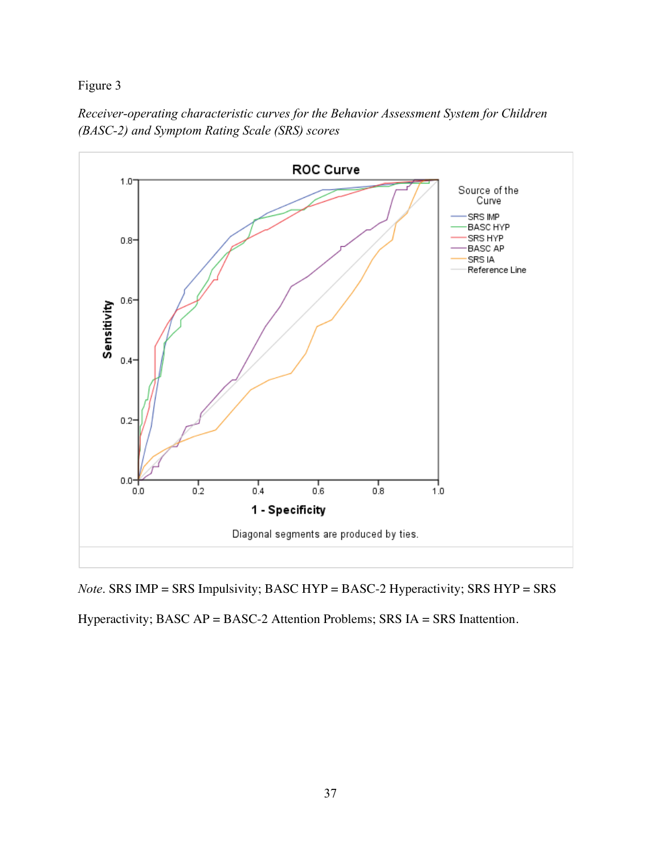



*Note*. SRS IMP = SRS Impulsivity; BASC HYP = BASC-2 Hyperactivity; SRS HYP = SRS

Hyperactivity; BASC AP = BASC-2 Attention Problems; SRS IA = SRS Inattention.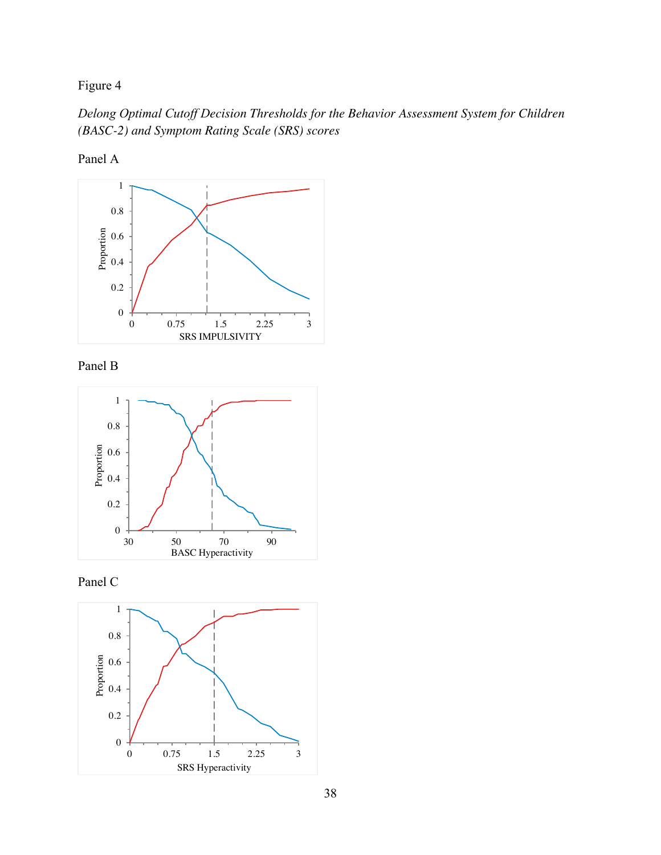*Delong Optimal Cutoff Decision Thresholds for the Behavior Assessment System for Children (BASC-2) and Symptom Rating Scale (SRS) scores*

Panel A









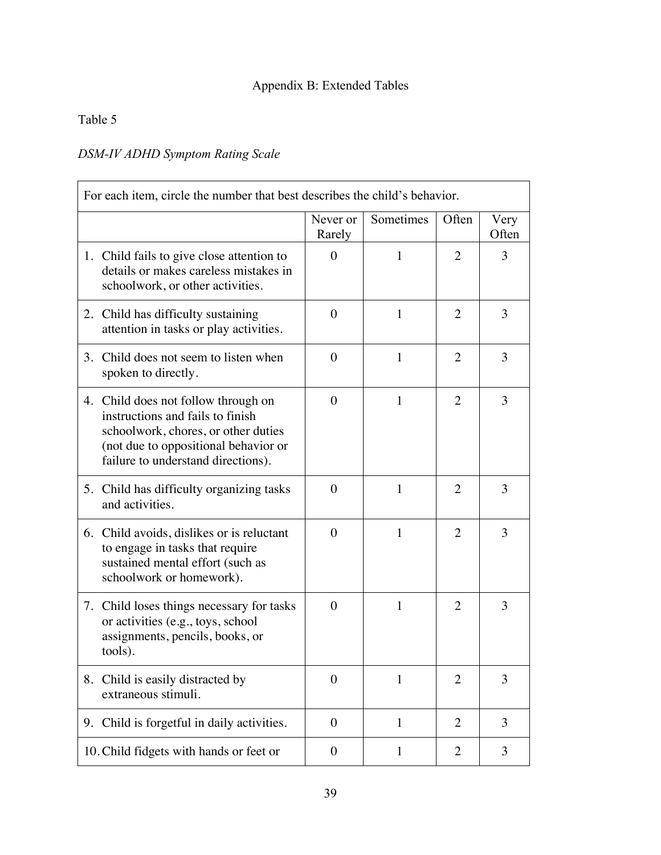# Appendix B: Extended Tables

### Table 5

# *DSM-IV ADHD Symptom Rating Scale*

| For each item, circle the number that best describes the child's behavior. |                                                                                                                                                                                              |                    |              |                |               |  |
|----------------------------------------------------------------------------|----------------------------------------------------------------------------------------------------------------------------------------------------------------------------------------------|--------------------|--------------|----------------|---------------|--|
|                                                                            |                                                                                                                                                                                              | Never or<br>Rarely | Sometimes    | Often          | Very<br>Often |  |
|                                                                            | 1. Child fails to give close attention to<br>details or makes careless mistakes in<br>schoolwork, or other activities.                                                                       | $\theta$           | 1            | 2              | 3             |  |
|                                                                            | 2. Child has difficulty sustaining<br>attention in tasks or play activities.                                                                                                                 | $\theta$           | 1            | 2              | 3             |  |
|                                                                            | 3. Child does not seem to listen when<br>spoken to directly.                                                                                                                                 | $\theta$           | $\mathbf{1}$ | 2              | 3             |  |
|                                                                            | 4. Child does not follow through on<br>instructions and fails to finish<br>schoolwork, chores, or other duties<br>(not due to oppositional behavior or<br>failure to understand directions). | $\overline{0}$     | 1            | 2              | 3             |  |
|                                                                            | 5. Child has difficulty organizing tasks<br>and activities.                                                                                                                                  | $\theta$           | 1            | 2              | 3             |  |
|                                                                            | 6. Child avoids, dislikes or is reluctant<br>to engage in tasks that require<br>sustained mental effort (such as<br>schoolwork or homework).                                                 | $\theta$           | 1            | 2              | 3             |  |
|                                                                            | 7. Child loses things necessary for tasks<br>or activities (e.g., toys, school<br>assignments, pencils, books, or<br>tools).                                                                 | $\theta$           | 1            | 2              | 3             |  |
|                                                                            | 8. Child is easily distracted by<br>extraneous stimuli.                                                                                                                                      | $\overline{0}$     | $\mathbf{1}$ | 2              | 3             |  |
|                                                                            | 9. Child is forgetful in daily activities.                                                                                                                                                   | $\boldsymbol{0}$   | $\mathbf{1}$ | $\overline{2}$ | 3             |  |
|                                                                            | 10. Child fidgets with hands or feet or                                                                                                                                                      | $\boldsymbol{0}$   | $\mathbf{1}$ | 2              | 3             |  |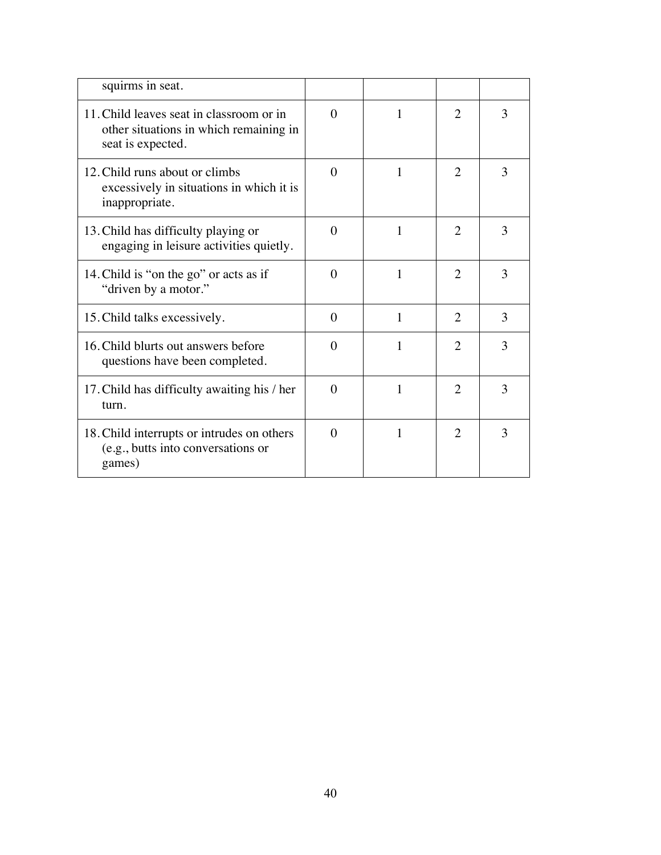| squirms in seat.                                                                                        |          |   |                       |   |
|---------------------------------------------------------------------------------------------------------|----------|---|-----------------------|---|
| 11. Child leaves seat in classroom or in<br>other situations in which remaining in<br>seat is expected. | $\Omega$ |   | $\overline{2}$        | 3 |
| 12. Child runs about or climbs<br>excessively in situations in which it is<br>inappropriate.            | $\theta$ | 1 | $\overline{2}$        | 3 |
| 13. Child has difficulty playing or<br>engaging in leisure activities quietly.                          | $\Omega$ | 1 | 2                     | 3 |
| 14. Child is "on the go" or acts as if<br>"driven by a motor."                                          | $\Omega$ | 1 | 2                     | 3 |
| 15. Child talks excessively.                                                                            | $\theta$ | 1 | $\overline{2}$        | 3 |
| 16. Child blurts out answers before<br>questions have been completed.                                   | $\Omega$ | 1 | $\mathcal{D}_{\cdot}$ | 3 |
| 17. Child has difficulty awaiting his / her<br>turn.                                                    | $\Omega$ | 1 | 2                     | 3 |
| 18. Child interrupts or intrudes on others<br>(e.g., butts into conversations or<br>games)              | $\Omega$ | 1 | $\mathfrak{D}$        | 3 |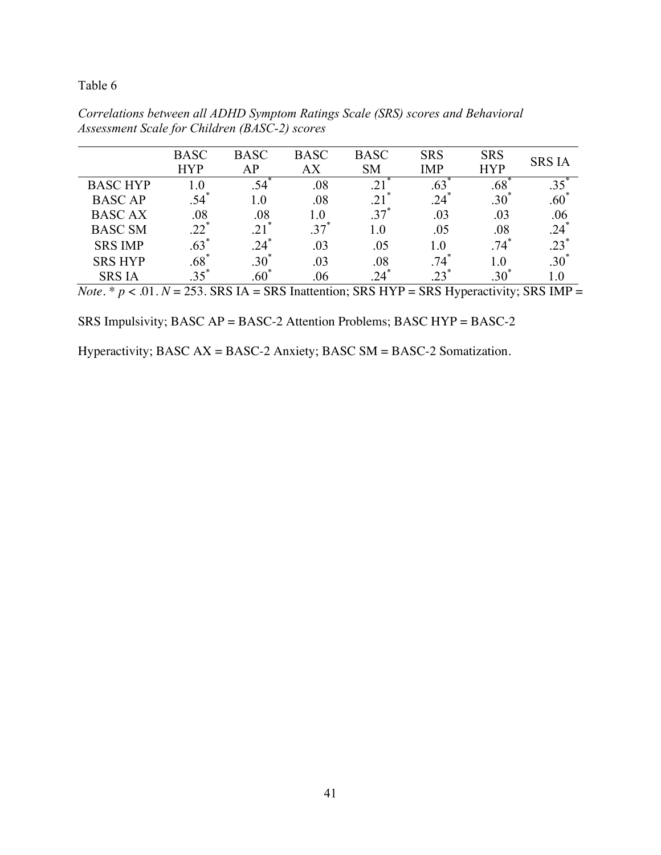|                 | <b>BASC</b><br><b>HYP</b> | <b>BASC</b><br>AP | <b>BASC</b><br>AX | <b>BASC</b><br><b>SM</b> | <b>SRS</b><br><b>IMP</b> | <b>SRS</b><br><b>HYP</b> | <b>SRS IA</b> |
|-----------------|---------------------------|-------------------|-------------------|--------------------------|--------------------------|--------------------------|---------------|
| <b>BASC HYP</b> | $\overline{0}$ .          |                   | .08               |                          | .63                      | .68                      |               |
| <b>BASC AP</b>  | $.54$ <sup>*</sup>        | $1.0\,$           | .08               | .21                      | $.24*$                   | $.30*$                   | $.60*$        |
| <b>BASCAX</b>   | .08                       | .08               | 1.0               | $.37$ <sup>'</sup>       | .03                      | .03                      | .06           |
| <b>BASC SM</b>  | $22^{7}$                  |                   | 37                | $1.0\,$                  | .05                      | .08                      | $.24*$        |
| <b>SRS IMP</b>  | .63                       | $.24*$            | .03               | .05                      | 1.0                      | $.74$ <sup>*</sup>       | $.23*$        |
| <b>SRS HYP</b>  | .68                       | $.30^{\degree}$   | .03               | .08                      | 74                       | 1.0                      | $.30*$        |
| <b>SRS IA</b>   |                           | .60               | .06               |                          | 23                       |                          |               |

*Correlations between all ADHD Symptom Ratings Scale (SRS) scores and Behavioral Assessment Scale for Children (BASC-2) scores*

*Note.*  $* p < .01$ .  $N = 253$ . SRS IA = SRS Inattention; SRS HYP = SRS Hyperactivity; SRS IMP =

SRS Impulsivity; BASC AP = BASC-2 Attention Problems; BASC HYP = BASC-2

Hyperactivity; BASC AX = BASC-2 Anxiety; BASC SM = BASC-2 Somatization.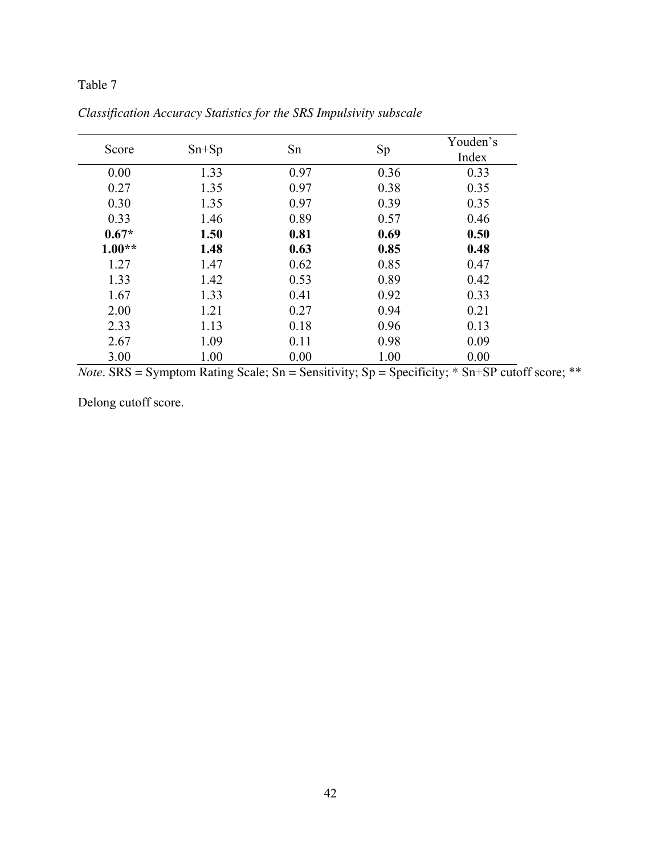| Score    | $Sn+Sp$ | Sn   | Sp   | Youden's<br>Index |
|----------|---------|------|------|-------------------|
| 0.00     | 1.33    | 0.97 | 0.36 | 0.33              |
| 0.27     | 1.35    | 0.97 | 0.38 | 0.35              |
| 0.30     | 1.35    | 0.97 | 0.39 | 0.35              |
| 0.33     | 1.46    | 0.89 | 0.57 | 0.46              |
| $0.67*$  | 1.50    | 0.81 | 0.69 | 0.50              |
| $1.00**$ | 1.48    | 0.63 | 0.85 | 0.48              |
| 1.27     | 1.47    | 0.62 | 0.85 | 0.47              |
| 1.33     | 1.42    | 0.53 | 0.89 | 0.42              |
| 1.67     | 1.33    | 0.41 | 0.92 | 0.33              |
| 2.00     | 1.21    | 0.27 | 0.94 | 0.21              |
| 2.33     | 1.13    | 0.18 | 0.96 | 0.13              |
| 2.67     | 1.09    | 0.11 | 0.98 | 0.09              |
| 3.00     | 1.00    | 0.00 | 1.00 | 0.00              |

*Classification Accuracy Statistics for the SRS Impulsivity subscale*

*Note*. SRS = Symptom Rating Scale; Sn = Sensitivity; Sp = Specificity; \* Sn+SP cutoff score; \*\*

Delong cutoff score.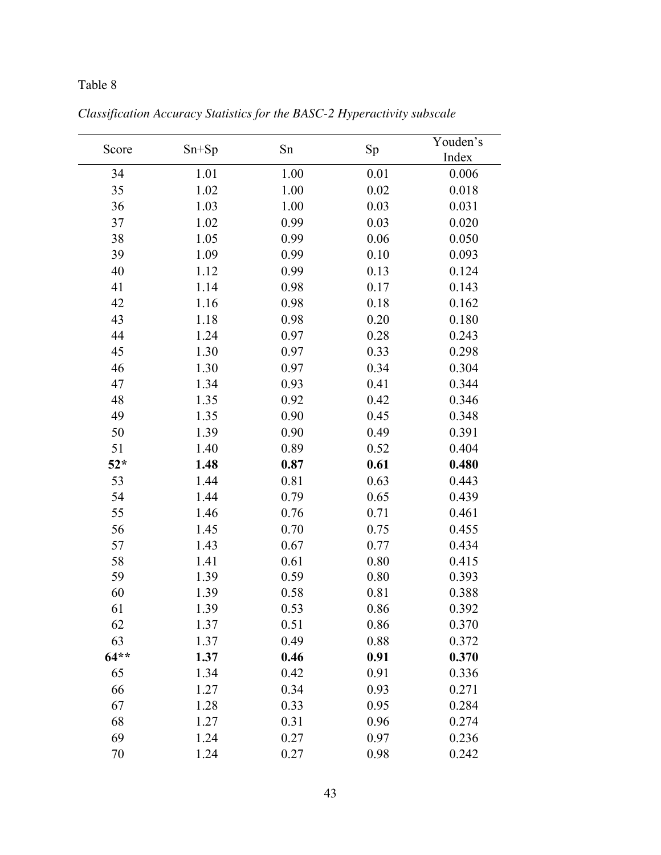| Score  | $Sn+Sp$ | Sn   | Sp   | Youden's<br>Index |
|--------|---------|------|------|-------------------|
| 34     | 1.01    | 1.00 | 0.01 | 0.006             |
| 35     | 1.02    | 1.00 | 0.02 | 0.018             |
| 36     | 1.03    | 1.00 | 0.03 | 0.031             |
| 37     | 1.02    | 0.99 | 0.03 | 0.020             |
| 38     | 1.05    | 0.99 | 0.06 | 0.050             |
| 39     | 1.09    | 0.99 | 0.10 | 0.093             |
| 40     | 1.12    | 0.99 | 0.13 | 0.124             |
| 41     | 1.14    | 0.98 | 0.17 | 0.143             |
| 42     | 1.16    | 0.98 | 0.18 | 0.162             |
| 43     | 1.18    | 0.98 | 0.20 | 0.180             |
| 44     | 1.24    | 0.97 | 0.28 | 0.243             |
| 45     | 1.30    | 0.97 | 0.33 | 0.298             |
| 46     | 1.30    | 0.97 | 0.34 | 0.304             |
| 47     | 1.34    | 0.93 | 0.41 | 0.344             |
| 48     | 1.35    | 0.92 | 0.42 | 0.346             |
| 49     | 1.35    | 0.90 | 0.45 | 0.348             |
| 50     | 1.39    | 0.90 | 0.49 | 0.391             |
| 51     | 1.40    | 0.89 | 0.52 | 0.404             |
| $52*$  | 1.48    | 0.87 | 0.61 | 0.480             |
| 53     | 1.44    | 0.81 | 0.63 | 0.443             |
| 54     | 1.44    | 0.79 | 0.65 | 0.439             |
| 55     | 1.46    | 0.76 | 0.71 | 0.461             |
| 56     | 1.45    | 0.70 | 0.75 | 0.455             |
| 57     | 1.43    | 0.67 | 0.77 | 0.434             |
| 58     | 1.41    | 0.61 | 0.80 | 0.415             |
| 59     | 1.39    | 0.59 | 0.80 | 0.393             |
| 60     | 1.39    | 0.58 | 0.81 | 0.388             |
| 61     | 1.39    | 0.53 | 0.86 | 0.392             |
| 62     | 1.37    | 0.51 | 0.86 | 0.370             |
| 63     | 1.37    | 0.49 | 0.88 | 0.372             |
| $64**$ | 1.37    | 0.46 | 0.91 | 0.370             |
| 65     | 1.34    | 0.42 | 0.91 | 0.336             |
| 66     | 1.27    | 0.34 | 0.93 | 0.271             |
| 67     | 1.28    | 0.33 | 0.95 | 0.284             |
| 68     | 1.27    | 0.31 | 0.96 | 0.274             |
| 69     | 1.24    | 0.27 | 0.97 | 0.236             |
| 70     | 1.24    | 0.27 | 0.98 | 0.242             |

*Classification Accuracy Statistics for the BASC-2 Hyperactivity subscale*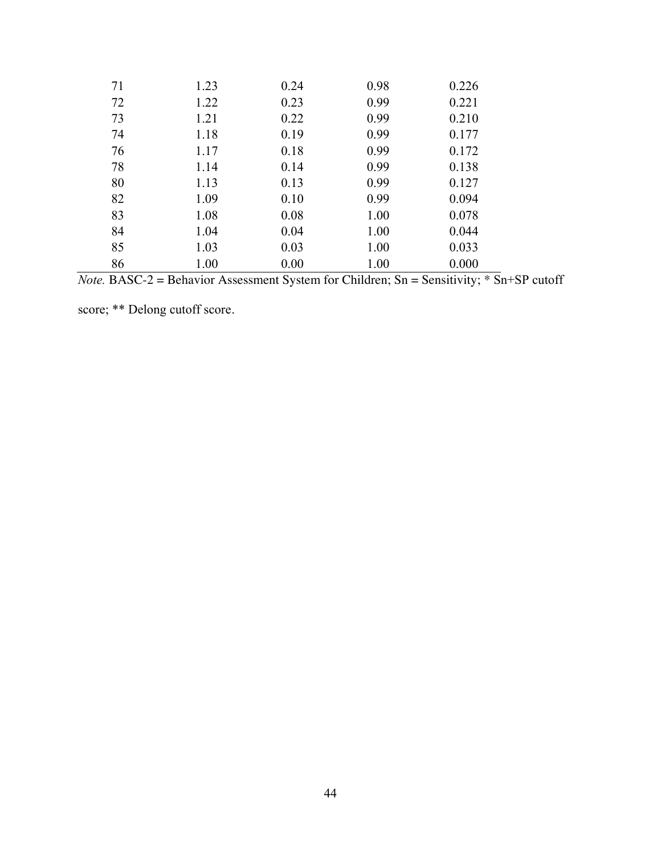| 71 | 1.23 | 0.24 | 0.98 | 0.226 |
|----|------|------|------|-------|
| 72 | 1.22 | 0.23 | 0.99 | 0.221 |
| 73 | 1.21 | 0.22 | 0.99 | 0.210 |
| 74 | 1.18 | 0.19 | 0.99 | 0.177 |
| 76 | 1.17 | 0.18 | 0.99 | 0.172 |
| 78 | 1.14 | 0.14 | 0.99 | 0.138 |
| 80 | 1.13 | 0.13 | 0.99 | 0.127 |
| 82 | 1.09 | 0.10 | 0.99 | 0.094 |
| 83 | 1.08 | 0.08 | 1.00 | 0.078 |
| 84 | 1.04 | 0.04 | 1.00 | 0.044 |
| 85 | 1.03 | 0.03 | 1.00 | 0.033 |
| 86 | 1.00 | 0.00 | 1.00 | 0.000 |

*Note.* BASC-2 = Behavior Assessment System for Children; Sn = Sensitivity; \* Sn+SP cutoff

score; \*\* Delong cutoff score.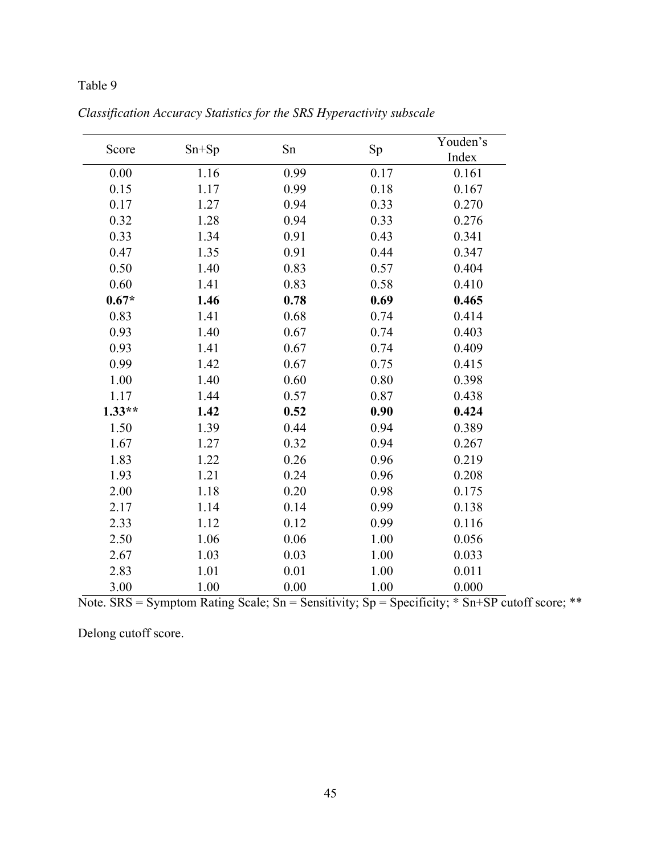| Score    | $Sn+Sp$ | Sn   | Sp   | Youden's<br>Index |
|----------|---------|------|------|-------------------|
| 0.00     | 1.16    | 0.99 | 0.17 | 0.161             |
| 0.15     | 1.17    | 0.99 | 0.18 | 0.167             |
| 0.17     | 1.27    | 0.94 | 0.33 | 0.270             |
| 0.32     | 1.28    | 0.94 | 0.33 | 0.276             |
| 0.33     | 1.34    | 0.91 | 0.43 | 0.341             |
| 0.47     | 1.35    | 0.91 | 0.44 | 0.347             |
| 0.50     | 1.40    | 0.83 | 0.57 | 0.404             |
| 0.60     | 1.41    | 0.83 | 0.58 | 0.410             |
| $0.67*$  | 1.46    | 0.78 | 0.69 | 0.465             |
| 0.83     | 1.41    | 0.68 | 0.74 | 0.414             |
| 0.93     | 1.40    | 0.67 | 0.74 | 0.403             |
| 0.93     | 1.41    | 0.67 | 0.74 | 0.409             |
| 0.99     | 1.42    | 0.67 | 0.75 | 0.415             |
| 1.00     | 1.40    | 0.60 | 0.80 | 0.398             |
| 1.17     | 1.44    | 0.57 | 0.87 | 0.438             |
| $1.33**$ | 1.42    | 0.52 | 0.90 | 0.424             |
| 1.50     | 1.39    | 0.44 | 0.94 | 0.389             |
| 1.67     | 1.27    | 0.32 | 0.94 | 0.267             |
| 1.83     | 1.22    | 0.26 | 0.96 | 0.219             |
| 1.93     | 1.21    | 0.24 | 0.96 | 0.208             |
| 2.00     | 1.18    | 0.20 | 0.98 | 0.175             |
| 2.17     | 1.14    | 0.14 | 0.99 | 0.138             |
| 2.33     | 1.12    | 0.12 | 0.99 | 0.116             |
| 2.50     | 1.06    | 0.06 | 1.00 | 0.056             |
| 2.67     | 1.03    | 0.03 | 1.00 | 0.033             |
| 2.83     | 1.01    | 0.01 | 1.00 | 0.011             |
| 3.00     | 1.00    | 0.00 | 1.00 | 0.000             |

*Classification Accuracy Statistics for the SRS Hyperactivity subscale*

Note. SRS = Symptom Rating Scale; Sn = Sensitivity; Sp = Specificity;  $*$  Sn+SP cutoff score;  $**$ 

Delong cutoff score.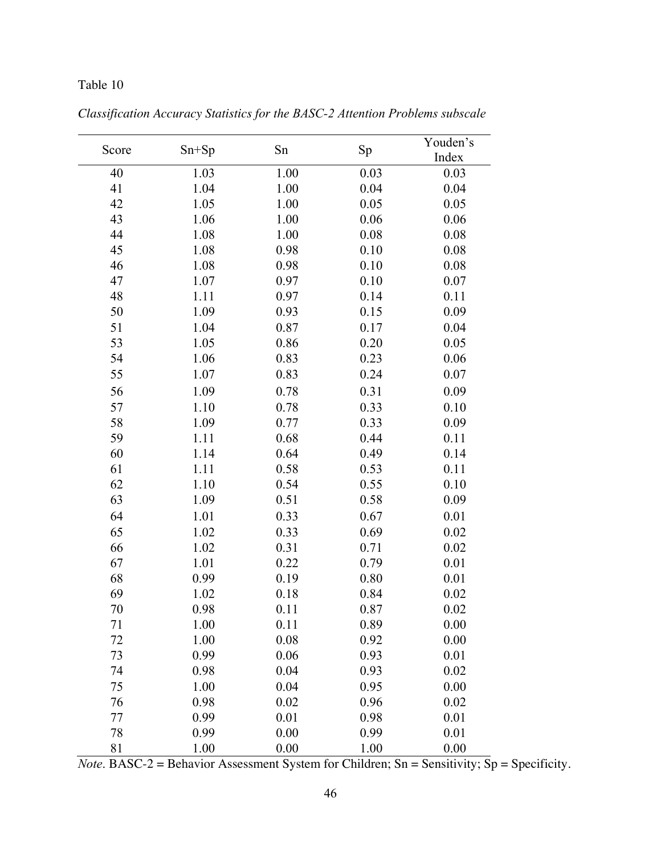| Score | $Sn+Sp$ | Sn   | Sp   | Youden's<br>Index |
|-------|---------|------|------|-------------------|
| 40    | 1.03    | 1.00 | 0.03 | 0.03              |
| 41    | 1.04    | 1.00 | 0.04 | 0.04              |
| 42    | 1.05    | 1.00 | 0.05 | 0.05              |
| 43    | 1.06    | 1.00 | 0.06 | 0.06              |
| 44    | 1.08    | 1.00 | 0.08 | 0.08              |
| 45    | 1.08    | 0.98 | 0.10 | 0.08              |
| 46    | 1.08    | 0.98 | 0.10 | 0.08              |
| 47    | 1.07    | 0.97 | 0.10 | 0.07              |
| 48    | 1.11    | 0.97 | 0.14 | 0.11              |
| 50    | 1.09    | 0.93 | 0.15 | 0.09              |
| 51    | 1.04    | 0.87 | 0.17 | 0.04              |
| 53    | 1.05    | 0.86 | 0.20 | 0.05              |
| 54    | 1.06    | 0.83 | 0.23 | 0.06              |
| 55    | 1.07    | 0.83 | 0.24 | 0.07              |
| 56    | 1.09    | 0.78 | 0.31 | 0.09              |
| 57    | 1.10    | 0.78 | 0.33 | 0.10              |
| 58    | 1.09    | 0.77 | 0.33 | 0.09              |
| 59    | 1.11    | 0.68 | 0.44 | 0.11              |
| 60    | 1.14    | 0.64 | 0.49 | 0.14              |
| 61    | 1.11    | 0.58 | 0.53 | 0.11              |
| 62    | 1.10    | 0.54 | 0.55 | 0.10              |
| 63    | 1.09    | 0.51 | 0.58 | 0.09              |
| 64    | 1.01    | 0.33 | 0.67 | 0.01              |
| 65    | 1.02    | 0.33 | 0.69 | 0.02              |
| 66    | 1.02    | 0.31 | 0.71 | 0.02              |
| 67    | 1.01    | 0.22 | 0.79 | 0.01              |
| 68    | 0.99    | 0.19 | 0.80 | 0.01              |
| 69    | 1.02    | 0.18 | 0.84 | 0.02              |
| 70    | 0.98    | 0.11 | 0.87 | 0.02              |
| 71    | 1.00    | 0.11 | 0.89 | 0.00              |
| 72    | 1.00    | 0.08 | 0.92 | 0.00              |
| 73    | 0.99    | 0.06 | 0.93 | 0.01              |
| 74    | 0.98    | 0.04 | 0.93 | 0.02              |
| 75    | 1.00    | 0.04 | 0.95 | 0.00              |
| 76    | 0.98    | 0.02 | 0.96 | 0.02              |
| 77    | 0.99    | 0.01 | 0.98 | 0.01              |
| 78    | 0.99    | 0.00 | 0.99 | 0.01              |
| 81    | 1.00    | 0.00 | 1.00 | 0.00              |

*Classification Accuracy Statistics for the BASC-2 Attention Problems subscale*

*Note*. BASC-2 = Behavior Assessment System for Children; Sn = Sensitivity; Sp = Specificity.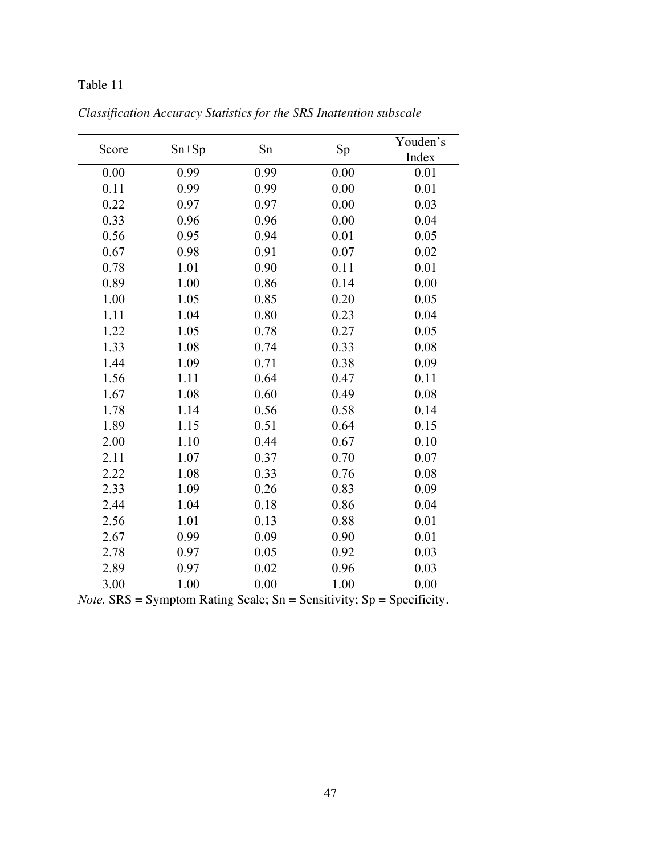| Score | $Sn+Sp$ | Sn   | Sp   | Youden's<br>Index |
|-------|---------|------|------|-------------------|
| 0.00  | 0.99    | 0.99 | 0.00 | 0.01              |
| 0.11  | 0.99    | 0.99 | 0.00 | 0.01              |
| 0.22  | 0.97    | 0.97 | 0.00 | 0.03              |
| 0.33  | 0.96    | 0.96 | 0.00 | 0.04              |
| 0.56  | 0.95    | 0.94 | 0.01 | 0.05              |
| 0.67  | 0.98    | 0.91 | 0.07 | 0.02              |
| 0.78  | 1.01    | 0.90 | 0.11 | 0.01              |
| 0.89  | 1.00    | 0.86 | 0.14 | 0.00              |
| 1.00  | 1.05    | 0.85 | 0.20 | 0.05              |
| 1.11  | 1.04    | 0.80 | 0.23 | 0.04              |
| 1.22  | 1.05    | 0.78 | 0.27 | 0.05              |
| 1.33  | 1.08    | 0.74 | 0.33 | 0.08              |
| 1.44  | 1.09    | 0.71 | 0.38 | 0.09              |
| 1.56  | 1.11    | 0.64 | 0.47 | 0.11              |
| 1.67  | 1.08    | 0.60 | 0.49 | 0.08              |
| 1.78  | 1.14    | 0.56 | 0.58 | 0.14              |
| 1.89  | 1.15    | 0.51 | 0.64 | 0.15              |
| 2.00  | 1.10    | 0.44 | 0.67 | 0.10              |
| 2.11  | 1.07    | 0.37 | 0.70 | 0.07              |
| 2.22  | 1.08    | 0.33 | 0.76 | 0.08              |
| 2.33  | 1.09    | 0.26 | 0.83 | 0.09              |
| 2.44  | 1.04    | 0.18 | 0.86 | 0.04              |
| 2.56  | 1.01    | 0.13 | 0.88 | 0.01              |
| 2.67  | 0.99    | 0.09 | 0.90 | 0.01              |
| 2.78  | 0.97    | 0.05 | 0.92 | 0.03              |
| 2.89  | 0.97    | 0.02 | 0.96 | 0.03              |
| 3.00  | 1.00    | 0.00 | 1.00 | 0.00              |

*Classification Accuracy Statistics for the SRS Inattention subscale*

 $Note. SRS = Symptom Rating Scale; Sn = Sensitivity; Sp = Specificity.$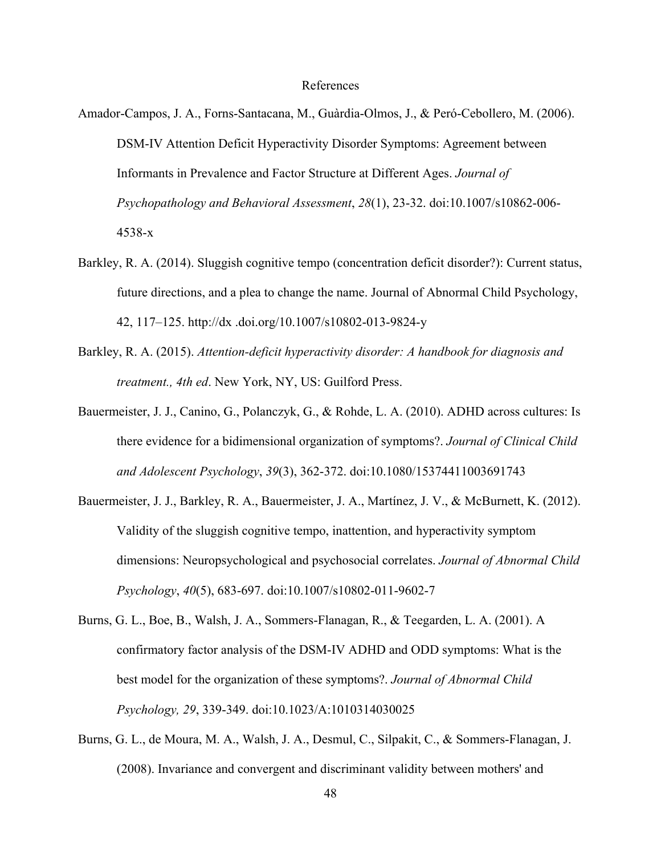#### References

- Amador-Campos, J. A., Forns-Santacana, M., Guàrdia-Olmos, J., & Peró-Cebollero, M. (2006). DSM-IV Attention Deficit Hyperactivity Disorder Symptoms: Agreement between Informants in Prevalence and Factor Structure at Different Ages. *Journal of Psychopathology and Behavioral Assessment*, *28*(1), 23-32. doi:10.1007/s10862-006- 4538-x
- Barkley, R. A. (2014). Sluggish cognitive tempo (concentration deficit disorder?): Current status, future directions, and a plea to change the name. Journal of Abnormal Child Psychology, 42, 117–125. http://dx .doi.org/10.1007/s10802-013-9824-y
- Barkley, R. A. (2015). *Attention-deficit hyperactivity disorder: A handbook for diagnosis and treatment., 4th ed*. New York, NY, US: Guilford Press.
- Bauermeister, J. J., Canino, G., Polanczyk, G., & Rohde, L. A. (2010). ADHD across cultures: Is there evidence for a bidimensional organization of symptoms?. *Journal of Clinical Child and Adolescent Psychology*, *39*(3), 362-372. doi:10.1080/15374411003691743
- Bauermeister, J. J., Barkley, R. A., Bauermeister, J. A., Martínez, J. V., & McBurnett, K. (2012). Validity of the sluggish cognitive tempo, inattention, and hyperactivity symptom dimensions: Neuropsychological and psychosocial correlates. *Journal of Abnormal Child Psychology*, *40*(5), 683-697. doi:10.1007/s10802-011-9602-7
- Burns, G. L., Boe, B., Walsh, J. A., Sommers-Flanagan, R., & Teegarden, L. A. (2001). A confirmatory factor analysis of the DSM-IV ADHD and ODD symptoms: What is the best model for the organization of these symptoms?. *Journal of Abnormal Child Psychology, 29*, 339-349. doi:10.1023/A:1010314030025
- Burns, G. L., de Moura, M. A., Walsh, J. A., Desmul, C., Silpakit, C., & Sommers-Flanagan, J. (2008). Invariance and convergent and discriminant validity between mothers' and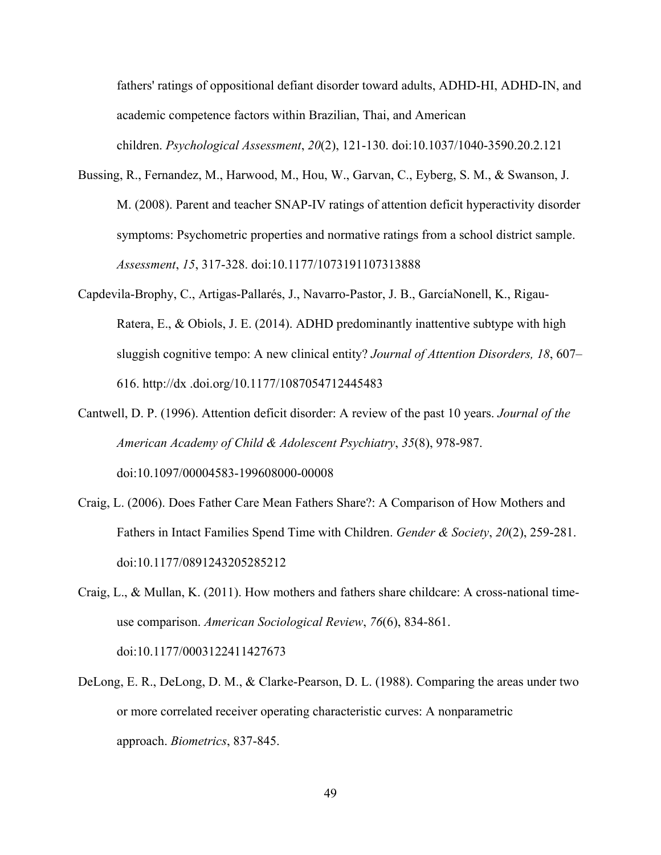fathers' ratings of oppositional defiant disorder toward adults, ADHD-HI, ADHD-IN, and academic competence factors within Brazilian, Thai, and American children. *Psychological Assessment*, *20*(2), 121-130. doi:10.1037/1040-3590.20.2.121

- Bussing, R., Fernandez, M., Harwood, M., Hou, W., Garvan, C., Eyberg, S. M., & Swanson, J. M. (2008). Parent and teacher SNAP-IV ratings of attention deficit hyperactivity disorder symptoms: Psychometric properties and normative ratings from a school district sample. *Assessment*, *15*, 317-328. doi:10.1177/1073191107313888
- Capdevila-Brophy, C., Artigas-Pallarés, J., Navarro-Pastor, J. B., GarcíaNonell, K., Rigau-Ratera, E., & Obiols, J. E. (2014). ADHD predominantly inattentive subtype with high sluggish cognitive tempo: A new clinical entity? *Journal of Attention Disorders, 18*, 607– 616. http://dx .doi.org/10.1177/1087054712445483
- Cantwell, D. P. (1996). Attention deficit disorder: A review of the past 10 years. *Journal of the American Academy of Child & Adolescent Psychiatry*, *35*(8), 978-987. doi:10.1097/00004583-199608000-00008
- Craig, L. (2006). Does Father Care Mean Fathers Share?: A Comparison of How Mothers and Fathers in Intact Families Spend Time with Children. *Gender & Society*, *20*(2), 259-281. doi:10.1177/0891243205285212
- Craig, L., & Mullan, K. (2011). How mothers and fathers share childcare: A cross-national timeuse comparison. *American Sociological Review*, *76*(6), 834-861. doi:10.1177/0003122411427673
- DeLong, E. R., DeLong, D. M., & Clarke-Pearson, D. L. (1988). Comparing the areas under two or more correlated receiver operating characteristic curves: A nonparametric approach. *Biometrics*, 837-845.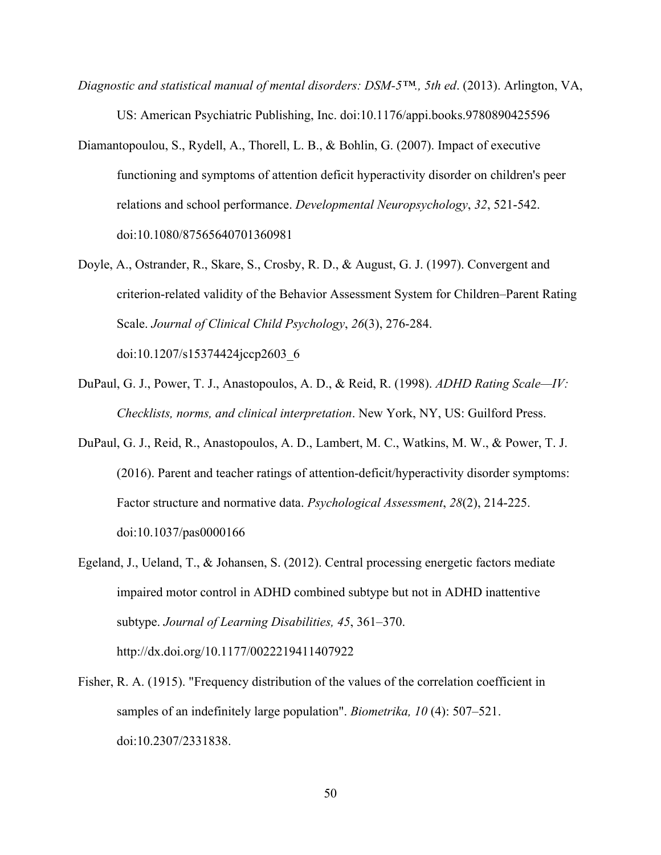- *Diagnostic and statistical manual of mental disorders: DSM-5™., 5th ed*. (2013). Arlington, VA, US: American Psychiatric Publishing, Inc. doi:10.1176/appi.books.9780890425596
- Diamantopoulou, S., Rydell, A., Thorell, L. B., & Bohlin, G. (2007). Impact of executive functioning and symptoms of attention deficit hyperactivity disorder on children's peer relations and school performance. *Developmental Neuropsychology*, *32*, 521-542. doi:10.1080/87565640701360981
- Doyle, A., Ostrander, R., Skare, S., Crosby, R. D., & August, G. J. (1997). Convergent and criterion-related validity of the Behavior Assessment System for Children–Parent Rating Scale. *Journal of Clinical Child Psychology*, *26*(3), 276-284. doi:10.1207/s15374424jccp2603\_6
- DuPaul, G. J., Power, T. J., Anastopoulos, A. D., & Reid, R. (1998). *ADHD Rating Scale—IV: Checklists, norms, and clinical interpretation*. New York, NY, US: Guilford Press.
- DuPaul, G. J., Reid, R., Anastopoulos, A. D., Lambert, M. C., Watkins, M. W., & Power, T. J. (2016). Parent and teacher ratings of attention-deficit/hyperactivity disorder symptoms: Factor structure and normative data. *Psychological Assessment*, *28*(2), 214-225. doi:10.1037/pas0000166
- Egeland, J., Ueland, T., & Johansen, S. (2012). Central processing energetic factors mediate impaired motor control in ADHD combined subtype but not in ADHD inattentive subtype. *Journal of Learning Disabilities, 45*, 361–370. http://dx.doi.org/10.1177/0022219411407922
- Fisher, R. A. (1915). "Frequency distribution of the values of the correlation coefficient in samples of an indefinitely large population". *Biometrika, 10* (4): 507–521. doi:10.2307/2331838.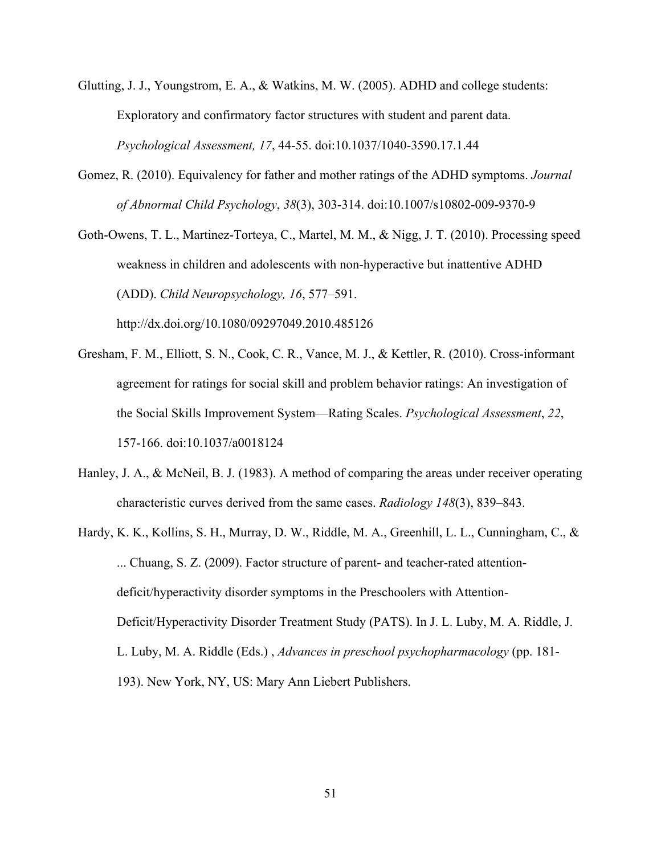- Glutting, J. J., Youngstrom, E. A., & Watkins, M. W. (2005). ADHD and college students: Exploratory and confirmatory factor structures with student and parent data. *Psychological Assessment, 17*, 44-55. doi:10.1037/1040-3590.17.1.44
- Gomez, R. (2010). Equivalency for father and mother ratings of the ADHD symptoms. *Journal of Abnormal Child Psychology*, *38*(3), 303-314. doi:10.1007/s10802-009-9370-9

Goth-Owens, T. L., Martinez-Torteya, C., Martel, M. M., & Nigg, J. T. (2010). Processing speed weakness in children and adolescents with non-hyperactive but inattentive ADHD (ADD). *Child Neuropsychology, 16*, 577–591. http://dx.doi.org/10.1080/09297049.2010.485126

- Gresham, F. M., Elliott, S. N., Cook, C. R., Vance, M. J., & Kettler, R. (2010). Cross-informant agreement for ratings for social skill and problem behavior ratings: An investigation of the Social Skills Improvement System—Rating Scales. *Psychological Assessment*, *22*, 157-166. doi:10.1037/a0018124
- Hanley, J. A., & McNeil, B. J. (1983). A method of comparing the areas under receiver operating characteristic curves derived from the same cases. *Radiology 148*(3), 839–843.
- Hardy, K. K., Kollins, S. H., Murray, D. W., Riddle, M. A., Greenhill, L. L., Cunningham, C., & ... Chuang, S. Z. (2009). Factor structure of parent- and teacher-rated attentiondeficit/hyperactivity disorder symptoms in the Preschoolers with Attention-Deficit/Hyperactivity Disorder Treatment Study (PATS). In J. L. Luby, M. A. Riddle, J. L. Luby, M. A. Riddle (Eds.) , *Advances in preschool psychopharmacology* (pp. 181- 193). New York, NY, US: Mary Ann Liebert Publishers.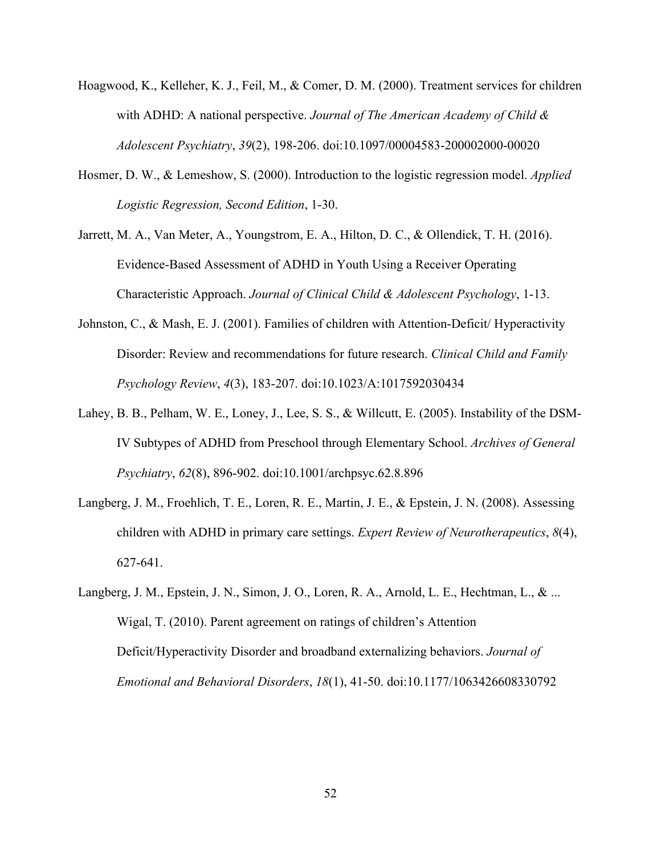- Hoagwood, K., Kelleher, K. J., Feil, M., & Comer, D. M. (2000). Treatment services for children with ADHD: A national perspective. *Journal of The American Academy of Child & Adolescent Psychiatry*, *39*(2), 198-206. doi:10.1097/00004583-200002000-00020
- Hosmer, D. W., & Lemeshow, S. (2000). Introduction to the logistic regression model. *Applied Logistic Regression, Second Edition*, 1-30.
- Jarrett, M. A., Van Meter, A., Youngstrom, E. A., Hilton, D. C., & Ollendick, T. H. (2016). Evidence-Based Assessment of ADHD in Youth Using a Receiver Operating Characteristic Approach. *Journal of Clinical Child & Adolescent Psychology*, 1-13.
- Johnston, C., & Mash, E. J. (2001). Families of children with Attention-Deficit/ Hyperactivity Disorder: Review and recommendations for future research. *Clinical Child and Family Psychology Review*, *4*(3), 183-207. doi:10.1023/A:1017592030434
- Lahey, B. B., Pelham, W. E., Loney, J., Lee, S. S., & Willcutt, E. (2005). Instability of the DSM-IV Subtypes of ADHD from Preschool through Elementary School. *Archives of General Psychiatry*, *62*(8), 896-902. doi:10.1001/archpsyc.62.8.896
- Langberg, J. M., Froehlich, T. E., Loren, R. E., Martin, J. E., & Epstein, J. N. (2008). Assessing children with ADHD in primary care settings. *Expert Review of Neurotherapeutics*, *8*(4), 627-641.
- Langberg, J. M., Epstein, J. N., Simon, J. O., Loren, R. A., Arnold, L. E., Hechtman, L., & ... Wigal, T. (2010). Parent agreement on ratings of children's Attention Deficit/Hyperactivity Disorder and broadband externalizing behaviors. *Journal of Emotional and Behavioral Disorders*, *18*(1), 41-50. doi:10.1177/1063426608330792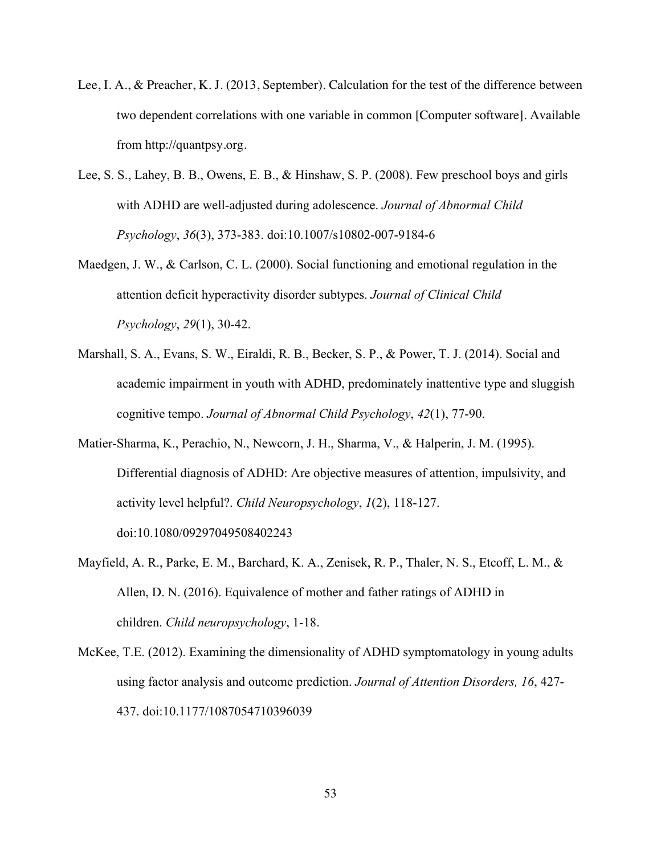- Lee, I. A., & Preacher, K. J. (2013, September). Calculation for the test of the difference between two dependent correlations with one variable in common [Computer software]. Available from http://quantpsy.org.
- Lee, S. S., Lahey, B. B., Owens, E. B., & Hinshaw, S. P. (2008). Few preschool boys and girls with ADHD are well-adjusted during adolescence. *Journal of Abnormal Child Psychology*, *36*(3), 373-383. doi:10.1007/s10802-007-9184-6
- Maedgen, J. W., & Carlson, C. L. (2000). Social functioning and emotional regulation in the attention deficit hyperactivity disorder subtypes. *Journal of Clinical Child Psychology*, *29*(1), 30-42.
- Marshall, S. A., Evans, S. W., Eiraldi, R. B., Becker, S. P., & Power, T. J. (2014). Social and academic impairment in youth with ADHD, predominately inattentive type and sluggish cognitive tempo. *Journal of Abnormal Child Psychology*, *42*(1), 77-90.
- Matier-Sharma, K., Perachio, N., Newcorn, J. H., Sharma, V., & Halperin, J. M. (1995). Differential diagnosis of ADHD: Are objective measures of attention, impulsivity, and activity level helpful?. *Child Neuropsychology*, *1*(2), 118-127. doi:10.1080/09297049508402243
- Mayfield, A. R., Parke, E. M., Barchard, K. A., Zenisek, R. P., Thaler, N. S., Etcoff, L. M., & Allen, D. N. (2016). Equivalence of mother and father ratings of ADHD in children. *Child neuropsychology*, 1-18.
- McKee, T.E. (2012). Examining the dimensionality of ADHD symptomatology in young adults using factor analysis and outcome prediction. *Journal of Attention Disorders, 16*, 427- 437. doi:10.1177/1087054710396039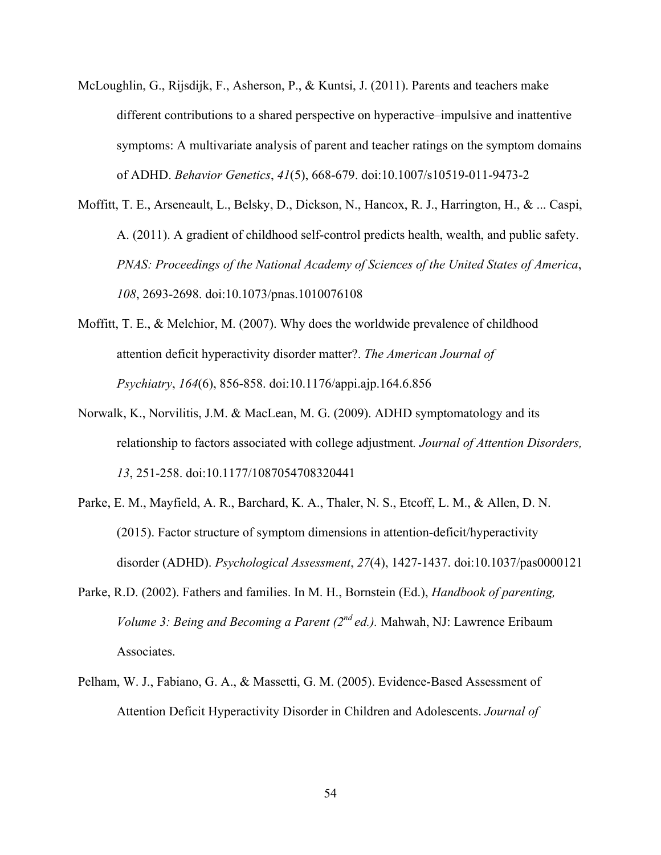- McLoughlin, G., Rijsdijk, F., Asherson, P., & Kuntsi, J. (2011). Parents and teachers make different contributions to a shared perspective on hyperactive–impulsive and inattentive symptoms: A multivariate analysis of parent and teacher ratings on the symptom domains of ADHD. *Behavior Genetics*, *41*(5), 668-679. doi:10.1007/s10519-011-9473-2
- Moffitt, T. E., Arseneault, L., Belsky, D., Dickson, N., Hancox, R. J., Harrington, H., & ... Caspi, A. (2011). A gradient of childhood self-control predicts health, wealth, and public safety. *PNAS: Proceedings of the National Academy of Sciences of the United States of America*, *108*, 2693-2698. doi:10.1073/pnas.1010076108
- Moffitt, T. E., & Melchior, M. (2007). Why does the worldwide prevalence of childhood attention deficit hyperactivity disorder matter?. *The American Journal of Psychiatry*, *164*(6), 856-858. doi:10.1176/appi.ajp.164.6.856
- Norwalk, K., Norvilitis, J.M. & MacLean, M. G. (2009). ADHD symptomatology and its relationship to factors associated with college adjustment*. Journal of Attention Disorders, 13*, 251-258. doi:10.1177/1087054708320441
- Parke, E. M., Mayfield, A. R., Barchard, K. A., Thaler, N. S., Etcoff, L. M., & Allen, D. N. (2015). Factor structure of symptom dimensions in attention-deficit/hyperactivity disorder (ADHD). *Psychological Assessment*, *27*(4), 1427-1437. doi:10.1037/pas0000121
- Parke, R.D. (2002). Fathers and families. In M. H., Bornstein (Ed.), *Handbook of parenting, Volume 3: Being and Becoming a Parent (2nd ed.).* Mahwah, NJ: Lawrence Eribaum Associates.
- Pelham, W. J., Fabiano, G. A., & Massetti, G. M. (2005). Evidence-Based Assessment of Attention Deficit Hyperactivity Disorder in Children and Adolescents. *Journal of*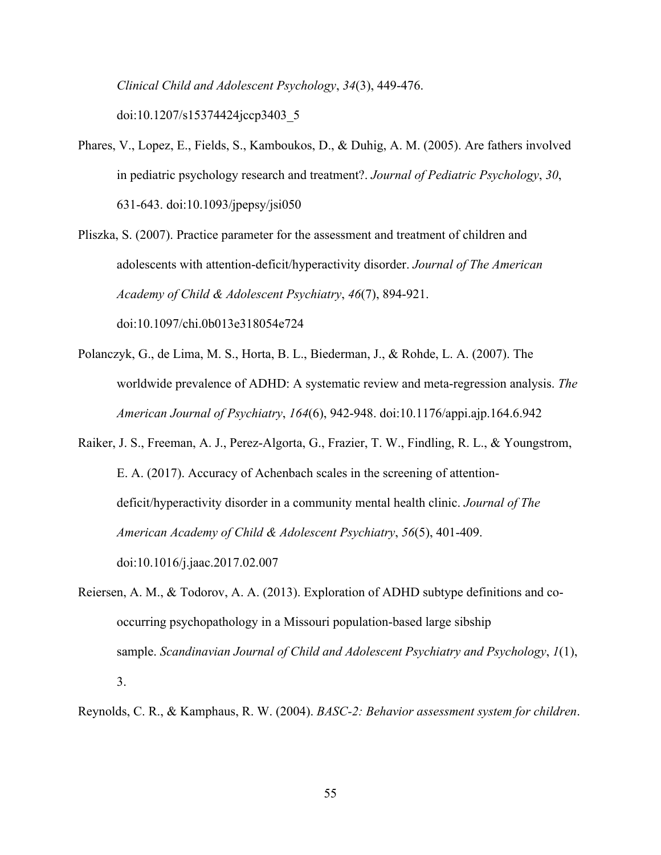*Clinical Child and Adolescent Psychology*, *34*(3), 449-476.

doi:10.1207/s15374424jccp3403\_5

- Phares, V., Lopez, E., Fields, S., Kamboukos, D., & Duhig, A. M. (2005). Are fathers involved in pediatric psychology research and treatment?. *Journal of Pediatric Psychology*, *30*, 631-643. doi:10.1093/jpepsy/jsi050
- Pliszka, S. (2007). Practice parameter for the assessment and treatment of children and adolescents with attention-deficit/hyperactivity disorder. *Journal of The American Academy of Child & Adolescent Psychiatry*, *46*(7), 894-921. doi:10.1097/chi.0b013e318054e724
- Polanczyk, G., de Lima, M. S., Horta, B. L., Biederman, J., & Rohde, L. A. (2007). The worldwide prevalence of ADHD: A systematic review and meta-regression analysis. *The American Journal of Psychiatry*, *164*(6), 942-948. doi:10.1176/appi.ajp.164.6.942
- Raiker, J. S., Freeman, A. J., Perez-Algorta, G., Frazier, T. W., Findling, R. L., & Youngstrom, E. A. (2017). Accuracy of Achenbach scales in the screening of attentiondeficit/hyperactivity disorder in a community mental health clinic. *Journal of The American Academy of Child & Adolescent Psychiatry*, *56*(5), 401-409. doi:10.1016/j.jaac.2017.02.007
- Reiersen, A. M., & Todorov, A. A. (2013). Exploration of ADHD subtype definitions and cooccurring psychopathology in a Missouri population-based large sibship sample. *Scandinavian Journal of Child and Adolescent Psychiatry and Psychology*, *1*(1), 3.
- Reynolds, C. R., & Kamphaus, R. W. (2004). *BASC-2: Behavior assessment system for children*.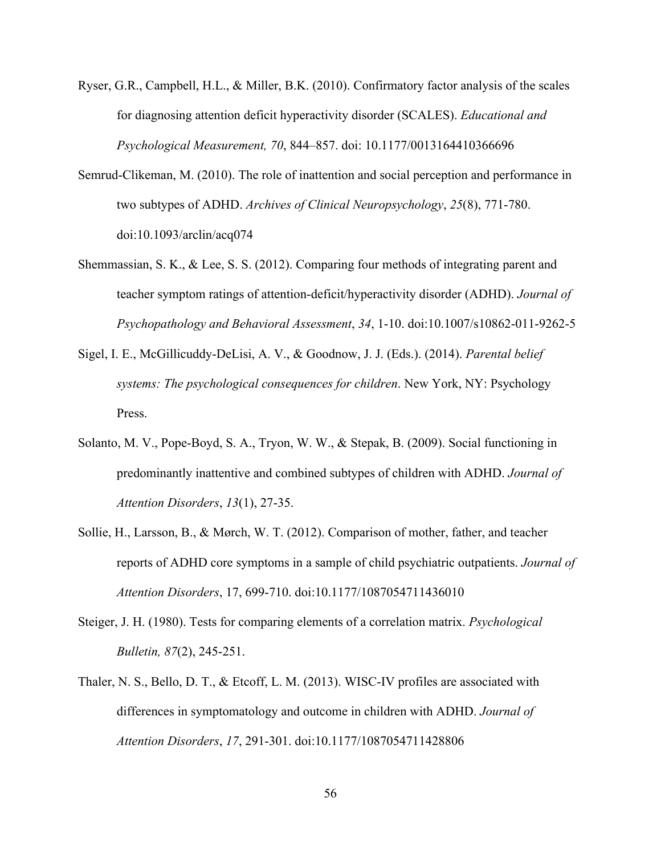- Ryser, G.R., Campbell, H.L., & Miller, B.K. (2010). Confirmatory factor analysis of the scales for diagnosing attention deficit hyperactivity disorder (SCALES). *Educational and Psychological Measurement, 70*, 844–857. doi: 10.1177/0013164410366696
- Semrud-Clikeman, M. (2010). The role of inattention and social perception and performance in two subtypes of ADHD. *Archives of Clinical Neuropsychology*, *25*(8), 771-780. doi:10.1093/arclin/acq074
- Shemmassian, S. K., & Lee, S. S. (2012). Comparing four methods of integrating parent and teacher symptom ratings of attention-deficit/hyperactivity disorder (ADHD). *Journal of Psychopathology and Behavioral Assessment*, *34*, 1-10. doi:10.1007/s10862-011-9262-5
- Sigel, I. E., McGillicuddy-DeLisi, A. V., & Goodnow, J. J. (Eds.). (2014). *Parental belief systems: The psychological consequences for children*. New York, NY: Psychology Press.
- Solanto, M. V., Pope-Boyd, S. A., Tryon, W. W., & Stepak, B. (2009). Social functioning in predominantly inattentive and combined subtypes of children with ADHD. *Journal of Attention Disorders*, *13*(1), 27-35.
- Sollie, H., Larsson, B., & Mørch, W. T. (2012). Comparison of mother, father, and teacher reports of ADHD core symptoms in a sample of child psychiatric outpatients. *Journal of Attention Disorders*, 17, 699-710. doi:10.1177/1087054711436010
- Steiger, J. H. (1980). Tests for comparing elements of a correlation matrix. *Psychological Bulletin, 87*(2), 245-251.
- Thaler, N. S., Bello, D. T., & Etcoff, L. M. (2013). WISC-IV profiles are associated with differences in symptomatology and outcome in children with ADHD. *Journal of Attention Disorders*, *17*, 291-301. doi:10.1177/1087054711428806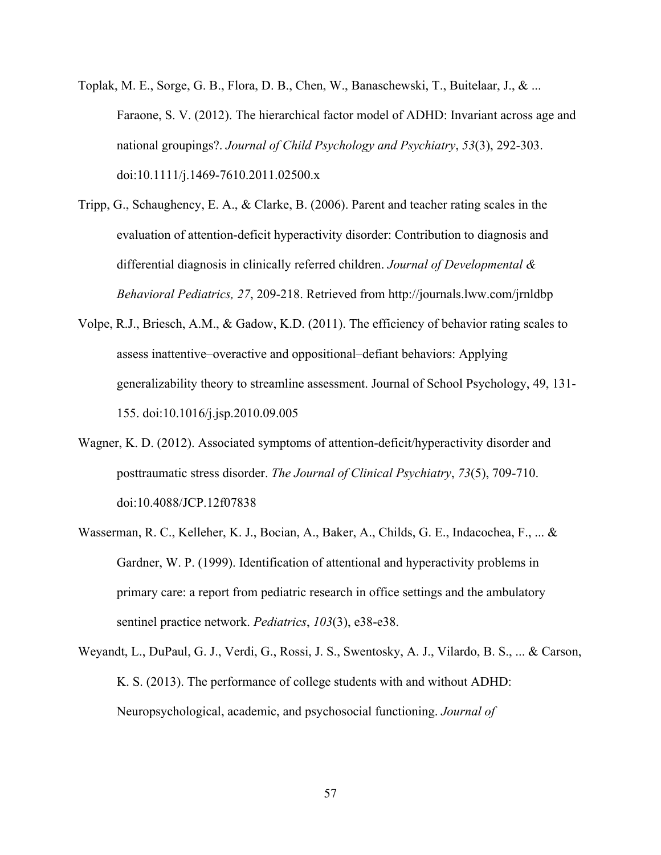- Toplak, M. E., Sorge, G. B., Flora, D. B., Chen, W., Banaschewski, T., Buitelaar, J., & ... Faraone, S. V. (2012). The hierarchical factor model of ADHD: Invariant across age and national groupings?. *Journal of Child Psychology and Psychiatry*, *53*(3), 292-303. doi:10.1111/j.1469-7610.2011.02500.x
- Tripp, G., Schaughency, E. A., & Clarke, B. (2006). Parent and teacher rating scales in the evaluation of attention-deficit hyperactivity disorder: Contribution to diagnosis and differential diagnosis in clinically referred children. *Journal of Developmental & Behavioral Pediatrics, 27*, 209-218. Retrieved from http://journals.lww.com/jrnldbp
- Volpe, R.J., Briesch, A.M., & Gadow, K.D. (2011). The efficiency of behavior rating scales to assess inattentive–overactive and oppositional–defiant behaviors: Applying generalizability theory to streamline assessment. Journal of School Psychology, 49, 131- 155. doi:10.1016/j.jsp.2010.09.005
- Wagner, K. D. (2012). Associated symptoms of attention-deficit/hyperactivity disorder and posttraumatic stress disorder. *The Journal of Clinical Psychiatry*, *73*(5), 709-710. doi:10.4088/JCP.12f07838
- Wasserman, R. C., Kelleher, K. J., Bocian, A., Baker, A., Childs, G. E., Indacochea, F., ... & Gardner, W. P. (1999). Identification of attentional and hyperactivity problems in primary care: a report from pediatric research in office settings and the ambulatory sentinel practice network. *Pediatrics*, *103*(3), e38-e38.
- Weyandt, L., DuPaul, G. J., Verdi, G., Rossi, J. S., Swentosky, A. J., Vilardo, B. S., ... & Carson, K. S. (2013). The performance of college students with and without ADHD: Neuropsychological, academic, and psychosocial functioning. *Journal of*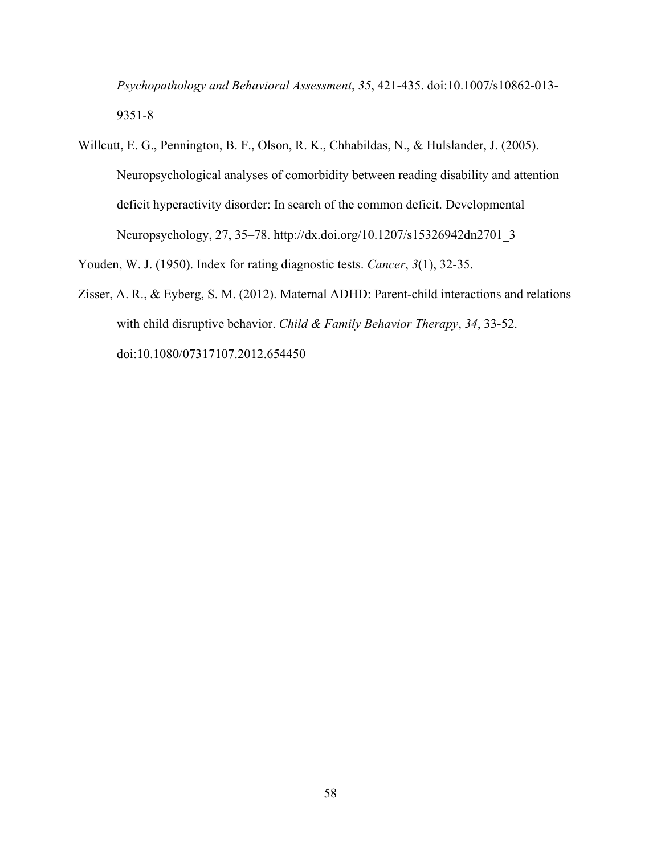*Psychopathology and Behavioral Assessment*, *35*, 421-435. doi:10.1007/s10862-013- 9351-8

Willcutt, E. G., Pennington, B. F., Olson, R. K., Chhabildas, N., & Hulslander, J. (2005). Neuropsychological analyses of comorbidity between reading disability and attention deficit hyperactivity disorder: In search of the common deficit. Developmental Neuropsychology, 27, 35–78. http://dx.doi.org/10.1207/s15326942dn2701\_3

Youden, W. J. (1950). Index for rating diagnostic tests. *Cancer*, *3*(1), 32-35.

Zisser, A. R., & Eyberg, S. M. (2012). Maternal ADHD: Parent-child interactions and relations with child disruptive behavior. *Child & Family Behavior Therapy*, *34*, 33-52. doi:10.1080/07317107.2012.654450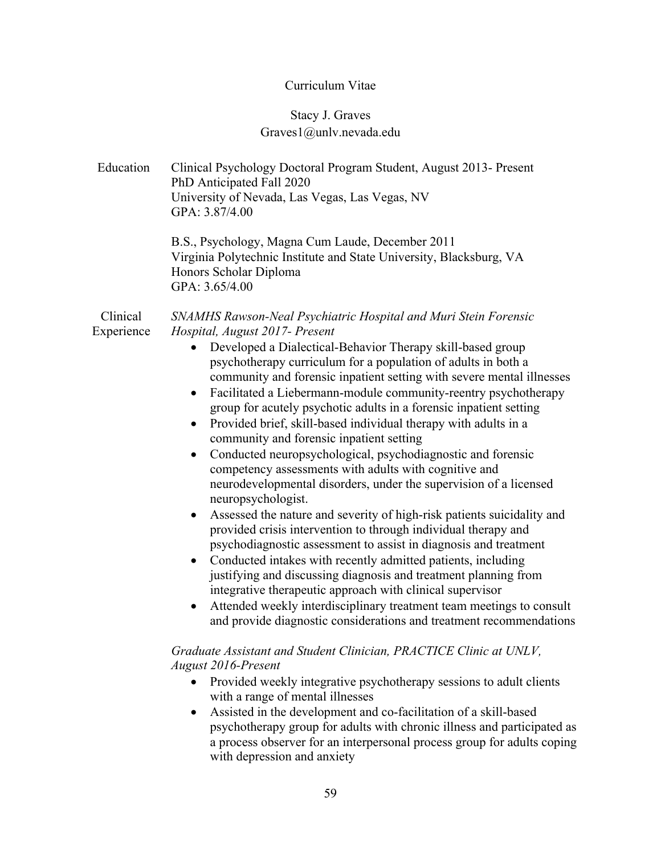# Curriculum Vitae

# Stacy J. Graves Graves1@unlv.nevada.edu

| Education              | Clinical Psychology Doctoral Program Student, August 2013- Present<br>PhD Anticipated Fall 2020<br>University of Nevada, Las Vegas, Las Vegas, NV<br>GPA: 3.87/4.00                                                                                                                                                                                                                                                                                                                                                                                                                                                                                                                                                                                                                                                                                                                                                                                                                                                                                                                                                                                                                                                                                                                                                                                                                                                                                                                                                  |
|------------------------|----------------------------------------------------------------------------------------------------------------------------------------------------------------------------------------------------------------------------------------------------------------------------------------------------------------------------------------------------------------------------------------------------------------------------------------------------------------------------------------------------------------------------------------------------------------------------------------------------------------------------------------------------------------------------------------------------------------------------------------------------------------------------------------------------------------------------------------------------------------------------------------------------------------------------------------------------------------------------------------------------------------------------------------------------------------------------------------------------------------------------------------------------------------------------------------------------------------------------------------------------------------------------------------------------------------------------------------------------------------------------------------------------------------------------------------------------------------------------------------------------------------------|
|                        | B.S., Psychology, Magna Cum Laude, December 2011<br>Virginia Polytechnic Institute and State University, Blacksburg, VA<br>Honors Scholar Diploma<br>GPA: 3.65/4.00                                                                                                                                                                                                                                                                                                                                                                                                                                                                                                                                                                                                                                                                                                                                                                                                                                                                                                                                                                                                                                                                                                                                                                                                                                                                                                                                                  |
| Clinical<br>Experience | SNAMHS Rawson-Neal Psychiatric Hospital and Muri Stein Forensic<br>Hospital, August 2017- Present<br>Developed a Dialectical-Behavior Therapy skill-based group<br>$\bullet$<br>psychotherapy curriculum for a population of adults in both a<br>community and forensic inpatient setting with severe mental illnesses<br>Facilitated a Liebermann-module community-reentry psychotherapy<br>$\bullet$<br>group for acutely psychotic adults in a forensic inpatient setting<br>Provided brief, skill-based individual therapy with adults in a<br>$\bullet$<br>community and forensic inpatient setting<br>Conducted neuropsychological, psychodiagnostic and forensic<br>$\bullet$<br>competency assessments with adults with cognitive and<br>neurodevelopmental disorders, under the supervision of a licensed<br>neuropsychologist.<br>Assessed the nature and severity of high-risk patients suicidality and<br>$\bullet$<br>provided crisis intervention to through individual therapy and<br>psychodiagnostic assessment to assist in diagnosis and treatment<br>Conducted intakes with recently admitted patients, including<br>$\bullet$<br>justifying and discussing diagnosis and treatment planning from<br>integrative therapeutic approach with clinical supervisor<br>Attended weekly interdisciplinary treatment team meetings to consult<br>$\bullet$<br>and provide diagnostic considerations and treatment recommendations<br>Graduate Assistant and Student Clinician, PRACTICE Clinic at UNLV, |
|                        | <b>August 2016-Present</b><br>Provided weekly integrative psychotherapy sessions to adult clients<br>with a range of mental illnesses<br>Assisted in the development and co-facilitation of a skill-based<br>$\bullet$<br>psychotherapy group for adults with chronic illness and participated as<br>a process observer for an interpersonal process group for adults coping<br>with depression and anxiety                                                                                                                                                                                                                                                                                                                                                                                                                                                                                                                                                                                                                                                                                                                                                                                                                                                                                                                                                                                                                                                                                                          |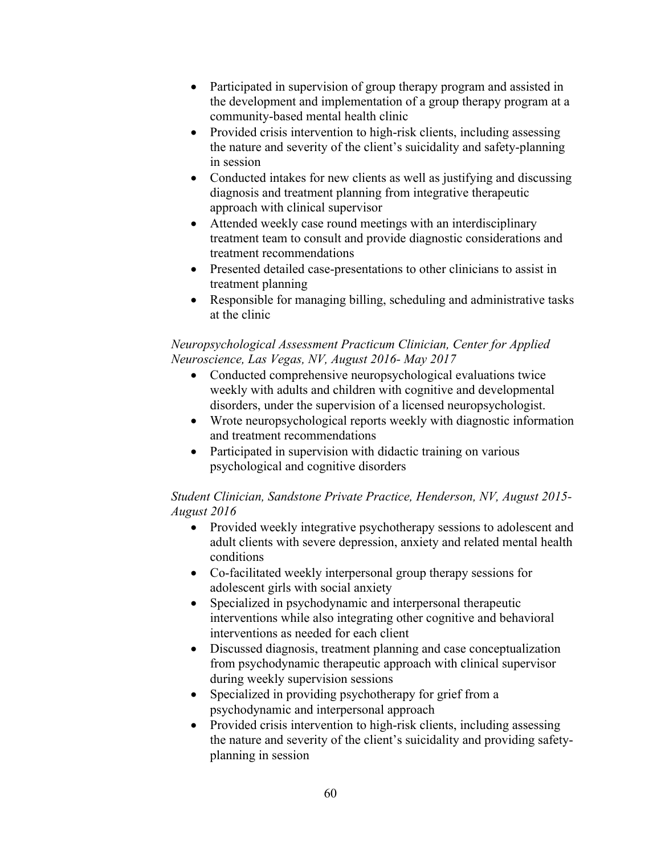- Participated in supervision of group therapy program and assisted in the development and implementation of a group therapy program at a community-based mental health clinic
- Provided crisis intervention to high-risk clients, including assessing the nature and severity of the client's suicidality and safety-planning in session
- Conducted intakes for new clients as well as justifying and discussing diagnosis and treatment planning from integrative therapeutic approach with clinical supervisor
- Attended weekly case round meetings with an interdisciplinary treatment team to consult and provide diagnostic considerations and treatment recommendations
- Presented detailed case-presentations to other clinicians to assist in treatment planning
- Responsible for managing billing, scheduling and administrative tasks at the clinic

#### *Neuropsychological Assessment Practicum Clinician, Center for Applied Neuroscience, Las Vegas, NV, August 2016- May 2017*

- Conducted comprehensive neuropsychological evaluations twice weekly with adults and children with cognitive and developmental disorders, under the supervision of a licensed neuropsychologist.
- Wrote neuropsychological reports weekly with diagnostic information and treatment recommendations
- Participated in supervision with didactic training on various psychological and cognitive disorders

#### *Student Clinician, Sandstone Private Practice, Henderson, NV, August 2015- August 2016*

- Provided weekly integrative psychotherapy sessions to adolescent and adult clients with severe depression, anxiety and related mental health conditions
- Co-facilitated weekly interpersonal group therapy sessions for adolescent girls with social anxiety
- Specialized in psychodynamic and interpersonal therapeutic interventions while also integrating other cognitive and behavioral interventions as needed for each client
- Discussed diagnosis, treatment planning and case conceptualization from psychodynamic therapeutic approach with clinical supervisor during weekly supervision sessions
- Specialized in providing psychotherapy for grief from a psychodynamic and interpersonal approach
- Provided crisis intervention to high-risk clients, including assessing the nature and severity of the client's suicidality and providing safetyplanning in session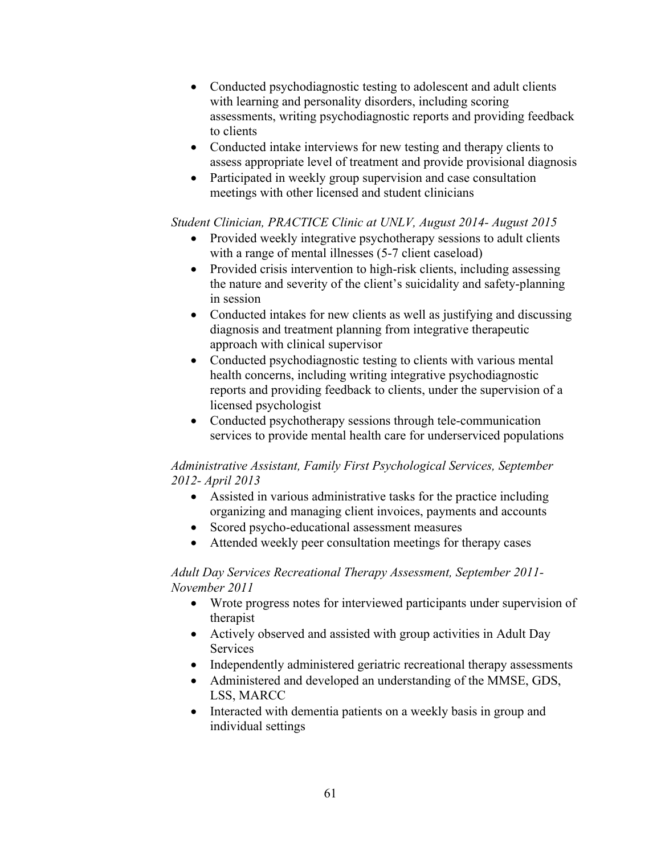- Conducted psychodiagnostic testing to adolescent and adult clients with learning and personality disorders, including scoring assessments, writing psychodiagnostic reports and providing feedback to clients
- Conducted intake interviews for new testing and therapy clients to assess appropriate level of treatment and provide provisional diagnosis
- Participated in weekly group supervision and case consultation meetings with other licensed and student clinicians

#### *Student Clinician, PRACTICE Clinic at UNLV, August 2014- August 2015*

- Provided weekly integrative psychotherapy sessions to adult clients with a range of mental illnesses (5-7 client caseload)
- Provided crisis intervention to high-risk clients, including assessing the nature and severity of the client's suicidality and safety-planning in session
- Conducted intakes for new clients as well as justifying and discussing diagnosis and treatment planning from integrative therapeutic approach with clinical supervisor
- Conducted psychodiagnostic testing to clients with various mental health concerns, including writing integrative psychodiagnostic reports and providing feedback to clients, under the supervision of a licensed psychologist
- Conducted psychotherapy sessions through tele-communication services to provide mental health care for underserviced populations

#### *Administrative Assistant, Family First Psychological Services, September 2012- April 2013*

- Assisted in various administrative tasks for the practice including organizing and managing client invoices, payments and accounts
- Scored psycho-educational assessment measures
- Attended weekly peer consultation meetings for therapy cases

#### *Adult Day Services Recreational Therapy Assessment, September 2011- November 2011*

- Wrote progress notes for interviewed participants under supervision of therapist
- Actively observed and assisted with group activities in Adult Day Services
- Independently administered geriatric recreational therapy assessments
- Administered and developed an understanding of the MMSE, GDS, LSS, MARCC
- Interacted with dementia patients on a weekly basis in group and individual settings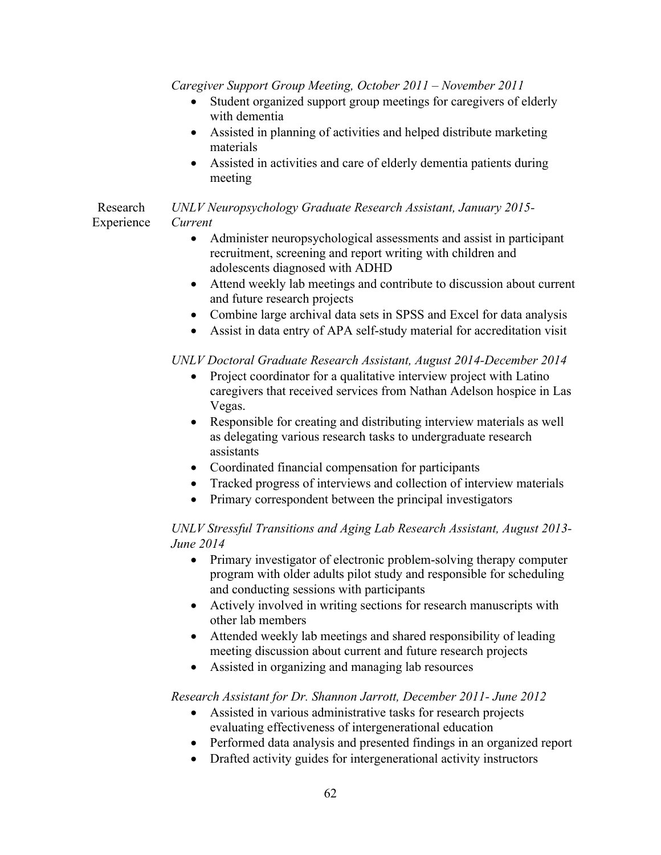*Caregiver Support Group Meeting, October 2011 – November 2011*

- Student organized support group meetings for caregivers of elderly with dementia
- Assisted in planning of activities and helped distribute marketing materials
- Assisted in activities and care of elderly dementia patients during meeting

#### Research Experience *UNLV Neuropsychology Graduate Research Assistant, January 2015- Current*

- Administer neuropsychological assessments and assist in participant recruitment, screening and report writing with children and adolescents diagnosed with ADHD
- Attend weekly lab meetings and contribute to discussion about current and future research projects
- Combine large archival data sets in SPSS and Excel for data analysis
- Assist in data entry of APA self-study material for accreditation visit

#### *UNLV Doctoral Graduate Research Assistant, August 2014-December 2014*

- Project coordinator for a qualitative interview project with Latino caregivers that received services from Nathan Adelson hospice in Las Vegas.
- Responsible for creating and distributing interview materials as well as delegating various research tasks to undergraduate research assistants
- Coordinated financial compensation for participants
- Tracked progress of interviews and collection of interview materials
- Primary correspondent between the principal investigators

#### *UNLV Stressful Transitions and Aging Lab Research Assistant, August 2013- June 2014*

- Primary investigator of electronic problem-solving therapy computer program with older adults pilot study and responsible for scheduling and conducting sessions with participants
- Actively involved in writing sections for research manuscripts with other lab members
- Attended weekly lab meetings and shared responsibility of leading meeting discussion about current and future research projects
- Assisted in organizing and managing lab resources

#### *Research Assistant for Dr. Shannon Jarrott, December 2011- June 2012*

- Assisted in various administrative tasks for research projects evaluating effectiveness of intergenerational education
- Performed data analysis and presented findings in an organized report
- Drafted activity guides for intergenerational activity instructors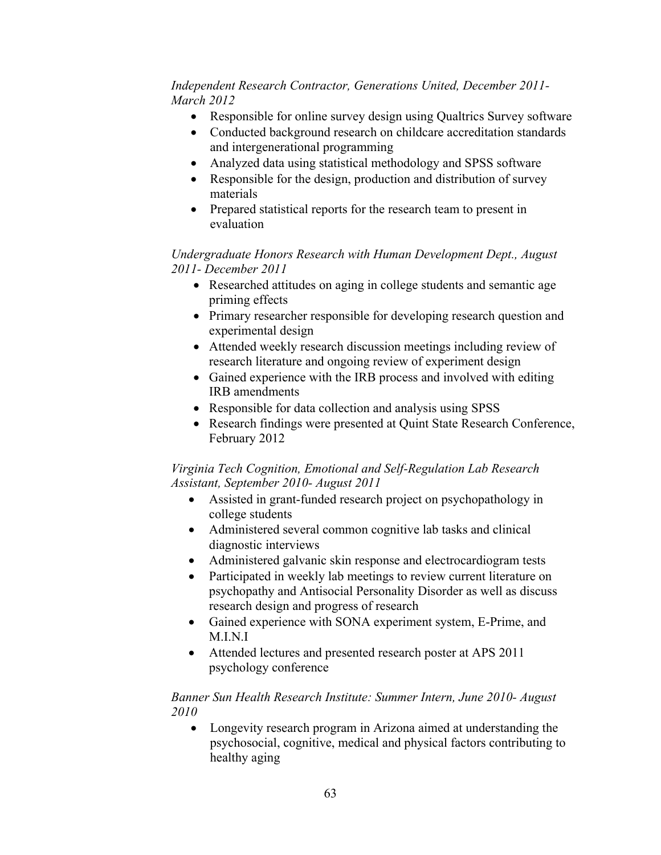#### *Independent Research Contractor, Generations United, December 2011- March 2012*

- Responsible for online survey design using Qualtrics Survey software
- Conducted background research on childcare accreditation standards and intergenerational programming
- Analyzed data using statistical methodology and SPSS software
- Responsible for the design, production and distribution of survey materials
- Prepared statistical reports for the research team to present in evaluation

*Undergraduate Honors Research with Human Development Dept., August 2011- December 2011*

- Researched attitudes on aging in college students and semantic age priming effects
- Primary researcher responsible for developing research question and experimental design
- Attended weekly research discussion meetings including review of research literature and ongoing review of experiment design
- Gained experience with the IRB process and involved with editing IRB amendments
- Responsible for data collection and analysis using SPSS
- Research findings were presented at Quint State Research Conference, February 2012

#### *Virginia Tech Cognition, Emotional and Self-Regulation Lab Research Assistant, September 2010- August 2011*

- Assisted in grant-funded research project on psychopathology in college students
- Administered several common cognitive lab tasks and clinical diagnostic interviews
- Administered galvanic skin response and electrocardiogram tests
- Participated in weekly lab meetings to review current literature on psychopathy and Antisocial Personality Disorder as well as discuss research design and progress of research
- Gained experience with SONA experiment system, E-Prime, and M.I.N.I
- Attended lectures and presented research poster at APS 2011 psychology conference

#### *Banner Sun Health Research Institute: Summer Intern, June 2010- August 2010*

• Longevity research program in Arizona aimed at understanding the psychosocial, cognitive, medical and physical factors contributing to healthy aging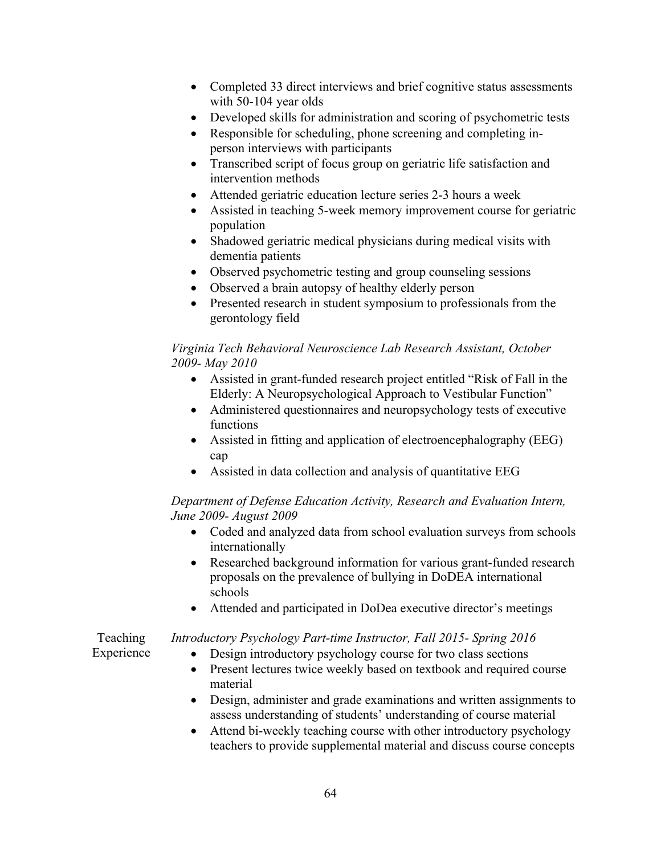- Completed 33 direct interviews and brief cognitive status assessments with 50-104 year olds
- Developed skills for administration and scoring of psychometric tests
- Responsible for scheduling, phone screening and completing inperson interviews with participants
- Transcribed script of focus group on geriatric life satisfaction and intervention methods
- Attended geriatric education lecture series 2-3 hours a week
- Assisted in teaching 5-week memory improvement course for geriatric population
- Shadowed geriatric medical physicians during medical visits with dementia patients
- Observed psychometric testing and group counseling sessions
- Observed a brain autopsy of healthy elderly person
- Presented research in student symposium to professionals from the gerontology field

#### *Virginia Tech Behavioral Neuroscience Lab Research Assistant, October 2009- May 2010*

- Assisted in grant-funded research project entitled "Risk of Fall in the Elderly: A Neuropsychological Approach to Vestibular Function"
- Administered questionnaires and neuropsychology tests of executive functions
- Assisted in fitting and application of electroencephalography (EEG) cap
- Assisted in data collection and analysis of quantitative EEG

#### *Department of Defense Education Activity, Research and Evaluation Intern, June 2009- August 2009*

- Coded and analyzed data from school evaluation surveys from schools internationally
- Researched background information for various grant-funded research proposals on the prevalence of bullying in DoDEA international schools
- Attended and participated in DoDea executive director's meetings

#### Teaching *Introductory Psychology Part-time Instructor, Fall 2015- Spring 2016*

Experience

- Design introductory psychology course for two class sections • Present lectures twice weekly based on textbook and required course material
- Design, administer and grade examinations and written assignments to assess understanding of students' understanding of course material
- Attend bi-weekly teaching course with other introductory psychology teachers to provide supplemental material and discuss course concepts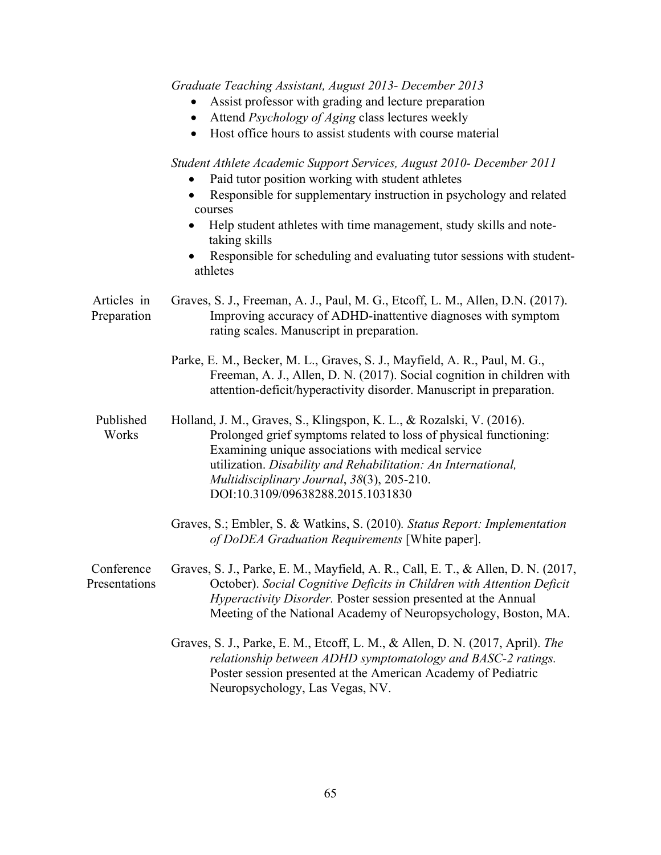|                             | Graduate Teaching Assistant, August 2013- December 2013<br>Assist professor with grading and lecture preparation<br>Attend Psychology of Aging class lectures weekly<br>$\bullet$<br>Host office hours to assist students with course material                                                                                                                                                         |
|-----------------------------|--------------------------------------------------------------------------------------------------------------------------------------------------------------------------------------------------------------------------------------------------------------------------------------------------------------------------------------------------------------------------------------------------------|
|                             | Student Athlete Academic Support Services, August 2010- December 2011<br>Paid tutor position working with student athletes<br>Responsible for supplementary instruction in psychology and related<br>$\bullet$<br>courses<br>Help student athletes with time management, study skills and note-<br>taking skills<br>Responsible for scheduling and evaluating tutor sessions with student-<br>athletes |
| Articles in<br>Preparation  | Graves, S. J., Freeman, A. J., Paul, M. G., Etcoff, L. M., Allen, D.N. (2017).<br>Improving accuracy of ADHD-inattentive diagnoses with symptom<br>rating scales. Manuscript in preparation.                                                                                                                                                                                                           |
|                             | Parke, E. M., Becker, M. L., Graves, S. J., Mayfield, A. R., Paul, M. G.,<br>Freeman, A. J., Allen, D. N. (2017). Social cognition in children with<br>attention-deficit/hyperactivity disorder. Manuscript in preparation.                                                                                                                                                                            |
| Published<br>Works          | Holland, J. M., Graves, S., Klingspon, K. L., & Rozalski, V. (2016).<br>Prolonged grief symptoms related to loss of physical functioning:<br>Examining unique associations with medical service<br>utilization. Disability and Rehabilitation: An International,<br>Multidisciplinary Journal, 38(3), 205-210.<br>DOI:10.3109/09638288.2015.1031830                                                    |
|                             | Graves, S.; Embler, S. & Watkins, S. (2010). Status Report: Implementation<br>of DoDEA Graduation Requirements [White paper].                                                                                                                                                                                                                                                                          |
| Conference<br>Presentations | Graves, S. J., Parke, E. M., Mayfield, A. R., Call, E. T., & Allen, D. N. (2017,<br>October). Social Cognitive Deficits in Children with Attention Deficit<br><i>Hyperactivity Disorder.</i> Poster session presented at the Annual<br>Meeting of the National Academy of Neuropsychology, Boston, MA.                                                                                                 |
|                             | Graves, S. J., Parke, E. M., Etcoff, L. M., & Allen, D. N. (2017, April). The<br>relationship between ADHD symptomatology and BASC-2 ratings.<br>Poster session presented at the American Academy of Pediatric<br>Neuropsychology, Las Vegas, NV.                                                                                                                                                      |